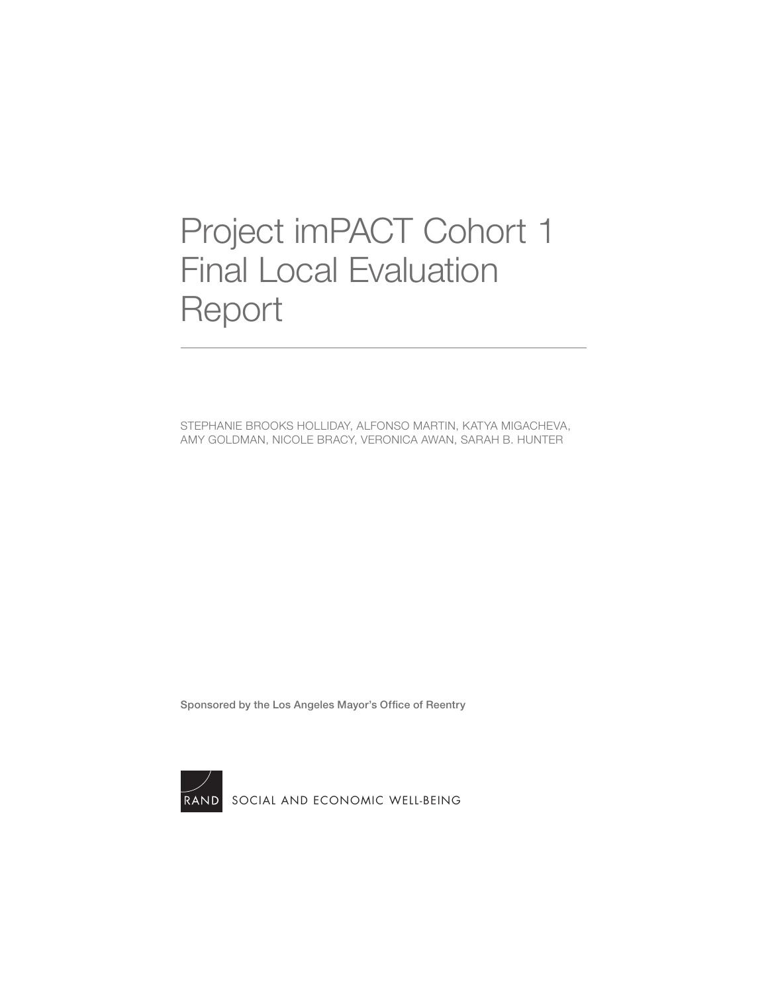# [Project imPACT Cohort 1](https://www.rand.org/pubs/research_reports/RRA1382-1.html)  Final Local Evaluation Report

STEPHANIE BROOKS HOLLIDAY, ALFONSO MARTIN, KATYA MIGACHEVA, AMY GOLDMAN, NICOLE BRACY, VERONICA AWAN, SARAH B. HUNTER

Sponsored by the Los Angeles Mayor's Office of Reentry



[SOCIAL AND ECONOMIC WELL-BEING](https://www.rand.org/well-being.html)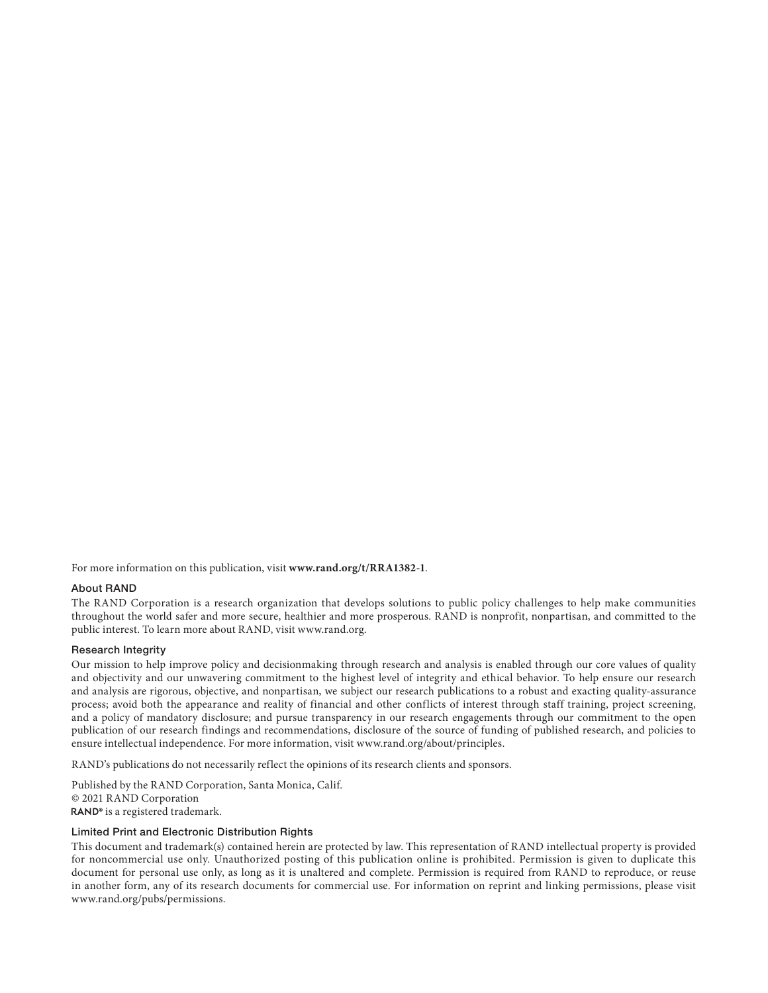For more information on this publication, visit **[www.rand.org/t/RRA1382-1](http://www.rand.org/t/RRA1382-1)**.

#### About RAND

The RAND Corporation is a research organization that develops solutions to public policy challenges to help make communities throughout the world safer and more secure, healthier and more prosperous. RAND is nonprofit, nonpartisan, and committed to the public interest. To learn more about RAND, visit [www.rand.org.](http://www.rand.org)

#### Research Integrity

Our mission to help improve policy and decisionmaking through research and analysis is enabled through our core values of quality and objectivity and our unwavering commitment to the highest level of integrity and ethical behavior. To help ensure our research and analysis are rigorous, objective, and nonpartisan, we subject our research publications to a robust and exacting quality-assurance process; avoid both the appearance and reality of financial and other conflicts of interest through staff training, project screening, and a policy of mandatory disclosure; and pursue transparency in our research engagements through our commitment to the open publication of our research findings and recommendations, disclosure of the source of funding of published research, and policies to ensure intellectual independence. For more information, visit [www.rand.org/about/principles.](http://www.rand.org/about/principles)

RAND's publications do not necessarily reflect the opinions of its research clients and sponsors.

Published by the RAND Corporation, Santa Monica, Calif. © 2021 RAND Corporation RAND<sup>®</sup> is a registered trademark.

#### Limited Print and Electronic Distribution Rights

This document and trademark(s) contained herein are protected by law. This representation of RAND intellectual property is provided for noncommercial use only. Unauthorized posting of this publication online is prohibited. Permission is given to duplicate this document for personal use only, as long as it is unaltered and complete. Permission is required from RAND to reproduce, or reuse in another form, any of its research documents for commercial use. For information on reprint and linking permissions, please visit [www.rand.org/pubs/permissions.](http://www.rand.org/pubs/permissions)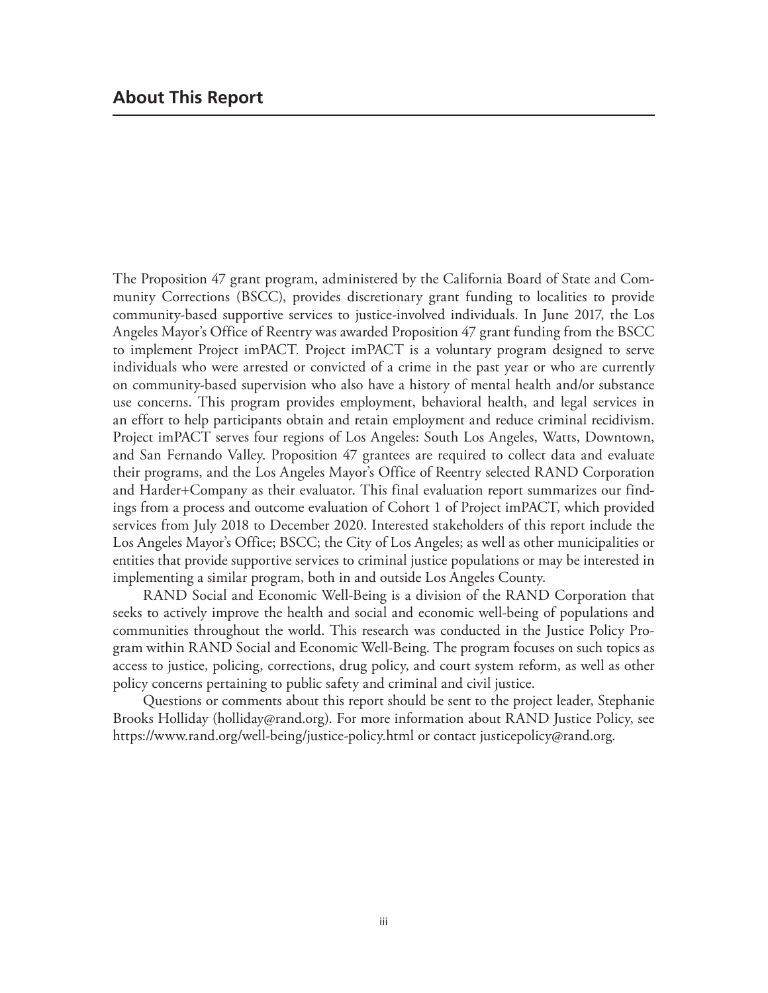The Proposition 47 grant program, administered by the California Board of State and Community Corrections (BSCC), provides discretionary grant funding to localities to provide community-based supportive services to justice-involved individuals. In June 2017, the Los Angeles Mayor's Office of Reentry was awarded Proposition 47 grant funding from the BSCC to implement Project imPACT. Project imPACT is a voluntary program designed to serve individuals who were arrested or convicted of a crime in the past year or who are currently on community-based supervision who also have a history of mental health and/or substance use concerns. This program provides employment, behavioral health, and legal services in an effort to help participants obtain and retain employment and reduce criminal recidivism. Project imPACT serves four regions of Los Angeles: South Los Angeles, Watts, Downtown, and San Fernando Valley. Proposition 47 grantees are required to collect data and evaluate their programs, and the Los Angeles Mayor's Office of Reentry selected RAND Corporation and Harder+Company as their evaluator. This final evaluation report summarizes our findings from a process and outcome evaluation of Cohort 1 of Project imPACT, which provided services from July 2018 to December 2020. Interested stakeholders of this report include the Los Angeles Mayor's Office; BSCC; the City of Los Angeles; as well as other municipalities or entities that provide supportive services to criminal justice populations or may be interested in implementing a similar program, both in and outside Los Angeles County.

RAND Social and Economic Well-Being is a division of the RAND Corporation that seeks to actively improve the health and social and economic well-being of populations and communities throughout the world. This research was conducted in the Justice Policy Program within RAND Social and Economic Well-Being. The program focuses on such topics as access to justice, policing, corrections, drug policy, and court system reform, as well as other policy concerns pertaining to public safety and criminal and civil justice.

Questions or comments about this report should be sent to the project leader, Stephanie Brooks Holliday [\(holliday@rand.org\)](mailto:holliday@rand.org). For more information about RAND Justice Policy, see <https://www.rand.org/well-being/justice-policy.html>or contact [justicepolicy@rand.org.](mailto:justicepolicy@rand.org)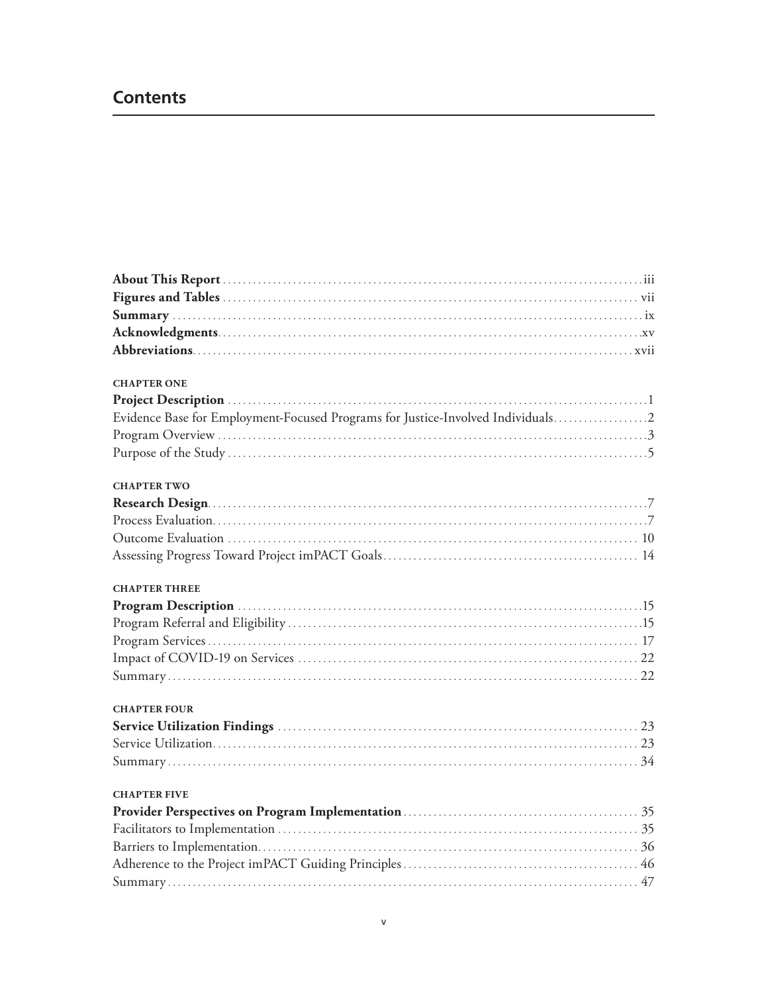## **Contents**

| <b>CHAPTER ONE</b>                                                              |
|---------------------------------------------------------------------------------|
|                                                                                 |
| Evidence Base for Employment-Focused Programs for Justice-Involved Individuals2 |
|                                                                                 |
|                                                                                 |
| <b>CHAPTER TWO</b>                                                              |
|                                                                                 |
|                                                                                 |
|                                                                                 |
|                                                                                 |
| <b>CHAPTER THREE</b>                                                            |
|                                                                                 |
|                                                                                 |
|                                                                                 |
|                                                                                 |
|                                                                                 |
| <b>CHAPTER FOUR</b>                                                             |
|                                                                                 |
|                                                                                 |
|                                                                                 |
| <b>CHAPTER FIVE</b>                                                             |
|                                                                                 |
|                                                                                 |
|                                                                                 |
|                                                                                 |
|                                                                                 |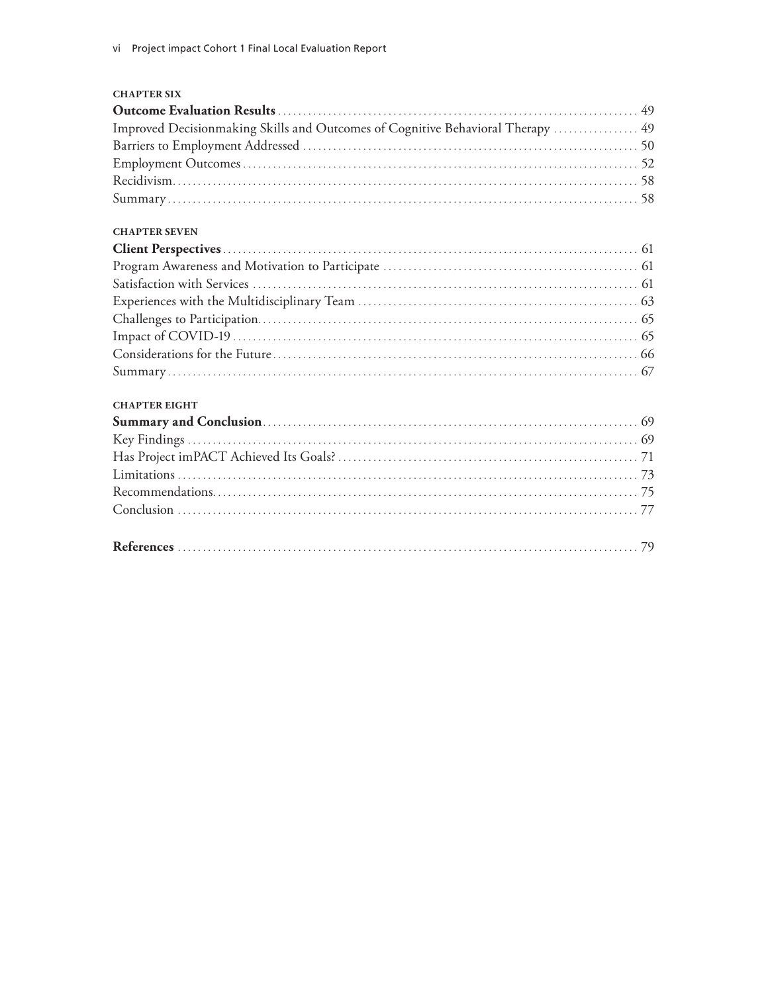#### **CHAPTER SIX**

| Improved Decisionmaking Skills and Outcomes of Cognitive Behavioral Therapy  49 |  |
|---------------------------------------------------------------------------------|--|
|                                                                                 |  |
|                                                                                 |  |
|                                                                                 |  |
|                                                                                 |  |

#### **CHAPTER SEVEN**

#### **CHAPTER EIGHT**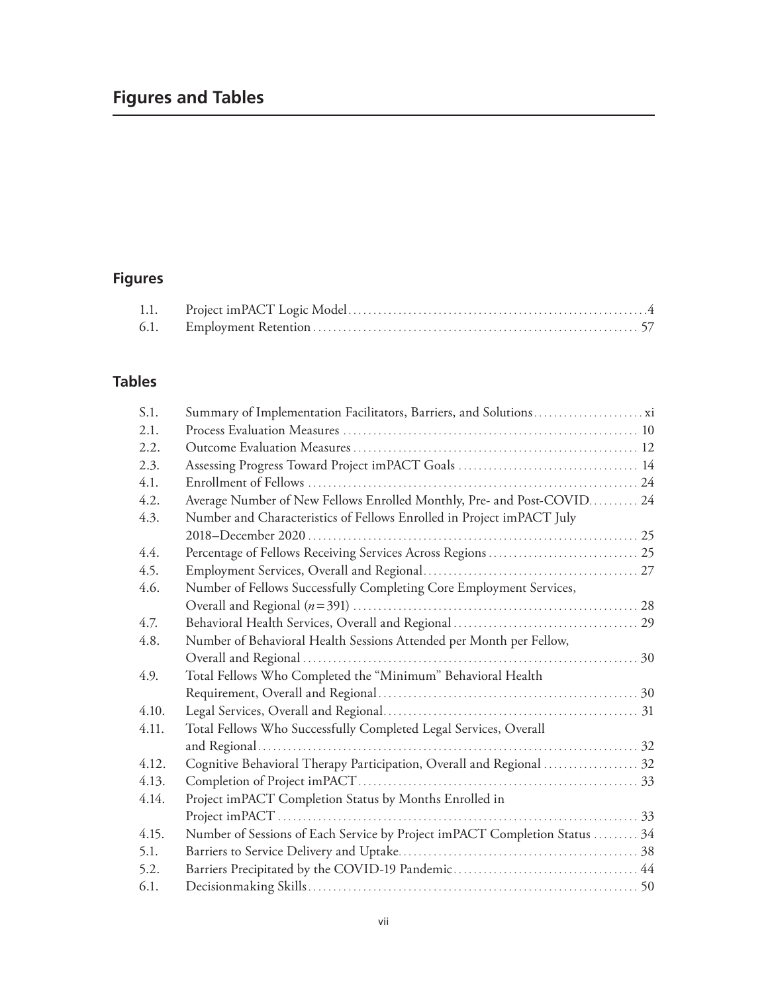# **Figures and Tables**

# **Figures**

## **Tables**

| S.1.  |                                                                            |  |
|-------|----------------------------------------------------------------------------|--|
| 2.1.  |                                                                            |  |
| 2.2.  |                                                                            |  |
| 2.3.  |                                                                            |  |
| 4.1.  |                                                                            |  |
| 4.2.  | Average Number of New Fellows Enrolled Monthly, Pre- and Post-COVID 24     |  |
| 4.3.  | Number and Characteristics of Fellows Enrolled in Project imPACT July      |  |
|       |                                                                            |  |
| 4.4.  |                                                                            |  |
| 4.5.  |                                                                            |  |
| 4.6.  | Number of Fellows Successfully Completing Core Employment Services,        |  |
|       |                                                                            |  |
| 4.7.  |                                                                            |  |
| 4.8.  | Number of Behavioral Health Sessions Attended per Month per Fellow,        |  |
|       |                                                                            |  |
| 4.9.  | Total Fellows Who Completed the "Minimum" Behavioral Health                |  |
|       |                                                                            |  |
| 4.10. |                                                                            |  |
| 4.11. | Total Fellows Who Successfully Completed Legal Services, Overall           |  |
|       |                                                                            |  |
| 4.12. | Cognitive Behavioral Therapy Participation, Overall and Regional  32       |  |
| 4.13. |                                                                            |  |
| 4.14. | Project imPACT Completion Status by Months Enrolled in                     |  |
|       |                                                                            |  |
| 4.15. | Number of Sessions of Each Service by Project imPACT Completion Status  34 |  |
| 5.1.  |                                                                            |  |
| 5.2.  |                                                                            |  |
| 6.1.  |                                                                            |  |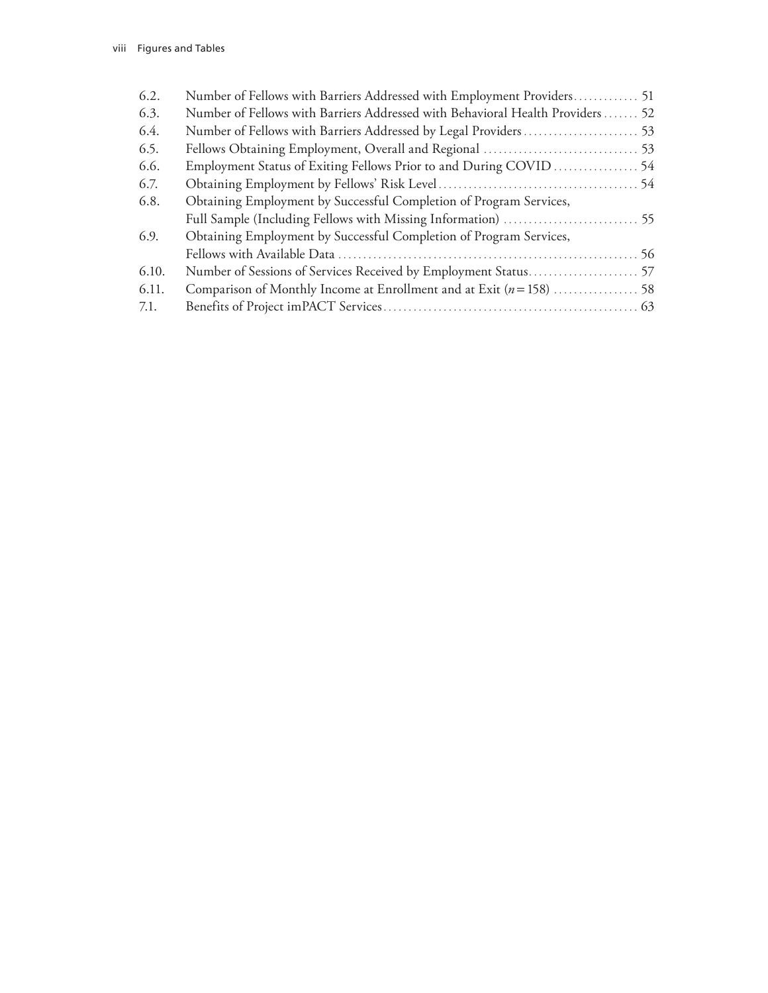| 6.2.  | Number of Fellows with Barriers Addressed with Employment Providers 51         |  |
|-------|--------------------------------------------------------------------------------|--|
| 6.3.  | Number of Fellows with Barriers Addressed with Behavioral Health Providers  52 |  |
| 6.4.  |                                                                                |  |
| 6.5.  |                                                                                |  |
| 6.6.  | Employment Status of Exiting Fellows Prior to and During COVID  54             |  |
| 6.7.  |                                                                                |  |
| 6.8.  | Obtaining Employment by Successful Completion of Program Services,             |  |
|       |                                                                                |  |
| 6.9.  | Obtaining Employment by Successful Completion of Program Services,             |  |
|       |                                                                                |  |
| 6.10. |                                                                                |  |
| 6.11. |                                                                                |  |
| 7.1.  |                                                                                |  |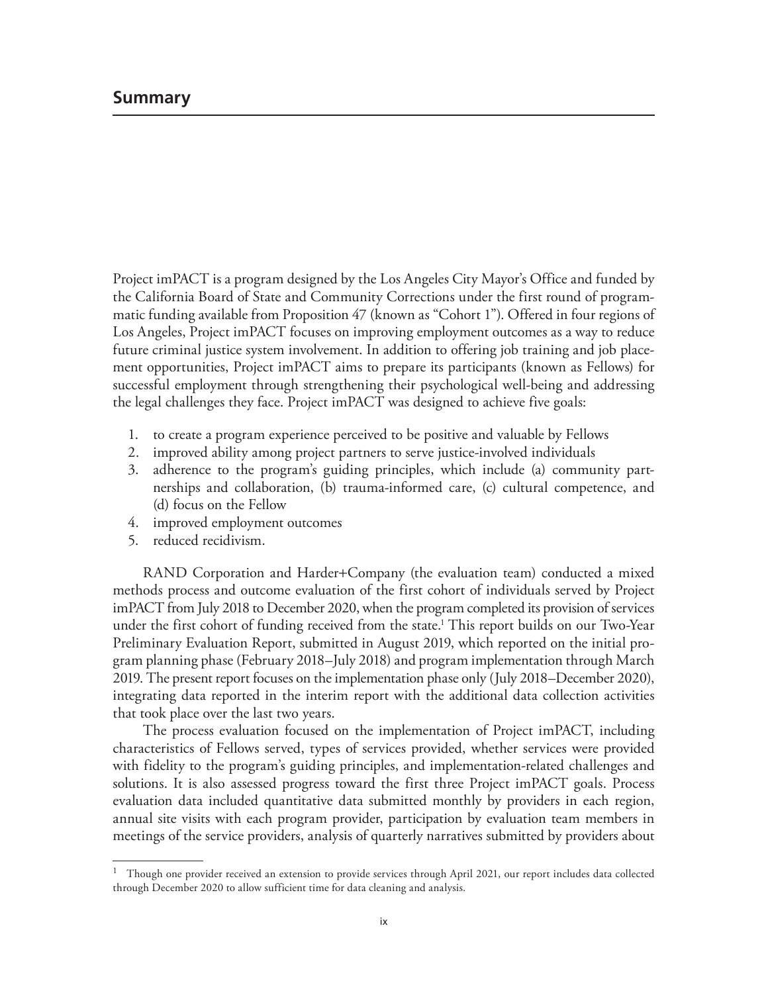Project imPACT is a program designed by the Los Angeles City Mayor's Office and funded by the California Board of State and Community Corrections under the first round of programmatic funding available from Proposition 47 (known as "Cohort 1"). Offered in four regions of Los Angeles, Project imPACT focuses on improving employment outcomes as a way to reduce future criminal justice system involvement. In addition to offering job training and job placement opportunities, Project imPACT aims to prepare its participants (known as Fellows) for successful employment through strengthening their psychological well-being and addressing the legal challenges they face. Project imPACT was designed to achieve five goals:

- 1. to create a program experience perceived to be positive and valuable by Fellows
- 2. improved ability among project partners to serve justice-involved individuals
- 3. adherence to the program's guiding principles, which include (a) community partnerships and collaboration, (b) trauma-informed care, (c) cultural competence, and (d) focus on the Fellow
- 4. improved employment outcomes
- 5. reduced recidivism.

RAND Corporation and Harder+Company (the evaluation team) conducted a mixed methods process and outcome evaluation of the first cohort of individuals served by Project imPACT from July 2018 to December 2020, when the program completed its provision of services under the first cohort of funding received from the state.<sup>1</sup> This report builds on our Two-Year Preliminary Evaluation Report, submitted in August 2019, which reported on the initial program planning phase (February 2018–July 2018) and program implementation through March 2019. The present report focuses on the implementation phase only (July 2018–December 2020), integrating data reported in the interim report with the additional data collection activities that took place over the last two years.

The process evaluation focused on the implementation of Project imPACT, including characteristics of Fellows served, types of services provided, whether services were provided with fidelity to the program's guiding principles, and implementation-related challenges and solutions. It is also assessed progress toward the first three Project imPACT goals. Process evaluation data included quantitative data submitted monthly by providers in each region, annual site visits with each program provider, participation by evaluation team members in meetings of the service providers, analysis of quarterly narratives submitted by providers about

<sup>&</sup>lt;sup>1</sup> Though one provider received an extension to provide services through April 2021, our report includes data collected through December 2020 to allow sufficient time for data cleaning and analysis.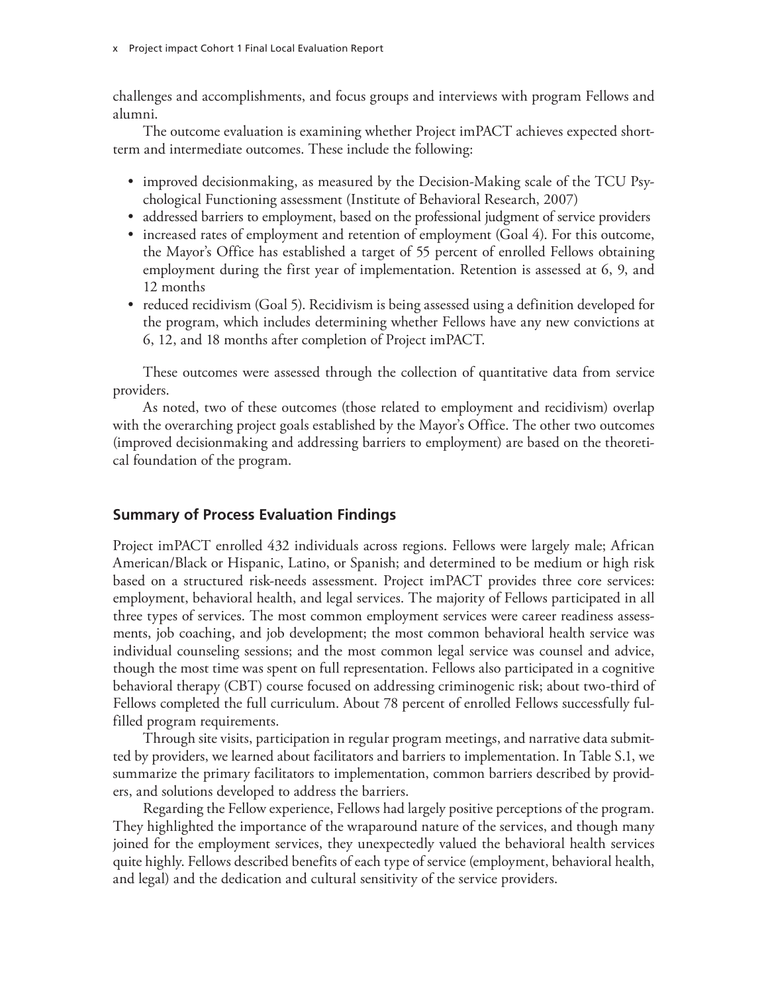challenges and accomplishments, and focus groups and interviews with program Fellows and alumni.

The outcome evaluation is examining whether Project imPACT achieves expected shortterm and intermediate outcomes. These include the following:

- improved decisionmaking, as measured by the Decision-Making scale of the TCU Psychological Functioning assessment (Institute of Behavioral Research, 2007)
- addressed barriers to employment, based on the professional judgment of service providers
- increased rates of employment and retention of employment (Goal 4). For this outcome, the Mayor's Office has established a target of 55 percent of enrolled Fellows obtaining employment during the first year of implementation. Retention is assessed at 6, 9, and 12 months
- reduced recidivism (Goal 5). Recidivism is being assessed using a definition developed for the program, which includes determining whether Fellows have any new convictions at 6, 12, and 18 months after completion of Project imPACT.

These outcomes were assessed through the collection of quantitative data from service providers.

As noted, two of these outcomes (those related to employment and recidivism) overlap with the overarching project goals established by the Mayor's Office. The other two outcomes (improved decisionmaking and addressing barriers to employment) are based on the theoretical foundation of the program.

#### **Summary of Process Evaluation Findings**

Project imPACT enrolled 432 individuals across regions. Fellows were largely male; African American/Black or Hispanic, Latino, or Spanish; and determined to be medium or high risk based on a structured risk-needs assessment. Project imPACT provides three core services: employment, behavioral health, and legal services. The majority of Fellows participated in all three types of services. The most common employment services were career readiness assessments, job coaching, and job development; the most common behavioral health service was individual counseling sessions; and the most common legal service was counsel and advice, though the most time was spent on full representation. Fellows also participated in a cognitive behavioral therapy (CBT) course focused on addressing criminogenic risk; about two-third of Fellows completed the full curriculum. About 78 percent of enrolled Fellows successfully fulfilled program requirements.

Through site visits, participation in regular program meetings, and narrative data submitted by providers, we learned about facilitators and barriers to implementation. In Table S.1, we summarize the primary facilitators to implementation, common barriers described by providers, and solutions developed to address the barriers.

Regarding the Fellow experience, Fellows had largely positive perceptions of the program. They highlighted the importance of the wraparound nature of the services, and though many joined for the employment services, they unexpectedly valued the behavioral health services quite highly. Fellows described benefits of each type of service (employment, behavioral health, and legal) and the dedication and cultural sensitivity of the service providers.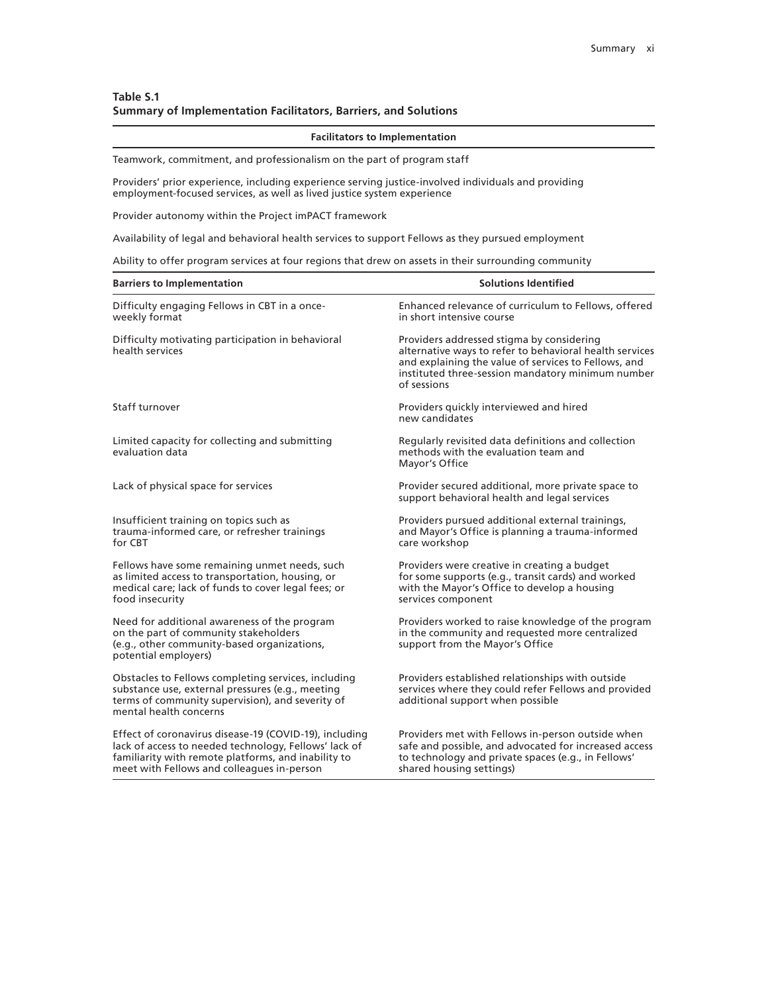#### **Table S.1 Summary of Implementation Facilitators, Barriers, and Solutions**

#### **Facilitators to Implementation**

Teamwork, commitment, and professionalism on the part of program staff

Providers' prior experience, including experience serving justice-involved individuals and providing employment-focused services, as well as lived justice system experience

Provider autonomy within the Project imPACT framework

Availability of legal and behavioral health services to support Fellows as they pursued employment

Ability to offer program services at four regions that drew on assets in their surrounding community

| <b>Barriers to Implementation</b>                                                                                                                                                                                    | <b>Solutions Identified</b>                                                                                                                                                                                                      |  |
|----------------------------------------------------------------------------------------------------------------------------------------------------------------------------------------------------------------------|----------------------------------------------------------------------------------------------------------------------------------------------------------------------------------------------------------------------------------|--|
| Difficulty engaging Fellows in CBT in a once-<br>weekly format                                                                                                                                                       | Enhanced relevance of curriculum to Fellows, offered<br>in short intensive course                                                                                                                                                |  |
| Difficulty motivating participation in behavioral<br>health services                                                                                                                                                 | Providers addressed stigma by considering<br>alternative ways to refer to behavioral health services<br>and explaining the value of services to Fellows, and<br>instituted three-session mandatory minimum number<br>of sessions |  |
| Staff turnover                                                                                                                                                                                                       | Providers quickly interviewed and hired<br>new candidates                                                                                                                                                                        |  |
| Limited capacity for collecting and submitting<br>evaluation data                                                                                                                                                    | Regularly revisited data definitions and collection<br>methods with the evaluation team and<br>Mayor's Office                                                                                                                    |  |
| Lack of physical space for services                                                                                                                                                                                  | Provider secured additional, more private space to<br>support behavioral health and legal services                                                                                                                               |  |
| Insufficient training on topics such as<br>trauma-informed care, or refresher trainings<br>for CBT                                                                                                                   | Providers pursued additional external trainings,<br>and Mayor's Office is planning a trauma-informed<br>care workshop                                                                                                            |  |
| Fellows have some remaining unmet needs, such<br>as limited access to transportation, housing, or<br>medical care; lack of funds to cover legal fees; or<br>food insecurity                                          | Providers were creative in creating a budget<br>for some supports (e.g., transit cards) and worked<br>with the Mayor's Office to develop a housing<br>services component                                                         |  |
| Need for additional awareness of the program<br>on the part of community stakeholders<br>(e.g., other community-based organizations,<br>potential employers)                                                         | Providers worked to raise knowledge of the program<br>in the community and requested more centralized<br>support from the Mayor's Office                                                                                         |  |
| Obstacles to Fellows completing services, including<br>substance use, external pressures (e.g., meeting<br>terms of community supervision), and severity of<br>mental health concerns                                | Providers established relationships with outside<br>services where they could refer Fellows and provided<br>additional support when possible                                                                                     |  |
| Effect of coronavirus disease-19 (COVID-19), including<br>lack of access to needed technology, Fellows' lack of<br>familiarity with remote platforms, and inability to<br>meet with Fellows and colleagues in-person | Providers met with Fellows in-person outside when<br>safe and possible, and advocated for increased access<br>to technology and private spaces (e.g., in Fellows'<br>shared housing settings)                                    |  |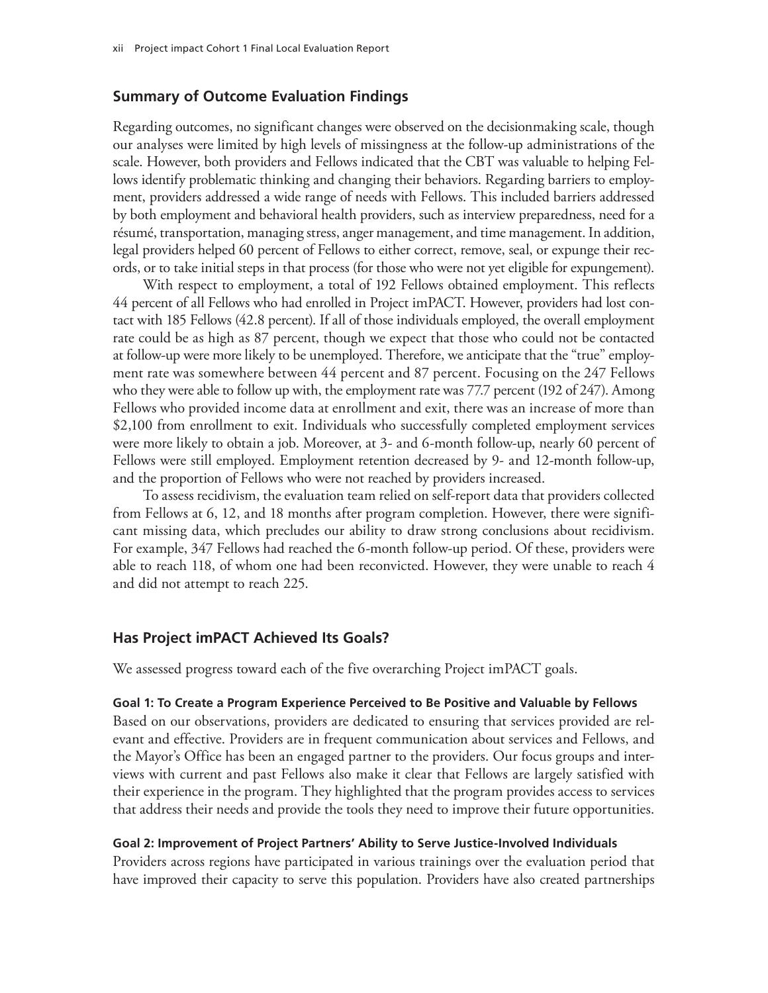#### **Summary of Outcome Evaluation Findings**

Regarding outcomes, no significant changes were observed on the decisionmaking scale, though our analyses were limited by high levels of missingness at the follow-up administrations of the scale. However, both providers and Fellows indicated that the CBT was valuable to helping Fellows identify problematic thinking and changing their behaviors. Regarding barriers to employment, providers addressed a wide range of needs with Fellows. This included barriers addressed by both employment and behavioral health providers, such as interview preparedness, need for a résumé, transportation, managing stress, anger management, and time management. In addition, legal providers helped 60 percent of Fellows to either correct, remove, seal, or expunge their records, or to take initial steps in that process (for those who were not yet eligible for expungement).

With respect to employment, a total of 192 Fellows obtained employment. This reflects 44 percent of all Fellows who had enrolled in Project imPACT. However, providers had lost contact with 185 Fellows (42.8 percent). If all of those individuals employed, the overall employment rate could be as high as 87 percent, though we expect that those who could not be contacted at follow-up were more likely to be unemployed. Therefore, we anticipate that the "true" employment rate was somewhere between 44 percent and 87 percent. Focusing on the 247 Fellows who they were able to follow up with, the employment rate was 77.7 percent (192 of 247). Among Fellows who provided income data at enrollment and exit, there was an increase of more than \$2,100 from enrollment to exit. Individuals who successfully completed employment services were more likely to obtain a job. Moreover, at 3- and 6-month follow-up, nearly 60 percent of Fellows were still employed. Employment retention decreased by 9- and 12-month follow-up, and the proportion of Fellows who were not reached by providers increased.

To assess recidivism, the evaluation team relied on self-report data that providers collected from Fellows at 6, 12, and 18 months after program completion. However, there were significant missing data, which precludes our ability to draw strong conclusions about recidivism. For example, 347 Fellows had reached the 6-month follow-up period. Of these, providers were able to reach 118, of whom one had been reconvicted. However, they were unable to reach 4 and did not attempt to reach 225.

#### **Has Project imPACT Achieved Its Goals?**

We assessed progress toward each of the five overarching Project imPACT goals.

#### **Goal 1: To Create a Program Experience Perceived to Be Positive and Valuable by Fellows**

Based on our observations, providers are dedicated to ensuring that services provided are relevant and effective. Providers are in frequent communication about services and Fellows, and the Mayor's Office has been an engaged partner to the providers. Our focus groups and interviews with current and past Fellows also make it clear that Fellows are largely satisfied with their experience in the program. They highlighted that the program provides access to services that address their needs and provide the tools they need to improve their future opportunities.

#### **Goal 2: Improvement of Project Partners' Ability to Serve Justice-Involved Individuals**

Providers across regions have participated in various trainings over the evaluation period that have improved their capacity to serve this population. Providers have also created partnerships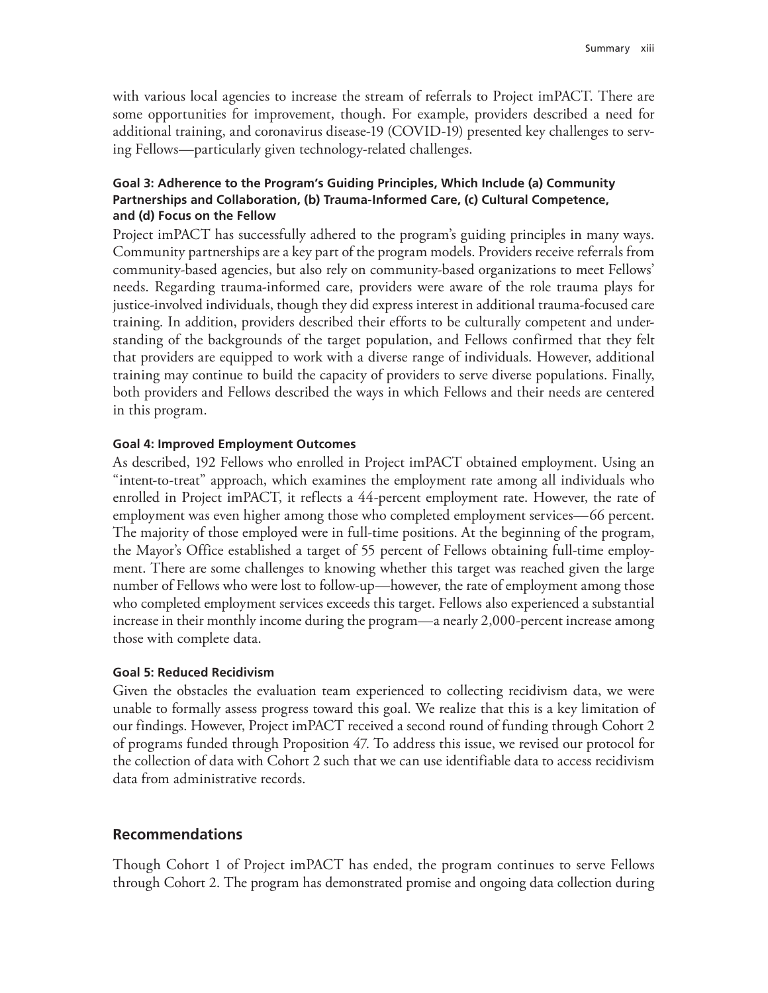with various local agencies to increase the stream of referrals to Project imPACT. There are some opportunities for improvement, though. For example, providers described a need for additional training, and coronavirus disease-19 (COVID-19) presented key challenges to serving Fellows—particularly given technology-related challenges.

#### **Goal 3: Adherence to the Program's Guiding Principles, Which Include (a) Community Partnerships and Collaboration, (b) Trauma-Informed Care, (c) Cultural Competence, and (d) Focus on the Fellow**

Project imPACT has successfully adhered to the program's guiding principles in many ways. Community partnerships are a key part of the program models. Providers receive referrals from community-based agencies, but also rely on community-based organizations to meet Fellows' needs. Regarding trauma-informed care, providers were aware of the role trauma plays for justice-involved individuals, though they did express interest in additional trauma-focused care training. In addition, providers described their efforts to be culturally competent and understanding of the backgrounds of the target population, and Fellows confirmed that they felt that providers are equipped to work with a diverse range of individuals. However, additional training may continue to build the capacity of providers to serve diverse populations. Finally, both providers and Fellows described the ways in which Fellows and their needs are centered in this program.

#### **Goal 4: Improved Employment Outcomes**

As described, 192 Fellows who enrolled in Project imPACT obtained employment. Using an "intent-to-treat" approach, which examines the employment rate among all individuals who enrolled in Project imPACT, it reflects a 44-percent employment rate. However, the rate of employment was even higher among those who completed employment services—66 percent. The majority of those employed were in full-time positions. At the beginning of the program, the Mayor's Office established a target of 55 percent of Fellows obtaining full-time employment. There are some challenges to knowing whether this target was reached given the large number of Fellows who were lost to follow-up—however, the rate of employment among those who completed employment services exceeds this target. Fellows also experienced a substantial increase in their monthly income during the program—a nearly 2,000-percent increase among those with complete data.

#### **Goal 5: Reduced Recidivism**

Given the obstacles the evaluation team experienced to collecting recidivism data, we were unable to formally assess progress toward this goal. We realize that this is a key limitation of our findings. However, Project imPACT received a second round of funding through Cohort 2 of programs funded through Proposition 47. To address this issue, we revised our protocol for the collection of data with Cohort 2 such that we can use identifiable data to access recidivism data from administrative records.

## **Recommendations**

Though Cohort 1 of Project imPACT has ended, the program continues to serve Fellows through Cohort 2. The program has demonstrated promise and ongoing data collection during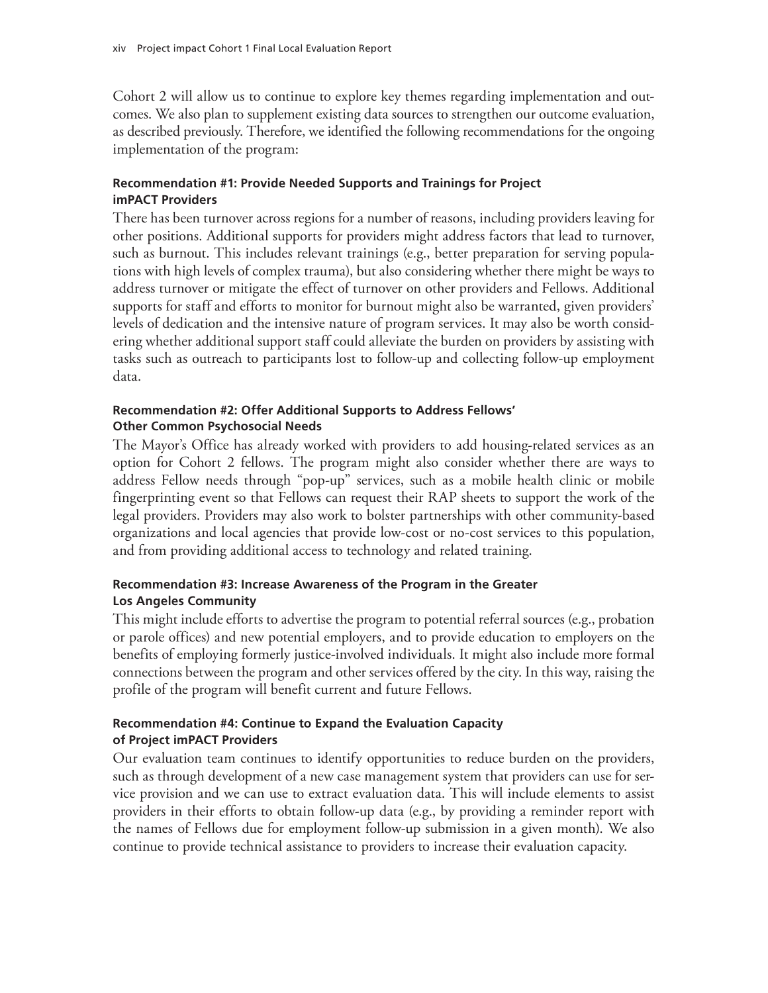Cohort 2 will allow us to continue to explore key themes regarding implementation and outcomes. We also plan to supplement existing data sources to strengthen our outcome evaluation, as described previously. Therefore, we identified the following recommendations for the ongoing implementation of the program:

## **Recommendation #1: Provide Needed Supports and Trainings for Project imPACT Providers**

There has been turnover across regions for a number of reasons, including providers leaving for other positions. Additional supports for providers might address factors that lead to turnover, such as burnout. This includes relevant trainings (e.g., better preparation for serving populations with high levels of complex trauma), but also considering whether there might be ways to address turnover or mitigate the effect of turnover on other providers and Fellows. Additional supports for staff and efforts to monitor for burnout might also be warranted, given providers' levels of dedication and the intensive nature of program services. It may also be worth considering whether additional support staff could alleviate the burden on providers by assisting with tasks such as outreach to participants lost to follow-up and collecting follow-up employment data.

## **Recommendation #2: Offer Additional Supports to Address Fellows' Other Common Psychosocial Needs**

The Mayor's Office has already worked with providers to add housing-related services as an option for Cohort 2 fellows. The program might also consider whether there are ways to address Fellow needs through "pop-up" services, such as a mobile health clinic or mobile fingerprinting event so that Fellows can request their RAP sheets to support the work of the legal providers. Providers may also work to bolster partnerships with other community-based organizations and local agencies that provide low-cost or no-cost services to this population, and from providing additional access to technology and related training.

## **Recommendation #3: Increase Awareness of the Program in the Greater Los Angeles Community**

This might include efforts to advertise the program to potential referral sources (e.g., probation or parole offices) and new potential employers, and to provide education to employers on the benefits of employing formerly justice-involved individuals. It might also include more formal connections between the program and other services offered by the city. In this way, raising the profile of the program will benefit current and future Fellows.

## **Recommendation #4: Continue to Expand the Evaluation Capacity of Project imPACT Providers**

Our evaluation team continues to identify opportunities to reduce burden on the providers, such as through development of a new case management system that providers can use for service provision and we can use to extract evaluation data. This will include elements to assist providers in their efforts to obtain follow-up data (e.g., by providing a reminder report with the names of Fellows due for employment follow-up submission in a given month). We also continue to provide technical assistance to providers to increase their evaluation capacity.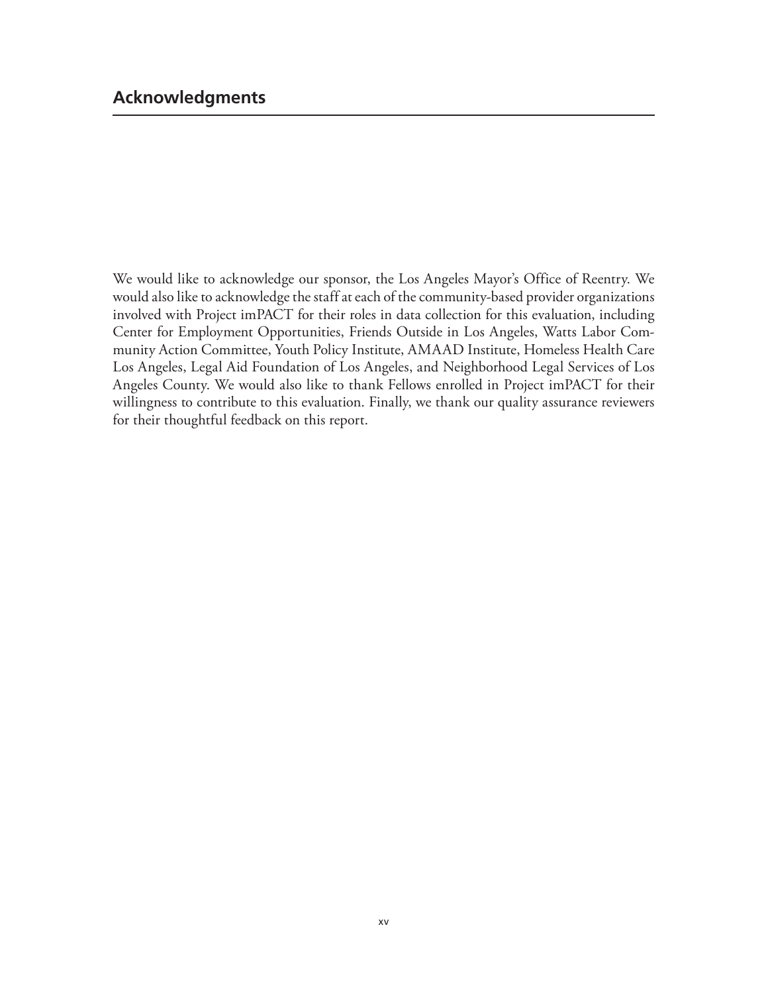We would like to acknowledge our sponsor, the Los Angeles Mayor's Office of Reentry. We would also like to acknowledge the staff at each of the community-based provider organizations involved with Project imPACT for their roles in data collection for this evaluation, including Center for Employment Opportunities, Friends Outside in Los Angeles, Watts Labor Community Action Committee, Youth Policy Institute, AMAAD Institute, Homeless Health Care Los Angeles, Legal Aid Foundation of Los Angeles, and Neighborhood Legal Services of Los Angeles County. We would also like to thank Fellows enrolled in Project imPACT for their willingness to contribute to this evaluation. Finally, we thank our quality assurance reviewers for their thoughtful feedback on this report.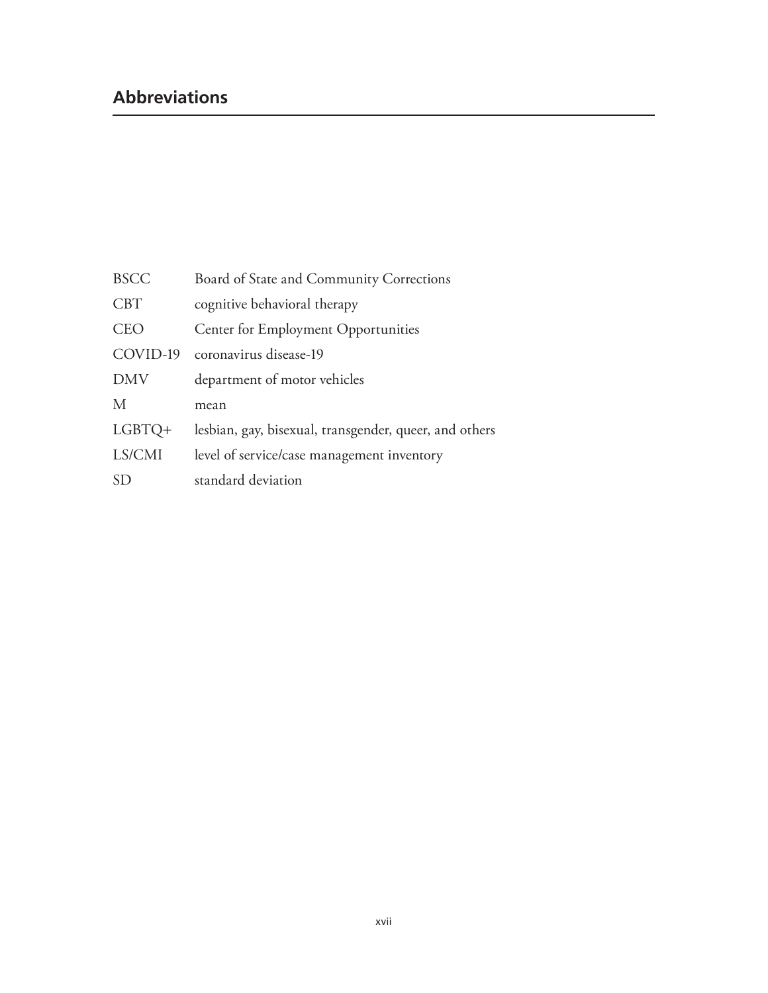# **Abbreviations**

| <b>BSCC</b> | Board of State and Community Corrections               |
|-------------|--------------------------------------------------------|
| <b>CBT</b>  | cognitive behavioral therapy                           |
| <b>CEO</b>  | Center for Employment Opportunities                    |
| COVID-19    | coronavirus disease-19                                 |
| <b>DMV</b>  | department of motor vehicles                           |
| M           | mean                                                   |
| LGBTQ+      | lesbian, gay, bisexual, transgender, queer, and others |
| LS/CMI      | level of service/case management inventory             |
| <i>SD</i>   | standard deviation                                     |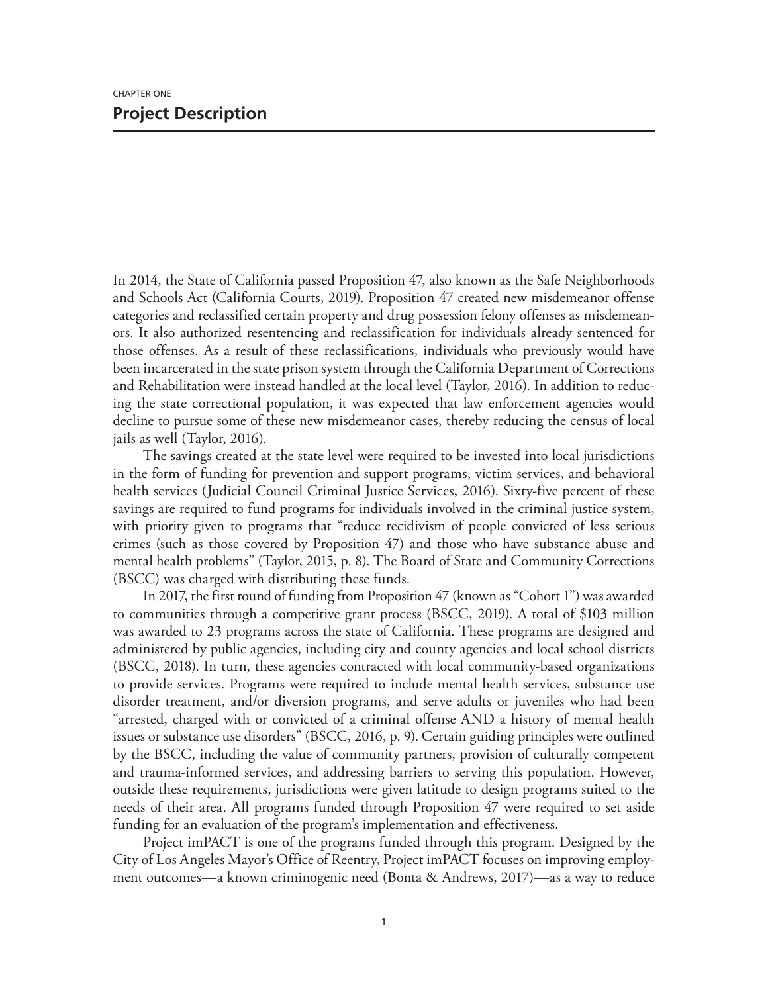In 2014, the State of California passed Proposition 47, also known as the Safe Neighborhoods and Schools Act (California Courts, 2019). Proposition 47 created new misdemeanor offense categories and reclassified certain property and drug possession felony offenses as misdemeanors. It also authorized resentencing and reclassification for individuals already sentenced for those offenses. As a result of these reclassifications, individuals who previously would have been incarcerated in the state prison system through the California Department of Corrections and Rehabilitation were instead handled at the local level (Taylor, 2016). In addition to reducing the state correctional population, it was expected that law enforcement agencies would decline to pursue some of these new misdemeanor cases, thereby reducing the census of local jails as well (Taylor, 2016).

The savings created at the state level were required to be invested into local jurisdictions in the form of funding for prevention and support programs, victim services, and behavioral health services (Judicial Council Criminal Justice Services, 2016). Sixty-five percent of these savings are required to fund programs for individuals involved in the criminal justice system, with priority given to programs that "reduce recidivism of people convicted of less serious crimes (such as those covered by Proposition 47) and those who have substance abuse and mental health problems" (Taylor, 2015, p. 8). The Board of State and Community Corrections (BSCC) was charged with distributing these funds.

In 2017, the first round of funding from Proposition 47 (known as "Cohort 1") was awarded to communities through a competitive grant process (BSCC, 2019). A total of \$103 million was awarded to 23 programs across the state of California. These programs are designed and administered by public agencies, including city and county agencies and local school districts (BSCC, 2018). In turn, these agencies contracted with local community-based organizations to provide services. Programs were required to include mental health services, substance use disorder treatment, and/or diversion programs, and serve adults or juveniles who had been "arrested, charged with or convicted of a criminal offense AND a history of mental health issues or substance use disorders" (BSCC, 2016, p. 9). Certain guiding principles were outlined by the BSCC, including the value of community partners, provision of culturally competent and trauma-informed services, and addressing barriers to serving this population. However, outside these requirements, jurisdictions were given latitude to design programs suited to the needs of their area. All programs funded through Proposition 47 were required to set aside funding for an evaluation of the program's implementation and effectiveness.

Project imPACT is one of the programs funded through this program. Designed by the City of Los Angeles Mayor's Office of Reentry, Project imPACT focuses on improving employment outcomes—a known criminogenic need (Bonta & Andrews, 2017)—as a way to reduce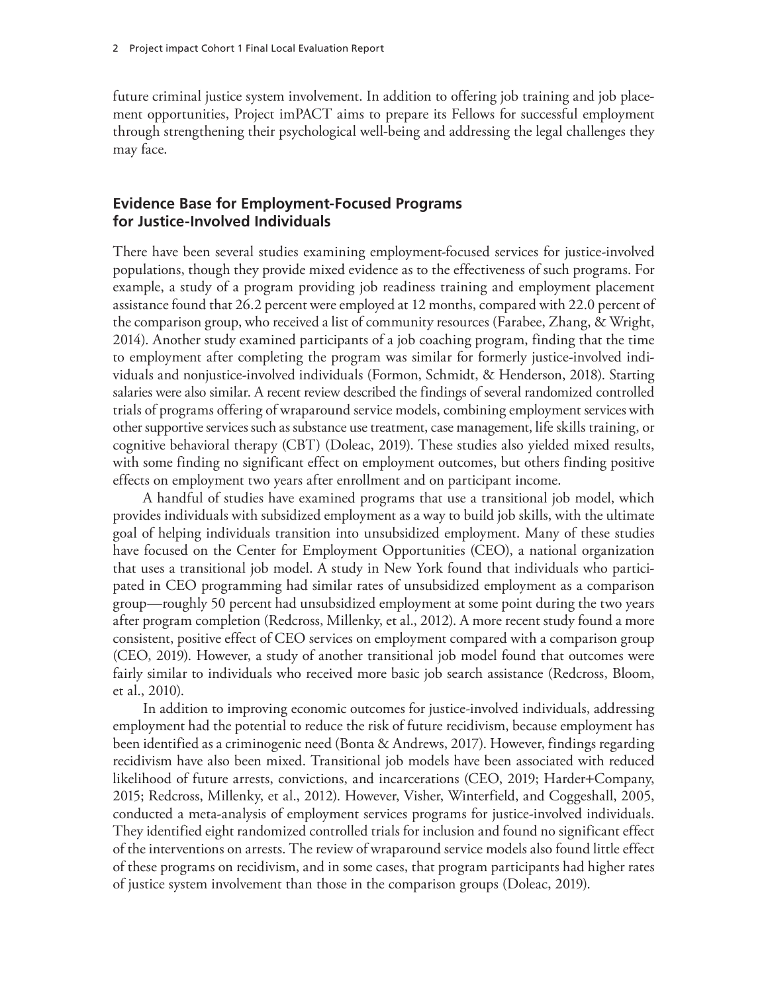future criminal justice system involvement. In addition to offering job training and job placement opportunities, Project imPACT aims to prepare its Fellows for successful employment through strengthening their psychological well-being and addressing the legal challenges they may face.

## **Evidence Base for Employment-Focused Programs for Justice-Involved Individuals**

There have been several studies examining employment-focused services for justice-involved populations, though they provide mixed evidence as to the effectiveness of such programs. For example, a study of a program providing job readiness training and employment placement assistance found that 26.2 percent were employed at 12 months, compared with 22.0 percent of the comparison group, who received a list of community resources (Farabee, Zhang, & Wright, 2014). Another study examined participants of a job coaching program, finding that the time to employment after completing the program was similar for formerly justice-involved individuals and nonjustice-involved individuals (Formon, Schmidt, & Henderson, 2018). Starting salaries were also similar. A recent review described the findings of several randomized controlled trials of programs offering of wraparound service models, combining employment services with other supportive services such as substance use treatment, case management, life skills training, or cognitive behavioral therapy (CBT) (Doleac, 2019). These studies also yielded mixed results, with some finding no significant effect on employment outcomes, but others finding positive effects on employment two years after enrollment and on participant income.

A handful of studies have examined programs that use a transitional job model, which provides individuals with subsidized employment as a way to build job skills, with the ultimate goal of helping individuals transition into unsubsidized employment. Many of these studies have focused on the Center for Employment Opportunities (CEO), a national organization that uses a transitional job model. A study in New York found that individuals who participated in CEO programming had similar rates of unsubsidized employment as a comparison group—roughly 50 percent had unsubsidized employment at some point during the two years after program completion (Redcross, Millenky, et al., 2012). A more recent study found a more consistent, positive effect of CEO services on employment compared with a comparison group (CEO, 2019). However, a study of another transitional job model found that outcomes were fairly similar to individuals who received more basic job search assistance (Redcross, Bloom, et al., 2010).

In addition to improving economic outcomes for justice-involved individuals, addressing employment had the potential to reduce the risk of future recidivism, because employment has been identified as a criminogenic need (Bonta & Andrews, 2017). However, findings regarding recidivism have also been mixed. Transitional job models have been associated with reduced likelihood of future arrests, convictions, and incarcerations (CEO, 2019; Harder+Company, 2015; Redcross, Millenky, et al., 2012). However, Visher, Winterfield, and Coggeshall, 2005, conducted a meta-analysis of employment services programs for justice-involved individuals. They identified eight randomized controlled trials for inclusion and found no significant effect of the interventions on arrests. The review of wraparound service models also found little effect of these programs on recidivism, and in some cases, that program participants had higher rates of justice system involvement than those in the comparison groups (Doleac, 2019).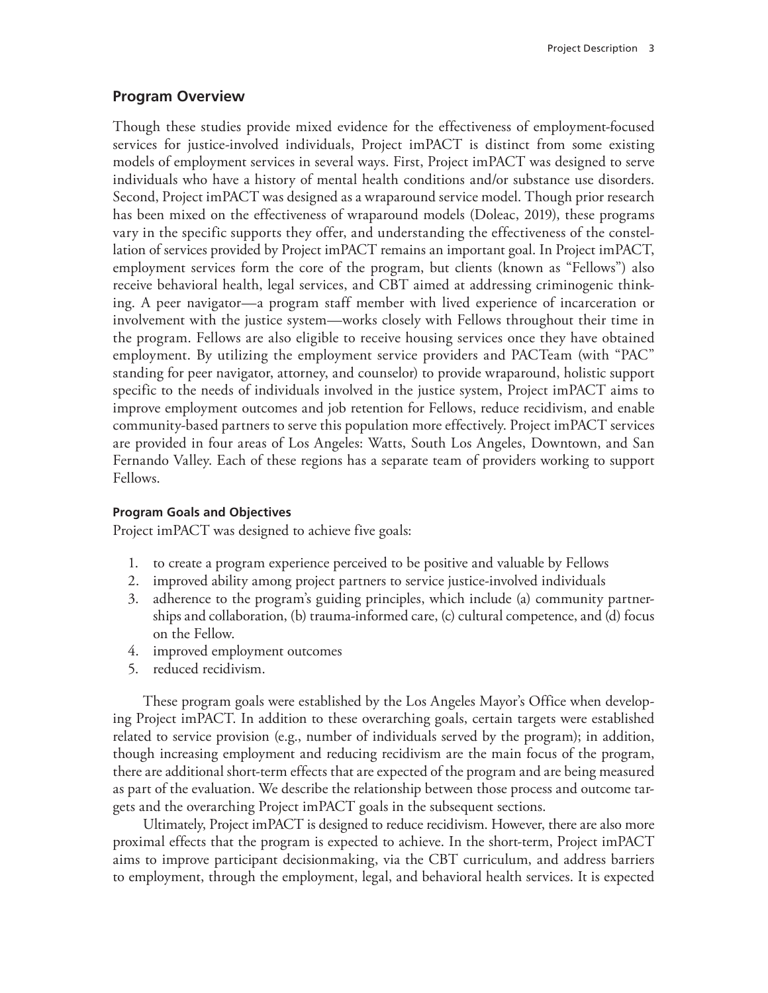## **Program Overview**

Though these studies provide mixed evidence for the effectiveness of employment-focused services for justice-involved individuals, Project imPACT is distinct from some existing models of employment services in several ways. First, Project imPACT was designed to serve individuals who have a history of mental health conditions and/or substance use disorders. Second, Project imPACT was designed as a wraparound service model. Though prior research has been mixed on the effectiveness of wraparound models (Doleac, 2019), these programs vary in the specific supports they offer, and understanding the effectiveness of the constellation of services provided by Project imPACT remains an important goal. In Project imPACT, employment services form the core of the program, but clients (known as "Fellows") also receive behavioral health, legal services, and CBT aimed at addressing criminogenic thinking. A peer navigator—a program staff member with lived experience of incarceration or involvement with the justice system—works closely with Fellows throughout their time in the program. Fellows are also eligible to receive housing services once they have obtained employment. By utilizing the employment service providers and PACTeam (with "PAC" standing for peer navigator, attorney, and counselor) to provide wraparound, holistic support specific to the needs of individuals involved in the justice system, Project imPACT aims to improve employment outcomes and job retention for Fellows, reduce recidivism, and enable community-based partners to serve this population more effectively. Project imPACT services are provided in four areas of Los Angeles: Watts, South Los Angeles, Downtown, and San Fernando Valley. Each of these regions has a separate team of providers working to support Fellows.

#### **Program Goals and Objectives**

Project imPACT was designed to achieve five goals:

- 1. to create a program experience perceived to be positive and valuable by Fellows
- 2. improved ability among project partners to service justice-involved individuals
- 3. adherence to the program's guiding principles, which include (a) community partnerships and collaboration, (b) trauma-informed care, (c) cultural competence, and (d) focus on the Fellow.
- 4. improved employment outcomes
- 5. reduced recidivism.

These program goals were established by the Los Angeles Mayor's Office when developing Project imPACT. In addition to these overarching goals, certain targets were established related to service provision (e.g., number of individuals served by the program); in addition, though increasing employment and reducing recidivism are the main focus of the program, there are additional short-term effects that are expected of the program and are being measured as part of the evaluation. We describe the relationship between those process and outcome targets and the overarching Project imPACT goals in the subsequent sections.

Ultimately, Project imPACT is designed to reduce recidivism. However, there are also more proximal effects that the program is expected to achieve. In the short-term, Project imPACT aims to improve participant decisionmaking, via the CBT curriculum, and address barriers to employment, through the employment, legal, and behavioral health services. It is expected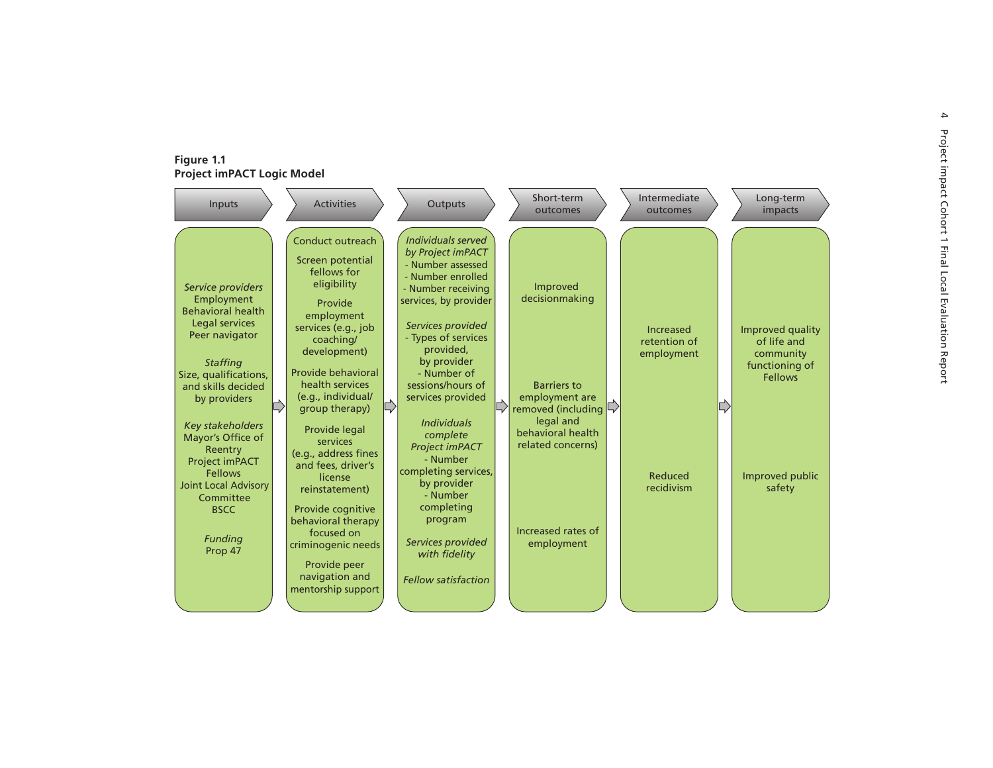

#### **Figure 1.1 Project imPACT Logic Model**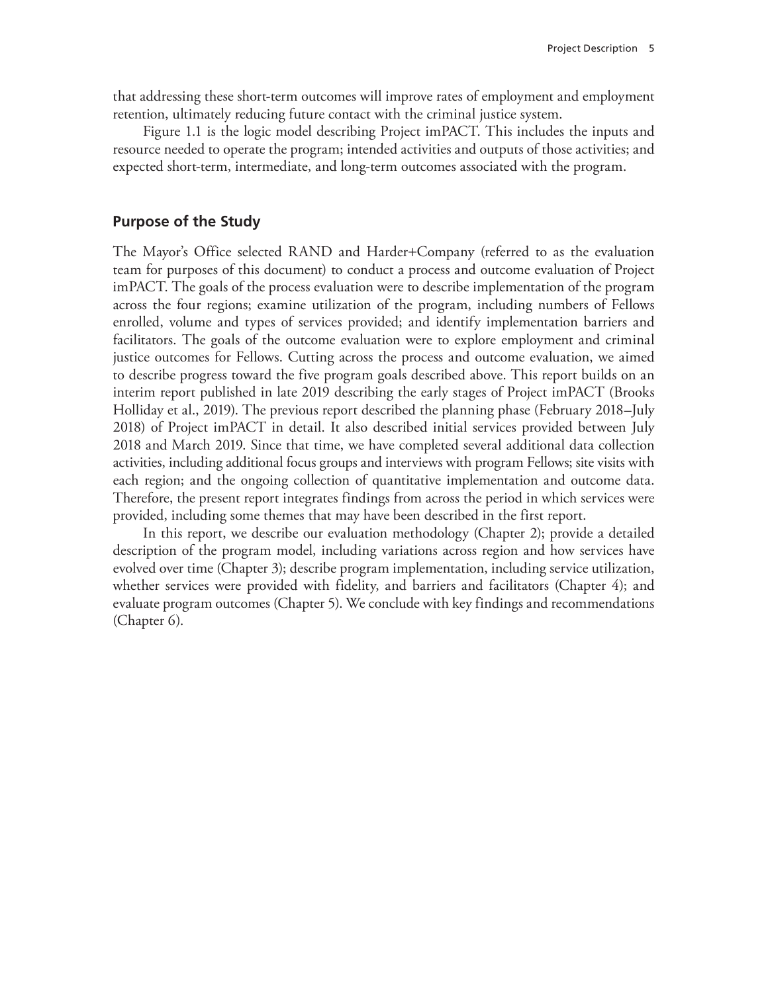that addressing these short-term outcomes will improve rates of employment and employment retention, ultimately reducing future contact with the criminal justice system.

Figure 1.1 is the logic model describing Project imPACT. This includes the inputs and resource needed to operate the program; intended activities and outputs of those activities; and expected short-term, intermediate, and long-term outcomes associated with the program.

## **Purpose of the Study**

The Mayor's Office selected RAND and Harder+Company (referred to as the evaluation team for purposes of this document) to conduct a process and outcome evaluation of Project imPACT. The goals of the process evaluation were to describe implementation of the program across the four regions; examine utilization of the program, including numbers of Fellows enrolled, volume and types of services provided; and identify implementation barriers and facilitators. The goals of the outcome evaluation were to explore employment and criminal justice outcomes for Fellows. Cutting across the process and outcome evaluation, we aimed to describe progress toward the five program goals described above. This report builds on an interim report published in late 2019 describing the early stages of Project imPACT (Brooks Holliday et al., 2019). The previous report described the planning phase (February 2018–July 2018) of Project imPACT in detail. It also described initial services provided between July 2018 and March 2019. Since that time, we have completed several additional data collection activities, including additional focus groups and interviews with program Fellows; site visits with each region; and the ongoing collection of quantitative implementation and outcome data. Therefore, the present report integrates findings from across the period in which services were provided, including some themes that may have been described in the first report.

In this report, we describe our evaluation methodology (Chapter 2); provide a detailed description of the program model, including variations across region and how services have evolved over time (Chapter 3); describe program implementation, including service utilization, whether services were provided with fidelity, and barriers and facilitators (Chapter 4); and evaluate program outcomes (Chapter 5). We conclude with key findings and recommendations (Chapter 6).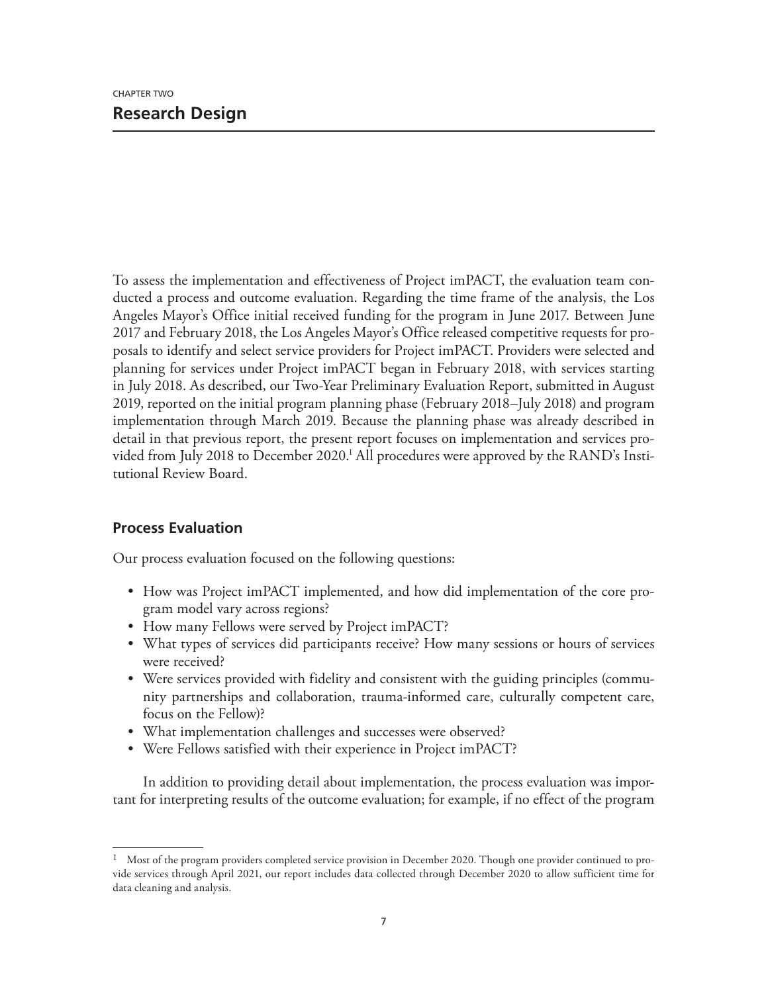To assess the implementation and effectiveness of Project imPACT, the evaluation team conducted a process and outcome evaluation. Regarding the time frame of the analysis, the Los Angeles Mayor's Office initial received funding for the program in June 2017. Between June 2017 and February 2018, the Los Angeles Mayor's Office released competitive requests for proposals to identify and select service providers for Project imPACT. Providers were selected and planning for services under Project imPACT began in February 2018, with services starting in July 2018. As described, our Two-Year Preliminary Evaluation Report, submitted in August 2019, reported on the initial program planning phase (February 2018–July 2018) and program implementation through March 2019. Because the planning phase was already described in detail in that previous report, the present report focuses on implementation and services provided from July 2018 to December 2020.<sup>1</sup> All procedures were approved by the RAND's Institutional Review Board.

## **Process Evaluation**

Our process evaluation focused on the following questions:

- How was Project imPACT implemented, and how did implementation of the core program model vary across regions?
- How many Fellows were served by Project imPACT?
- What types of services did participants receive? How many sessions or hours of services were received?
- Were services provided with fidelity and consistent with the guiding principles (community partnerships and collaboration, trauma-informed care, culturally competent care, focus on the Fellow)?
- What implementation challenges and successes were observed?
- Were Fellows satisfied with their experience in Project imPACT?

In addition to providing detail about implementation, the process evaluation was important for interpreting results of the outcome evaluation; for example, if no effect of the program

<sup>&</sup>lt;sup>1</sup> Most of the program providers completed service provision in December 2020. Though one provider continued to provide services through April 2021, our report includes data collected through December 2020 to allow sufficient time for data cleaning and analysis.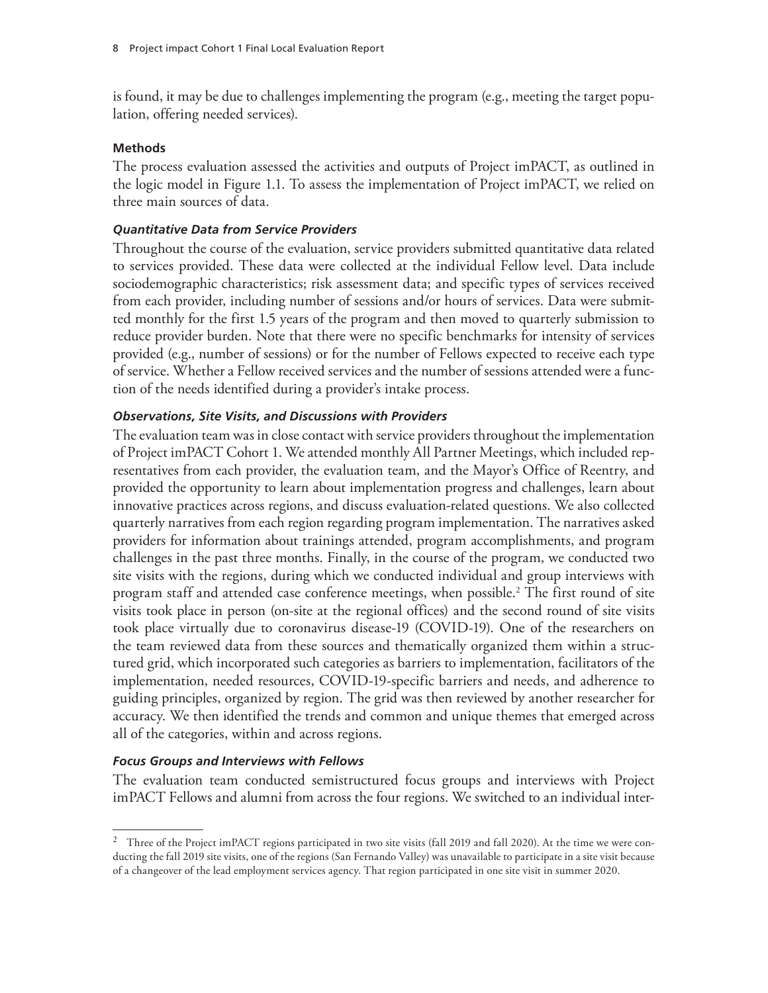is found, it may be due to challenges implementing the program (e.g., meeting the target population, offering needed services).

#### **Methods**

The process evaluation assessed the activities and outputs of Project imPACT, as outlined in the logic model in Figure 1.1. To assess the implementation of Project imPACT, we relied on three main sources of data.

### *Quantitative Data from Service Providers*

Throughout the course of the evaluation, service providers submitted quantitative data related to services provided. These data were collected at the individual Fellow level. Data include sociodemographic characteristics; risk assessment data; and specific types of services received from each provider, including number of sessions and/or hours of services. Data were submitted monthly for the first 1.5 years of the program and then moved to quarterly submission to reduce provider burden. Note that there were no specific benchmarks for intensity of services provided (e.g., number of sessions) or for the number of Fellows expected to receive each type of service. Whether a Fellow received services and the number of sessions attended were a function of the needs identified during a provider's intake process.

## *Observations, Site Visits, and Discussions with Providers*

The evaluation team was in close contact with service providers throughout the implementation of Project imPACT Cohort 1. We attended monthly All Partner Meetings, which included representatives from each provider, the evaluation team, and the Mayor's Office of Reentry, and provided the opportunity to learn about implementation progress and challenges, learn about innovative practices across regions, and discuss evaluation-related questions. We also collected quarterly narratives from each region regarding program implementation. The narratives asked providers for information about trainings attended, program accomplishments, and program challenges in the past three months. Finally, in the course of the program, we conducted two site visits with the regions, during which we conducted individual and group interviews with program staff and attended case conference meetings, when possible.2 The first round of site visits took place in person (on-site at the regional offices) and the second round of site visits took place virtually due to coronavirus disease-19 (COVID-19). One of the researchers on the team reviewed data from these sources and thematically organized them within a structured grid, which incorporated such categories as barriers to implementation, facilitators of the implementation, needed resources, COVID-19-specific barriers and needs, and adherence to guiding principles, organized by region. The grid was then reviewed by another researcher for accuracy. We then identified the trends and common and unique themes that emerged across all of the categories, within and across regions.

#### *Focus Groups and Interviews with Fellows*

The evaluation team conducted semistructured focus groups and interviews with Project imPACT Fellows and alumni from across the four regions. We switched to an individual inter-

<sup>&</sup>lt;sup>2</sup> Three of the Project imPACT regions participated in two site visits (fall 2019 and fall 2020). At the time we were conducting the fall 2019 site visits, one of the regions (San Fernando Valley) was unavailable to participate in a site visit because of a changeover of the lead employment services agency. That region participated in one site visit in summer 2020.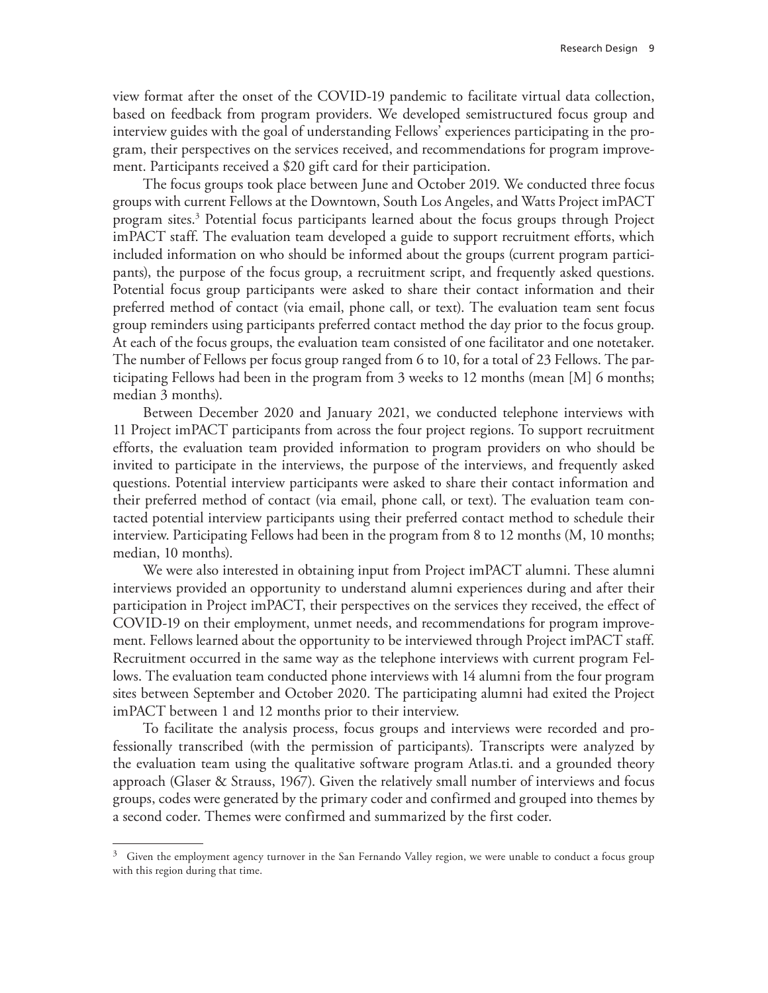view format after the onset of the COVID-19 pandemic to facilitate virtual data collection, based on feedback from program providers. We developed semistructured focus group and interview guides with the goal of understanding Fellows' experiences participating in the program, their perspectives on the services received, and recommendations for program improvement. Participants received a \$20 gift card for their participation.

The focus groups took place between June and October 2019. We conducted three focus groups with current Fellows at the Downtown, South Los Angeles, and Watts Project imPACT program sites.<sup>3</sup> Potential focus participants learned about the focus groups through Project imPACT staff. The evaluation team developed a guide to support recruitment efforts, which included information on who should be informed about the groups (current program participants), the purpose of the focus group, a recruitment script, and frequently asked questions. Potential focus group participants were asked to share their contact information and their preferred method of contact (via email, phone call, or text). The evaluation team sent focus group reminders using participants preferred contact method the day prior to the focus group. At each of the focus groups, the evaluation team consisted of one facilitator and one notetaker. The number of Fellows per focus group ranged from 6 to 10, for a total of 23 Fellows. The participating Fellows had been in the program from 3 weeks to 12 months (mean [M] 6 months; median 3 months).

Between December 2020 and January 2021, we conducted telephone interviews with 11 Project imPACT participants from across the four project regions. To support recruitment efforts, the evaluation team provided information to program providers on who should be invited to participate in the interviews, the purpose of the interviews, and frequently asked questions. Potential interview participants were asked to share their contact information and their preferred method of contact (via email, phone call, or text). The evaluation team contacted potential interview participants using their preferred contact method to schedule their interview. Participating Fellows had been in the program from 8 to 12 months (M, 10 months; median, 10 months).

We were also interested in obtaining input from Project imPACT alumni. These alumni interviews provided an opportunity to understand alumni experiences during and after their participation in Project imPACT, their perspectives on the services they received, the effect of COVID-19 on their employment, unmet needs, and recommendations for program improvement. Fellows learned about the opportunity to be interviewed through Project imPACT staff. Recruitment occurred in the same way as the telephone interviews with current program Fellows. The evaluation team conducted phone interviews with 14 alumni from the four program sites between September and October 2020. The participating alumni had exited the Project imPACT between 1 and 12 months prior to their interview.

To facilitate the analysis process, focus groups and interviews were recorded and professionally transcribed (with the permission of participants). Transcripts were analyzed by the evaluation team using the qualitative software program Atlas.ti. and a grounded theory approach (Glaser & Strauss, 1967). Given the relatively small number of interviews and focus groups, codes were generated by the primary coder and confirmed and grouped into themes by a second coder. Themes were confirmed and summarized by the first coder.

<sup>&</sup>lt;sup>3</sup> Given the employment agency turnover in the San Fernando Valley region, we were unable to conduct a focus group with this region during that time.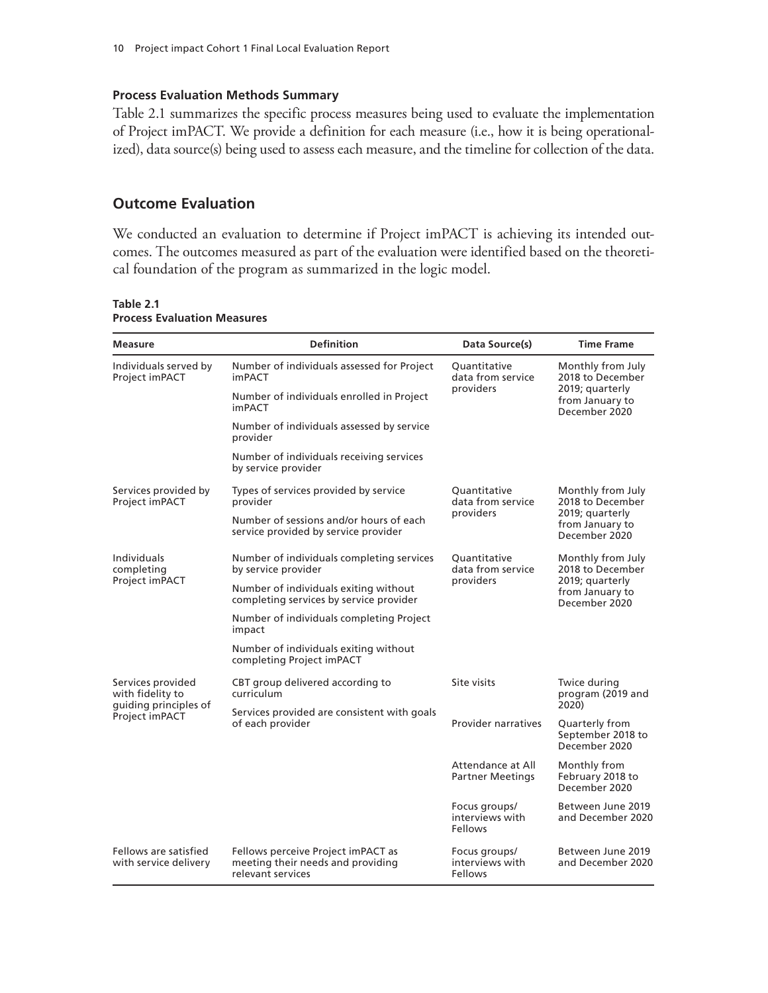#### **Process Evaluation Methods Summary**

Table 2.1 summarizes the specific process measures being used to evaluate the implementation of Project imPACT. We provide a definition for each measure (i.e., how it is being operationalized), data source(s) being used to assess each measure, and the timeline for collection of the data.

## **Outcome Evaluation**

We conducted an evaluation to determine if Project imPACT is achieving its intended outcomes. The outcomes measured as part of the evaluation were identified based on the theoretical foundation of the program as summarized in the logic model.

**Table 2.1 Process Evaluation Measures**

| <b>Measure</b>                                 | <b>Definition</b>                                                                            | Data Source(s)                               | <b>Time Frame</b>                                                                            |  |
|------------------------------------------------|----------------------------------------------------------------------------------------------|----------------------------------------------|----------------------------------------------------------------------------------------------|--|
| Individuals served by<br>Project imPACT        | Number of individuals assessed for Project<br><b>imPACT</b>                                  | Quantitative<br>data from service            | Monthly from July<br>2018 to December                                                        |  |
|                                                | Number of individuals enrolled in Project<br><b>imPACT</b>                                   | providers                                    | 2019; quarterly<br>from January to<br>December 2020                                          |  |
|                                                | Number of individuals assessed by service<br>provider                                        |                                              |                                                                                              |  |
|                                                | Number of individuals receiving services<br>by service provider                              |                                              |                                                                                              |  |
| Services provided by<br>Project imPACT         | Types of services provided by service<br>provider                                            | Quantitative<br>data from service            | Monthly from July<br>2018 to December                                                        |  |
|                                                | Number of sessions and/or hours of each<br>service provided by service provider              | providers                                    | 2019; quarterly<br>from January to<br>December 2020                                          |  |
| Individuals<br>completing                      | Number of individuals completing services<br>by service provider                             | Ouantitative<br>data from service            | Monthly from July<br>2018 to December<br>2019; quarterly<br>from January to<br>December 2020 |  |
| Project imPACT                                 | Number of individuals exiting without<br>completing services by service provider             | providers                                    |                                                                                              |  |
|                                                | Number of individuals completing Project<br>impact                                           |                                              |                                                                                              |  |
|                                                | Number of individuals exiting without<br>completing Project imPACT                           |                                              |                                                                                              |  |
| Services provided<br>with fidelity to          | CBT group delivered according to<br>curriculum                                               | Site visits                                  | Twice during<br>program (2019 and                                                            |  |
| guiding principles of<br>Project imPACT        | Services provided are consistent with goals<br>of each provider                              |                                              | 2020)                                                                                        |  |
|                                                |                                                                                              | <b>Provider narratives</b>                   | Quarterly from<br>September 2018 to<br>December 2020                                         |  |
|                                                |                                                                                              | Attendance at All<br><b>Partner Meetings</b> | Monthly from<br>February 2018 to<br>December 2020                                            |  |
|                                                |                                                                                              | Focus groups/<br>interviews with<br>Fellows  | Between June 2019<br>and December 2020                                                       |  |
| Fellows are satisfied<br>with service delivery | Fellows perceive Project imPACT as<br>meeting their needs and providing<br>relevant services | Focus groups/<br>interviews with<br>Fellows  | Between June 2019<br>and December 2020                                                       |  |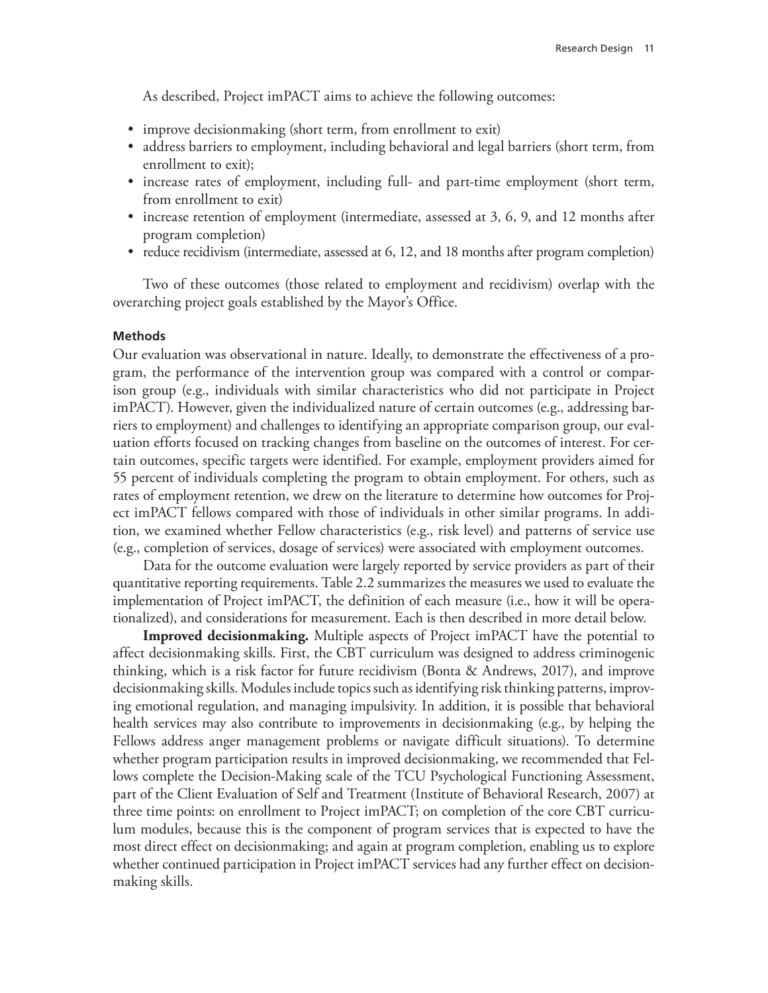As described, Project imPACT aims to achieve the following outcomes:

- improve decisionmaking (short term, from enrollment to exit)
- address barriers to employment, including behavioral and legal barriers (short term, from enrollment to exit);
- increase rates of employment, including full- and part-time employment (short term, from enrollment to exit)
- increase retention of employment (intermediate, assessed at 3, 6, 9, and 12 months after program completion)
- reduce recidivism (intermediate, assessed at 6, 12, and 18 months after program completion)

Two of these outcomes (those related to employment and recidivism) overlap with the overarching project goals established by the Mayor's Office.

#### **Methods**

Our evaluation was observational in nature. Ideally, to demonstrate the effectiveness of a program, the performance of the intervention group was compared with a control or comparison group (e.g., individuals with similar characteristics who did not participate in Project imPACT). However, given the individualized nature of certain outcomes (e.g., addressing barriers to employment) and challenges to identifying an appropriate comparison group, our evaluation efforts focused on tracking changes from baseline on the outcomes of interest. For certain outcomes, specific targets were identified. For example, employment providers aimed for 55 percent of individuals completing the program to obtain employment. For others, such as rates of employment retention, we drew on the literature to determine how outcomes for Project imPACT fellows compared with those of individuals in other similar programs. In addition, we examined whether Fellow characteristics (e.g., risk level) and patterns of service use (e.g., completion of services, dosage of services) were associated with employment outcomes.

Data for the outcome evaluation were largely reported by service providers as part of their quantitative reporting requirements. Table 2.2 summarizes the measures we used to evaluate the implementation of Project imPACT, the definition of each measure (i.e., how it will be operationalized), and considerations for measurement. Each is then described in more detail below.

**Improved decisionmaking.** Multiple aspects of Project imPACT have the potential to affect decisionmaking skills. First, the CBT curriculum was designed to address criminogenic thinking, which is a risk factor for future recidivism (Bonta & Andrews, 2017), and improve decisionmaking skills. Modules include topics such as identifying risk thinking patterns, improving emotional regulation, and managing impulsivity. In addition, it is possible that behavioral health services may also contribute to improvements in decisionmaking (e.g., by helping the Fellows address anger management problems or navigate difficult situations). To determine whether program participation results in improved decisionmaking, we recommended that Fellows complete the Decision-Making scale of the TCU Psychological Functioning Assessment, part of the Client Evaluation of Self and Treatment (Institute of Behavioral Research, 2007) at three time points: on enrollment to Project imPACT; on completion of the core CBT curriculum modules, because this is the component of program services that is expected to have the most direct effect on decisionmaking; and again at program completion, enabling us to explore whether continued participation in Project imPACT services had any further effect on decisionmaking skills.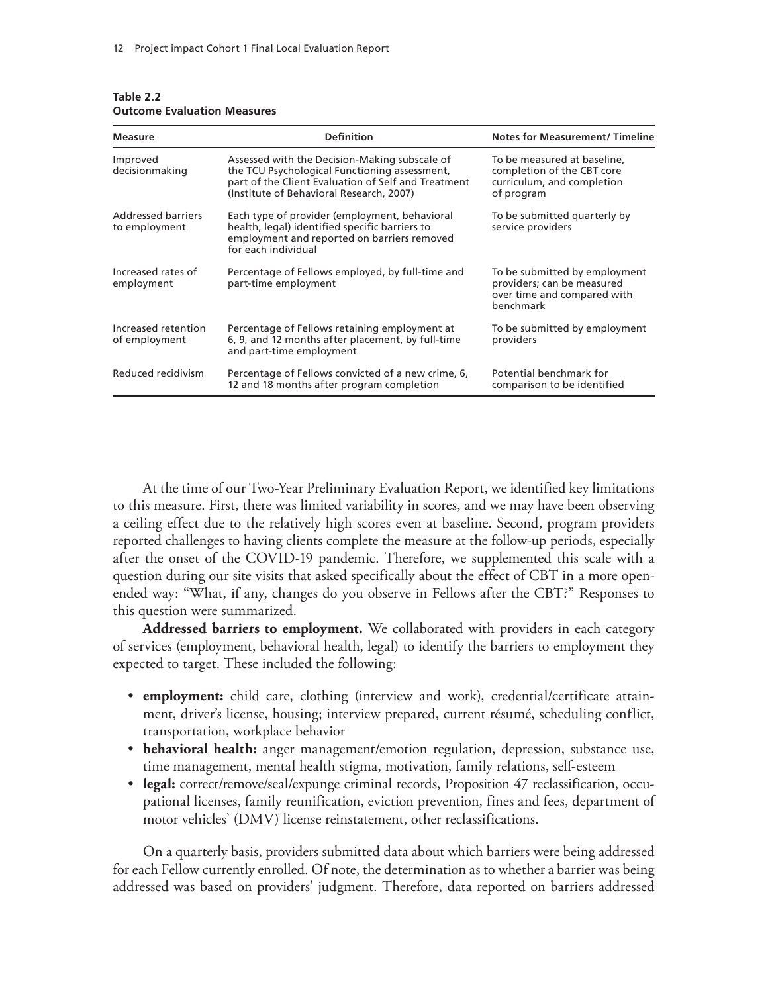| <b>Measure</b>                       | <b>Definition</b>                                                                                                                                                                                 | <b>Notes for Measurement/ Timeline</b>                                                                  |
|--------------------------------------|---------------------------------------------------------------------------------------------------------------------------------------------------------------------------------------------------|---------------------------------------------------------------------------------------------------------|
| Improved<br>decisionmaking           | Assessed with the Decision-Making subscale of<br>the TCU Psychological Functioning assessment,<br>part of the Client Evaluation of Self and Treatment<br>(Institute of Behavioral Research, 2007) | To be measured at baseline,<br>completion of the CBT core<br>curriculum, and completion<br>of program   |
| Addressed barriers<br>to employment  | Each type of provider (employment, behavioral<br>health, legal) identified specific barriers to<br>employment and reported on barriers removed<br>for each individual                             | To be submitted quarterly by<br>service providers                                                       |
| Increased rates of<br>employment     | Percentage of Fellows employed, by full-time and<br>part-time employment                                                                                                                          | To be submitted by employment<br>providers; can be measured<br>over time and compared with<br>benchmark |
| Increased retention<br>of employment | Percentage of Fellows retaining employment at<br>6, 9, and 12 months after placement, by full-time<br>and part-time employment                                                                    | To be submitted by employment<br>providers                                                              |
| Reduced recidivism                   | Percentage of Fellows convicted of a new crime, 6,<br>12 and 18 months after program completion                                                                                                   | Potential benchmark for<br>comparison to be identified                                                  |

| Table 2.2 |                                    |  |
|-----------|------------------------------------|--|
|           | <b>Outcome Evaluation Measures</b> |  |

At the time of our Two-Year Preliminary Evaluation Report, we identified key limitations to this measure. First, there was limited variability in scores, and we may have been observing a ceiling effect due to the relatively high scores even at baseline. Second, program providers reported challenges to having clients complete the measure at the follow-up periods, especially after the onset of the COVID-19 pandemic. Therefore, we supplemented this scale with a question during our site visits that asked specifically about the effect of CBT in a more openended way: "What, if any, changes do you observe in Fellows after the CBT?" Responses to this question were summarized.

**Addressed barriers to employment.** We collaborated with providers in each category of services (employment, behavioral health, legal) to identify the barriers to employment they expected to target. These included the following:

- **employment:** child care, clothing (interview and work), credential/certificate attainment, driver's license, housing; interview prepared, current résumé, scheduling conflict, transportation, workplace behavior
- **behavioral health:** anger management/emotion regulation, depression, substance use, time management, mental health stigma, motivation, family relations, self-esteem
- **legal:** correct/remove/seal/expunge criminal records, Proposition 47 reclassification, occupational licenses, family reunification, eviction prevention, fines and fees, department of motor vehicles' (DMV) license reinstatement, other reclassifications.

On a quarterly basis, providers submitted data about which barriers were being addressed for each Fellow currently enrolled. Of note, the determination as to whether a barrier was being addressed was based on providers' judgment. Therefore, data reported on barriers addressed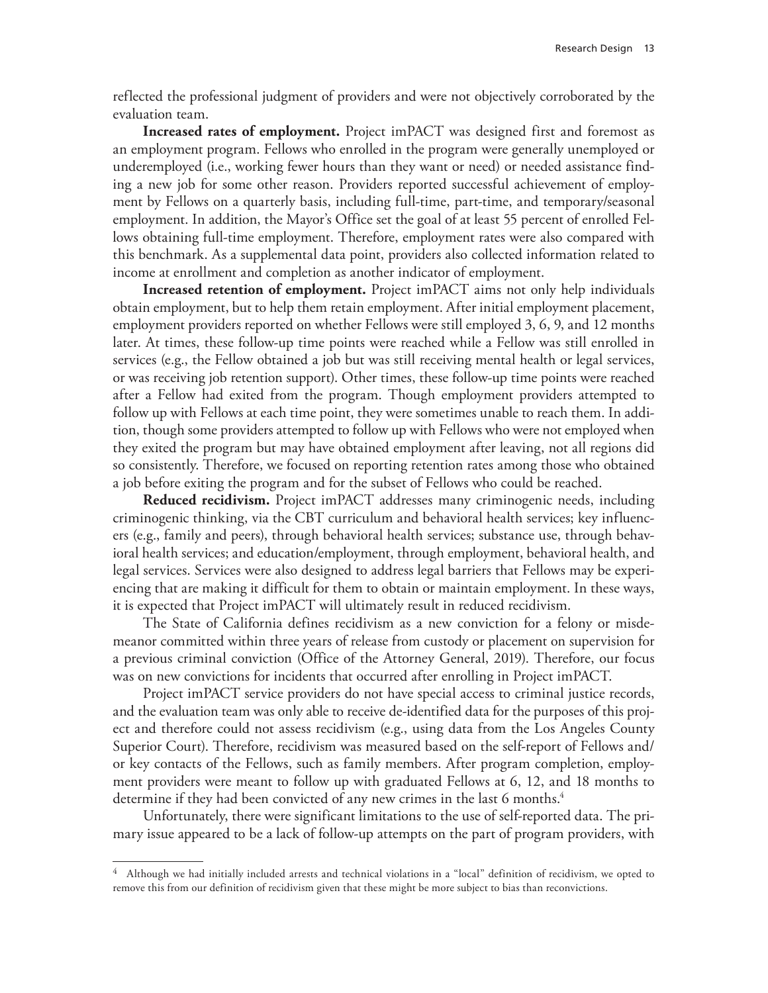reflected the professional judgment of providers and were not objectively corroborated by the evaluation team.

**Increased rates of employment.** Project imPACT was designed first and foremost as an employment program. Fellows who enrolled in the program were generally unemployed or underemployed (i.e., working fewer hours than they want or need) or needed assistance finding a new job for some other reason. Providers reported successful achievement of employment by Fellows on a quarterly basis, including full-time, part-time, and temporary/seasonal employment. In addition, the Mayor's Office set the goal of at least 55 percent of enrolled Fellows obtaining full-time employment. Therefore, employment rates were also compared with this benchmark. As a supplemental data point, providers also collected information related to income at enrollment and completion as another indicator of employment.

**Increased retention of employment.** Project imPACT aims not only help individuals obtain employment, but to help them retain employment. After initial employment placement, employment providers reported on whether Fellows were still employed 3, 6, 9, and 12 months later. At times, these follow-up time points were reached while a Fellow was still enrolled in services (e.g., the Fellow obtained a job but was still receiving mental health or legal services, or was receiving job retention support). Other times, these follow-up time points were reached after a Fellow had exited from the program. Though employment providers attempted to follow up with Fellows at each time point, they were sometimes unable to reach them. In addition, though some providers attempted to follow up with Fellows who were not employed when they exited the program but may have obtained employment after leaving, not all regions did so consistently. Therefore, we focused on reporting retention rates among those who obtained a job before exiting the program and for the subset of Fellows who could be reached.

**Reduced recidivism.** Project imPACT addresses many criminogenic needs, including criminogenic thinking, via the CBT curriculum and behavioral health services; key influencers (e.g., family and peers), through behavioral health services; substance use, through behavioral health services; and education/employment, through employment, behavioral health, and legal services. Services were also designed to address legal barriers that Fellows may be experiencing that are making it difficult for them to obtain or maintain employment. In these ways, it is expected that Project imPACT will ultimately result in reduced recidivism.

The State of California defines recidivism as a new conviction for a felony or misdemeanor committed within three years of release from custody or placement on supervision for a previous criminal conviction (Office of the Attorney General, 2019). Therefore, our focus was on new convictions for incidents that occurred after enrolling in Project imPACT.

Project imPACT service providers do not have special access to criminal justice records, and the evaluation team was only able to receive de-identified data for the purposes of this project and therefore could not assess recidivism (e.g., using data from the Los Angeles County Superior Court). Therefore, recidivism was measured based on the self-report of Fellows and/ or key contacts of the Fellows, such as family members. After program completion, employment providers were meant to follow up with graduated Fellows at 6, 12, and 18 months to determine if they had been convicted of any new crimes in the last 6 months.<sup>4</sup>

Unfortunately, there were significant limitations to the use of self-reported data. The primary issue appeared to be a lack of follow-up attempts on the part of program providers, with

<sup>&</sup>lt;sup>4</sup> Although we had initially included arrests and technical violations in a "local" definition of recidivism, we opted to remove this from our definition of recidivism given that these might be more subject to bias than reconvictions.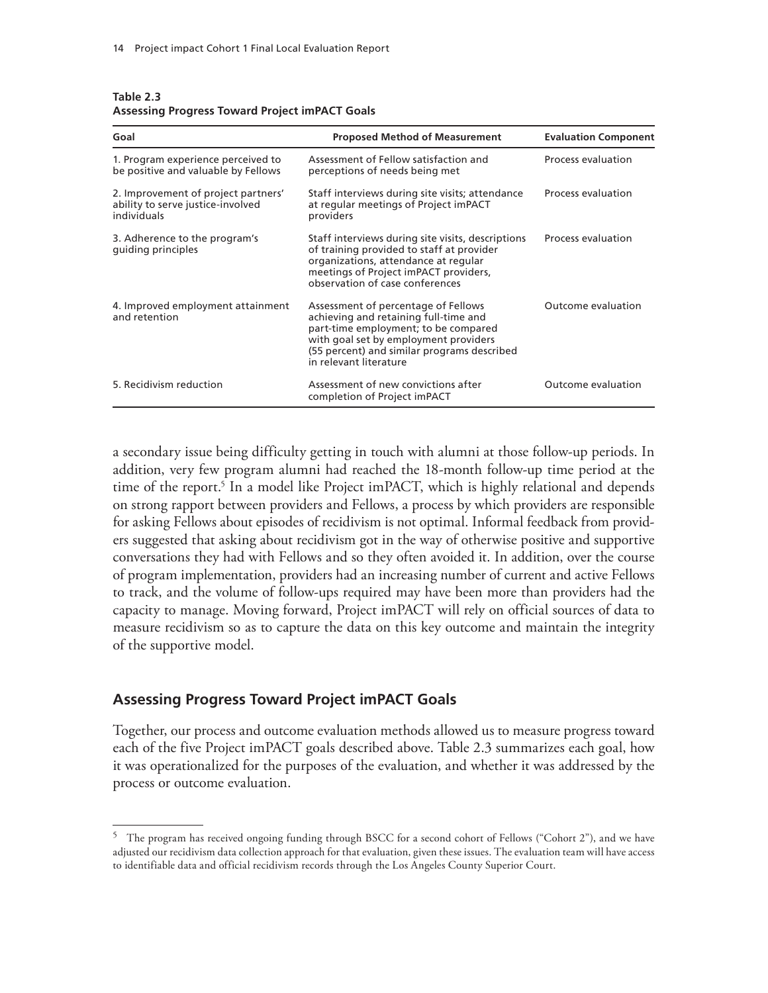| Goal                                                                                    | <b>Proposed Method of Measurement</b>                                                                                                                                                                                                  | <b>Evaluation Component</b> |
|-----------------------------------------------------------------------------------------|----------------------------------------------------------------------------------------------------------------------------------------------------------------------------------------------------------------------------------------|-----------------------------|
| 1. Program experience perceived to<br>be positive and valuable by Fellows               | Assessment of Fellow satisfaction and<br>perceptions of needs being met                                                                                                                                                                | Process evaluation          |
| 2. Improvement of project partners'<br>ability to serve justice-involved<br>individuals | Staff interviews during site visits; attendance<br>at regular meetings of Project imPACT<br>providers                                                                                                                                  | Process evaluation          |
| 3. Adherence to the program's<br>quiding principles                                     | Staff interviews during site visits, descriptions<br>of training provided to staff at provider<br>organizations, attendance at regular<br>meetings of Project imPACT providers,<br>observation of case conferences                     | Process evaluation          |
| 4. Improved employment attainment<br>and retention                                      | Assessment of percentage of Fellows<br>achieving and retaining full-time and<br>part-time employment; to be compared<br>with goal set by employment providers<br>(55 percent) and similar programs described<br>in relevant literature | Outcome evaluation          |
| 5. Recidivism reduction                                                                 | Assessment of new convictions after<br>completion of Project imPACT                                                                                                                                                                    | Outcome evaluation          |

**Table 2.3 Assessing Progress Toward Project imPACT Goals**

a secondary issue being difficulty getting in touch with alumni at those follow-up periods. In addition, very few program alumni had reached the 18-month follow-up time period at the time of the report.<sup>5</sup> In a model like Project imPACT, which is highly relational and depends on strong rapport between providers and Fellows, a process by which providers are responsible for asking Fellows about episodes of recidivism is not optimal. Informal feedback from providers suggested that asking about recidivism got in the way of otherwise positive and supportive conversations they had with Fellows and so they often avoided it. In addition, over the course of program implementation, providers had an increasing number of current and active Fellows to track, and the volume of follow-ups required may have been more than providers had the capacity to manage. Moving forward, Project imPACT will rely on official sources of data to measure recidivism so as to capture the data on this key outcome and maintain the integrity of the supportive model.

#### **Assessing Progress Toward Project imPACT Goals**

Together, our process and outcome evaluation methods allowed us to measure progress toward each of the five Project imPACT goals described above. Table 2.3 summarizes each goal, how it was operationalized for the purposes of the evaluation, and whether it was addressed by the process or outcome evaluation.

<sup>&</sup>lt;sup>5</sup> The program has received ongoing funding through BSCC for a second cohort of Fellows ("Cohort 2"), and we have adjusted our recidivism data collection approach for that evaluation, given these issues. The evaluation team will have access to identifiable data and official recidivism records through the Los Angeles County Superior Court.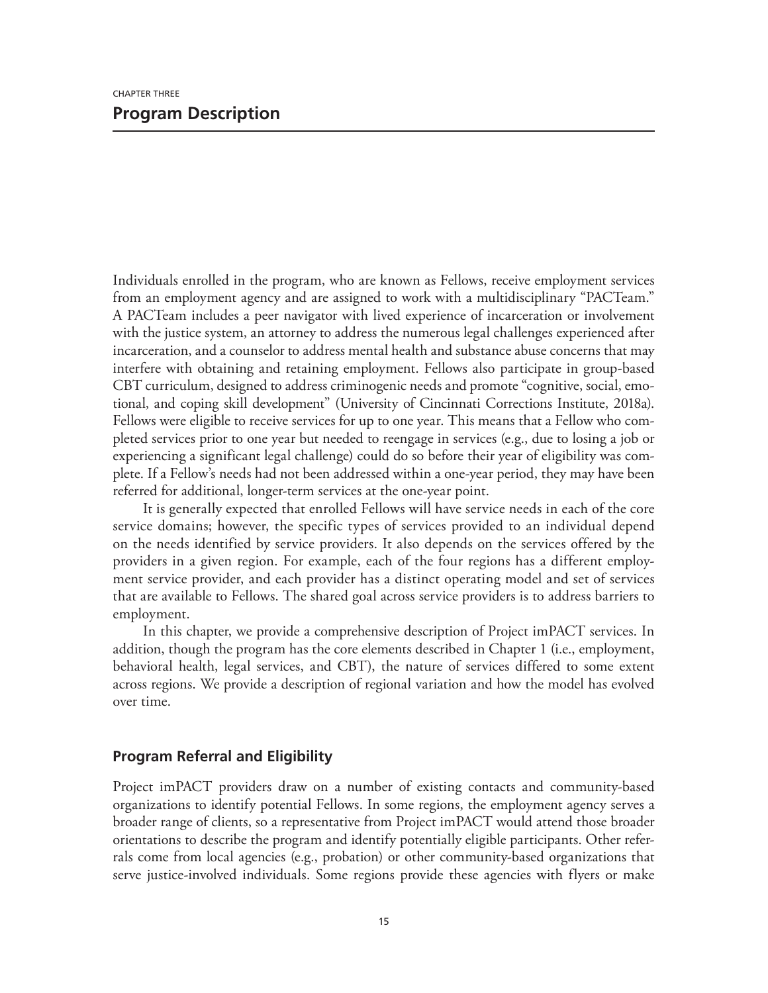Individuals enrolled in the program, who are known as Fellows, receive employment services from an employment agency and are assigned to work with a multidisciplinary "PACTeam." A PACTeam includes a peer navigator with lived experience of incarceration or involvement with the justice system, an attorney to address the numerous legal challenges experienced after incarceration, and a counselor to address mental health and substance abuse concerns that may interfere with obtaining and retaining employment. Fellows also participate in group-based CBT curriculum, designed to address criminogenic needs and promote "cognitive, social, emotional, and coping skill development" (University of Cincinnati Corrections Institute, 2018a). Fellows were eligible to receive services for up to one year. This means that a Fellow who completed services prior to one year but needed to reengage in services (e.g., due to losing a job or experiencing a significant legal challenge) could do so before their year of eligibility was complete. If a Fellow's needs had not been addressed within a one-year period, they may have been referred for additional, longer-term services at the one-year point.

It is generally expected that enrolled Fellows will have service needs in each of the core service domains; however, the specific types of services provided to an individual depend on the needs identified by service providers. It also depends on the services offered by the providers in a given region. For example, each of the four regions has a different employment service provider, and each provider has a distinct operating model and set of services that are available to Fellows. The shared goal across service providers is to address barriers to employment.

In this chapter, we provide a comprehensive description of Project imPACT services. In addition, though the program has the core elements described in Chapter 1 (i.e., employment, behavioral health, legal services, and CBT), the nature of services differed to some extent across regions. We provide a description of regional variation and how the model has evolved over time.

## **Program Referral and Eligibility**

Project imPACT providers draw on a number of existing contacts and community-based organizations to identify potential Fellows. In some regions, the employment agency serves a broader range of clients, so a representative from Project imPACT would attend those broader orientations to describe the program and identify potentially eligible participants. Other referrals come from local agencies (e.g., probation) or other community-based organizations that serve justice-involved individuals. Some regions provide these agencies with flyers or make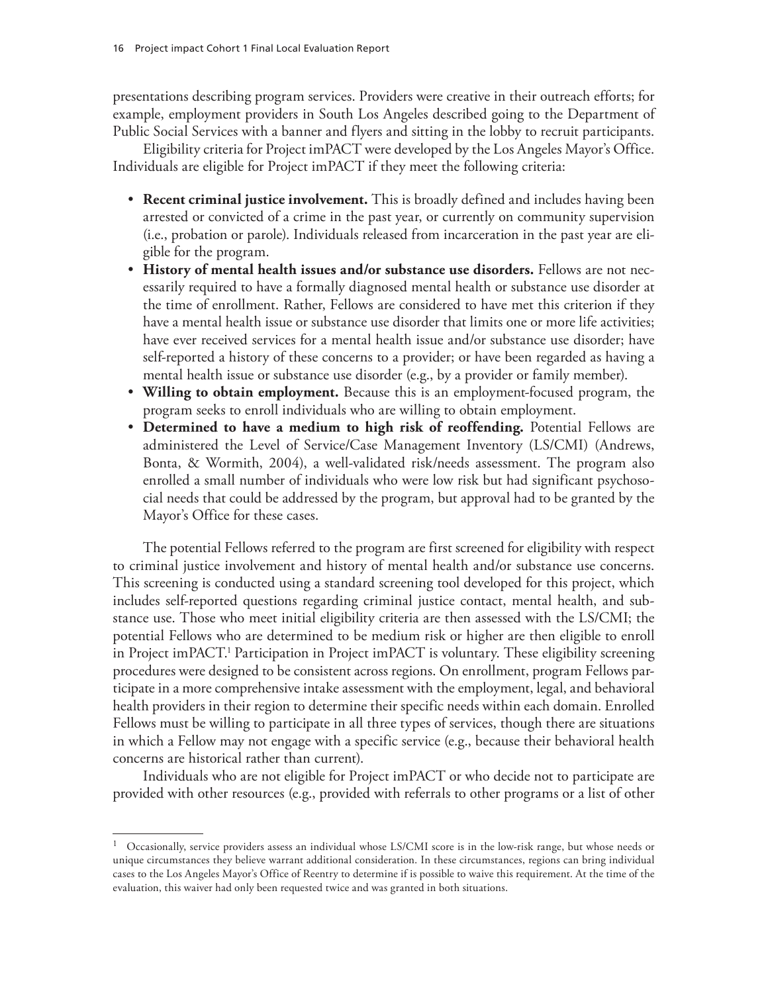presentations describing program services. Providers were creative in their outreach efforts; for example, employment providers in South Los Angeles described going to the Department of Public Social Services with a banner and flyers and sitting in the lobby to recruit participants.

Eligibility criteria for Project imPACT were developed by the Los Angeles Mayor's Office. Individuals are eligible for Project imPACT if they meet the following criteria:

- **Recent criminal justice involvement.** This is broadly defined and includes having been arrested or convicted of a crime in the past year, or currently on community supervision (i.e., probation or parole). Individuals released from incarceration in the past year are eligible for the program.
- **History of mental health issues and/or substance use disorders.** Fellows are not necessarily required to have a formally diagnosed mental health or substance use disorder at the time of enrollment. Rather, Fellows are considered to have met this criterion if they have a mental health issue or substance use disorder that limits one or more life activities; have ever received services for a mental health issue and/or substance use disorder; have self-reported a history of these concerns to a provider; or have been regarded as having a mental health issue or substance use disorder (e.g., by a provider or family member).
- **Willing to obtain employment.** Because this is an employment-focused program, the program seeks to enroll individuals who are willing to obtain employment.
- **Determined to have a medium to high risk of reoffending.** Potential Fellows are administered the Level of Service/Case Management Inventory (LS/CMI) (Andrews, Bonta, & Wormith, 2004), a well-validated risk/needs assessment. The program also enrolled a small number of individuals who were low risk but had significant psychosocial needs that could be addressed by the program, but approval had to be granted by the Mayor's Office for these cases.

The potential Fellows referred to the program are first screened for eligibility with respect to criminal justice involvement and history of mental health and/or substance use concerns. This screening is conducted using a standard screening tool developed for this project, which includes self-reported questions regarding criminal justice contact, mental health, and substance use. Those who meet initial eligibility criteria are then assessed with the LS/CMI; the potential Fellows who are determined to be medium risk or higher are then eligible to enroll in Project imPACT.<sup>1</sup> Participation in Project imPACT is voluntary. These eligibility screening procedures were designed to be consistent across regions. On enrollment, program Fellows participate in a more comprehensive intake assessment with the employment, legal, and behavioral health providers in their region to determine their specific needs within each domain. Enrolled Fellows must be willing to participate in all three types of services, though there are situations in which a Fellow may not engage with a specific service (e.g., because their behavioral health concerns are historical rather than current).

Individuals who are not eligible for Project imPACT or who decide not to participate are provided with other resources (e.g., provided with referrals to other programs or a list of other

<sup>&</sup>lt;sup>1</sup> Occasionally, service providers assess an individual whose LS/CMI score is in the low-risk range, but whose needs or unique circumstances they believe warrant additional consideration. In these circumstances, regions can bring individual cases to the Los Angeles Mayor's Office of Reentry to determine if is possible to waive this requirement. At the time of the evaluation, this waiver had only been requested twice and was granted in both situations.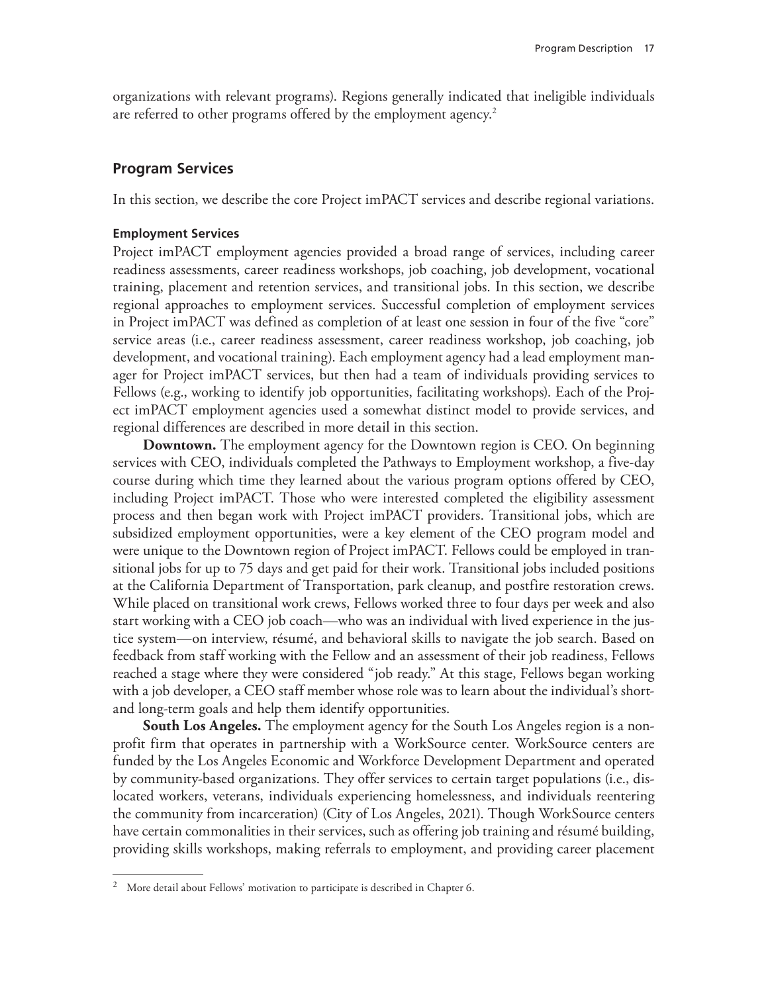organizations with relevant programs). Regions generally indicated that ineligible individuals are referred to other programs offered by the employment agency.<sup>2</sup>

## **Program Services**

In this section, we describe the core Project imPACT services and describe regional variations.

#### **Employment Services**

Project imPACT employment agencies provided a broad range of services, including career readiness assessments, career readiness workshops, job coaching, job development, vocational training, placement and retention services, and transitional jobs. In this section, we describe regional approaches to employment services. Successful completion of employment services in Project imPACT was defined as completion of at least one session in four of the five "core" service areas (i.e., career readiness assessment, career readiness workshop, job coaching, job development, and vocational training). Each employment agency had a lead employment manager for Project imPACT services, but then had a team of individuals providing services to Fellows (e.g., working to identify job opportunities, facilitating workshops). Each of the Project imPACT employment agencies used a somewhat distinct model to provide services, and regional differences are described in more detail in this section.

**Downtown.** The employment agency for the Downtown region is CEO. On beginning services with CEO, individuals completed the Pathways to Employment workshop, a five-day course during which time they learned about the various program options offered by CEO, including Project imPACT. Those who were interested completed the eligibility assessment process and then began work with Project imPACT providers. Transitional jobs, which are subsidized employment opportunities, were a key element of the CEO program model and were unique to the Downtown region of Project imPACT. Fellows could be employed in transitional jobs for up to 75 days and get paid for their work. Transitional jobs included positions at the California Department of Transportation, park cleanup, and postfire restoration crews. While placed on transitional work crews, Fellows worked three to four days per week and also start working with a CEO job coach—who was an individual with lived experience in the justice system—on interview, résumé, and behavioral skills to navigate the job search. Based on feedback from staff working with the Fellow and an assessment of their job readiness, Fellows reached a stage where they were considered "job ready." At this stage, Fellows began working with a job developer, a CEO staff member whose role was to learn about the individual's shortand long-term goals and help them identify opportunities.

**South Los Angeles.** The employment agency for the South Los Angeles region is a nonprofit firm that operates in partnership with a WorkSource center. WorkSource centers are funded by the Los Angeles Economic and Workforce Development Department and operated by community-based organizations. They offer services to certain target populations (i.e., dislocated workers, veterans, individuals experiencing homelessness, and individuals reentering the community from incarceration) (City of Los Angeles, 2021). Though WorkSource centers have certain commonalities in their services, such as offering job training and résumé building, providing skills workshops, making referrals to employment, and providing career placement

 $2$  More detail about Fellows' motivation to participate is described in Chapter 6.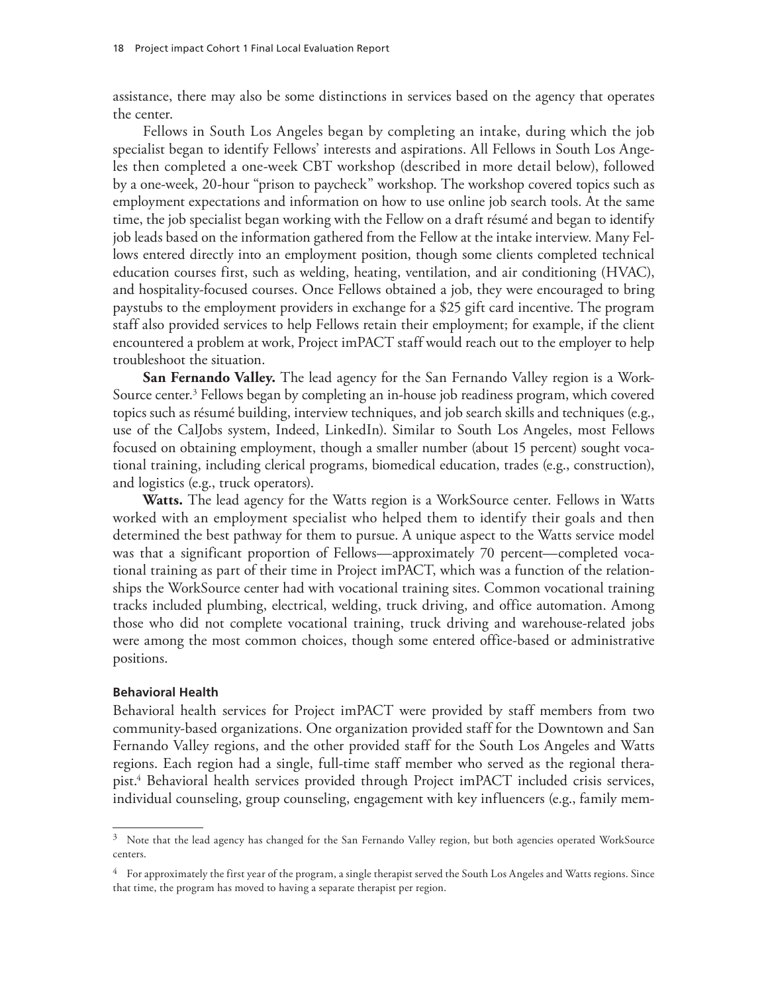assistance, there may also be some distinctions in services based on the agency that operates the center.

Fellows in South Los Angeles began by completing an intake, during which the job specialist began to identify Fellows' interests and aspirations. All Fellows in South Los Angeles then completed a one-week CBT workshop (described in more detail below), followed by a one-week, 20-hour "prison to paycheck" workshop. The workshop covered topics such as employment expectations and information on how to use online job search tools. At the same time, the job specialist began working with the Fellow on a draft résumé and began to identify job leads based on the information gathered from the Fellow at the intake interview. Many Fellows entered directly into an employment position, though some clients completed technical education courses first, such as welding, heating, ventilation, and air conditioning (HVAC), and hospitality-focused courses. Once Fellows obtained a job, they were encouraged to bring paystubs to the employment providers in exchange for a \$25 gift card incentive. The program staff also provided services to help Fellows retain their employment; for example, if the client encountered a problem at work, Project imPACT staff would reach out to the employer to help troubleshoot the situation.

**San Fernando Valley.** The lead agency for the San Fernando Valley region is a Work-Source center.<sup>3</sup> Fellows began by completing an in-house job readiness program, which covered topics such as résumé building, interview techniques, and job search skills and techniques (e.g., use of the CalJobs system, Indeed, LinkedIn). Similar to South Los Angeles, most Fellows focused on obtaining employment, though a smaller number (about 15 percent) sought vocational training, including clerical programs, biomedical education, trades (e.g., construction), and logistics (e.g., truck operators).

**Watts.** The lead agency for the Watts region is a WorkSource center. Fellows in Watts worked with an employment specialist who helped them to identify their goals and then determined the best pathway for them to pursue. A unique aspect to the Watts service model was that a significant proportion of Fellows—approximately 70 percent—completed vocational training as part of their time in Project imPACT, which was a function of the relationships the WorkSource center had with vocational training sites. Common vocational training tracks included plumbing, electrical, welding, truck driving, and office automation. Among those who did not complete vocational training, truck driving and warehouse-related jobs were among the most common choices, though some entered office-based or administrative positions.

#### **Behavioral Health**

Behavioral health services for Project imPACT were provided by staff members from two community-based organizations. One organization provided staff for the Downtown and San Fernando Valley regions, and the other provided staff for the South Los Angeles and Watts regions. Each region had a single, full-time staff member who served as the regional therapist.4 Behavioral health services provided through Project imPACT included crisis services, individual counseling, group counseling, engagement with key influencers (e.g., family mem-

 $3$  Note that the lead agency has changed for the San Fernando Valley region, but both agencies operated WorkSource centers.

<sup>&</sup>lt;sup>4</sup> For approximately the first year of the program, a single therapist served the South Los Angeles and Watts regions. Since that time, the program has moved to having a separate therapist per region.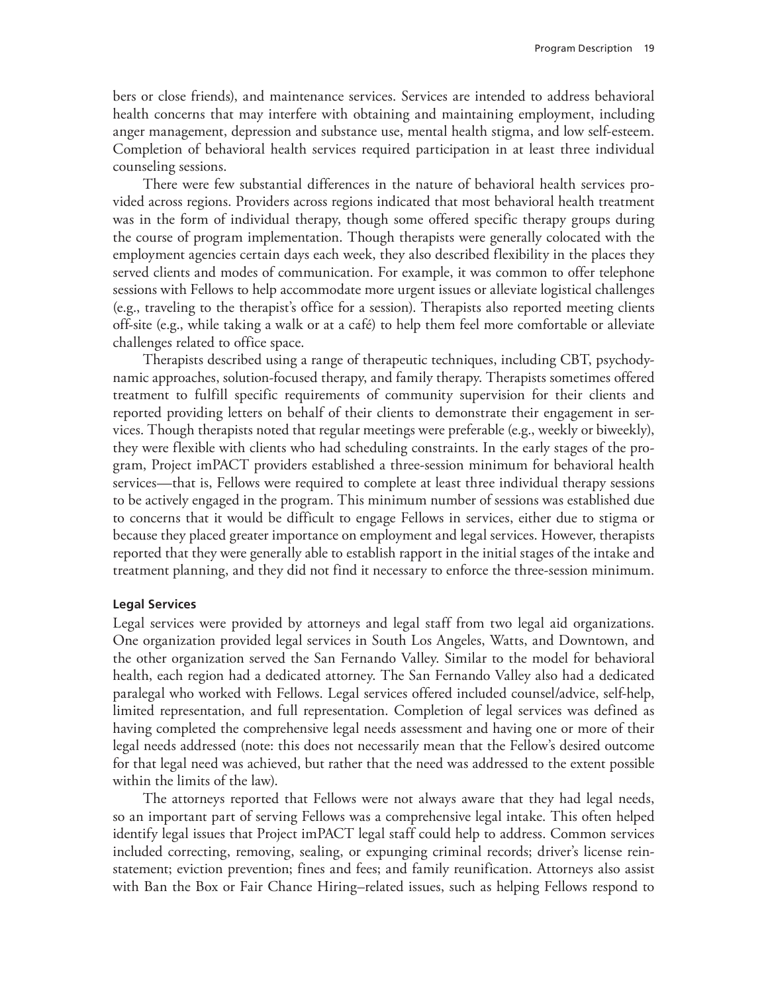bers or close friends), and maintenance services. Services are intended to address behavioral health concerns that may interfere with obtaining and maintaining employment, including anger management, depression and substance use, mental health stigma, and low self-esteem. Completion of behavioral health services required participation in at least three individual counseling sessions.

There were few substantial differences in the nature of behavioral health services provided across regions. Providers across regions indicated that most behavioral health treatment was in the form of individual therapy, though some offered specific therapy groups during the course of program implementation. Though therapists were generally colocated with the employment agencies certain days each week, they also described flexibility in the places they served clients and modes of communication. For example, it was common to offer telephone sessions with Fellows to help accommodate more urgent issues or alleviate logistical challenges (e.g., traveling to the therapist's office for a session). Therapists also reported meeting clients off-site (e.g., while taking a walk or at a café) to help them feel more comfortable or alleviate challenges related to office space.

Therapists described using a range of therapeutic techniques, including CBT, psychodynamic approaches, solution-focused therapy, and family therapy. Therapists sometimes offered treatment to fulfill specific requirements of community supervision for their clients and reported providing letters on behalf of their clients to demonstrate their engagement in services. Though therapists noted that regular meetings were preferable (e.g., weekly or biweekly), they were flexible with clients who had scheduling constraints. In the early stages of the program, Project imPACT providers established a three-session minimum for behavioral health services—that is, Fellows were required to complete at least three individual therapy sessions to be actively engaged in the program. This minimum number of sessions was established due to concerns that it would be difficult to engage Fellows in services, either due to stigma or because they placed greater importance on employment and legal services. However, therapists reported that they were generally able to establish rapport in the initial stages of the intake and treatment planning, and they did not find it necessary to enforce the three-session minimum.

## **Legal Services**

Legal services were provided by attorneys and legal staff from two legal aid organizations. One organization provided legal services in South Los Angeles, Watts, and Downtown, and the other organization served the San Fernando Valley. Similar to the model for behavioral health, each region had a dedicated attorney. The San Fernando Valley also had a dedicated paralegal who worked with Fellows. Legal services offered included counsel/advice, self-help, limited representation, and full representation. Completion of legal services was defined as having completed the comprehensive legal needs assessment and having one or more of their legal needs addressed (note: this does not necessarily mean that the Fellow's desired outcome for that legal need was achieved, but rather that the need was addressed to the extent possible within the limits of the law).

The attorneys reported that Fellows were not always aware that they had legal needs, so an important part of serving Fellows was a comprehensive legal intake. This often helped identify legal issues that Project imPACT legal staff could help to address. Common services included correcting, removing, sealing, or expunging criminal records; driver's license reinstatement; eviction prevention; fines and fees; and family reunification. Attorneys also assist with Ban the Box or Fair Chance Hiring–related issues, such as helping Fellows respond to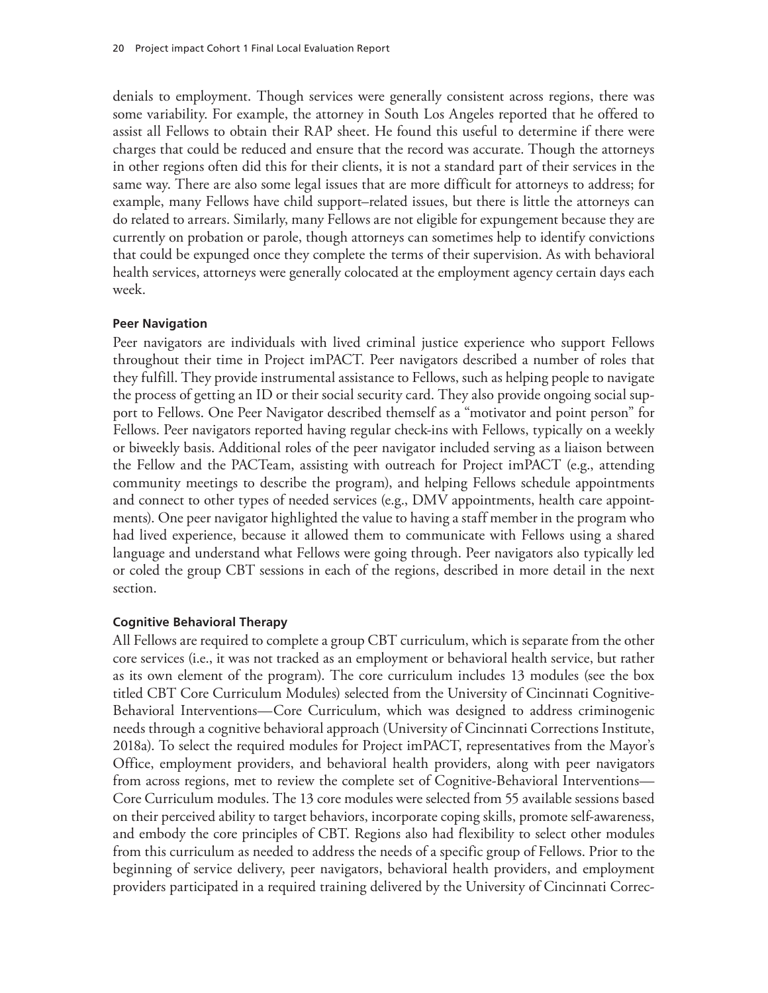denials to employment. Though services were generally consistent across regions, there was some variability. For example, the attorney in South Los Angeles reported that he offered to assist all Fellows to obtain their RAP sheet. He found this useful to determine if there were charges that could be reduced and ensure that the record was accurate. Though the attorneys in other regions often did this for their clients, it is not a standard part of their services in the same way. There are also some legal issues that are more difficult for attorneys to address; for example, many Fellows have child support–related issues, but there is little the attorneys can do related to arrears. Similarly, many Fellows are not eligible for expungement because they are currently on probation or parole, though attorneys can sometimes help to identify convictions that could be expunged once they complete the terms of their supervision. As with behavioral health services, attorneys were generally colocated at the employment agency certain days each week.

## **Peer Navigation**

Peer navigators are individuals with lived criminal justice experience who support Fellows throughout their time in Project imPACT. Peer navigators described a number of roles that they fulfill. They provide instrumental assistance to Fellows, such as helping people to navigate the process of getting an ID or their social security card. They also provide ongoing social support to Fellows. One Peer Navigator described themself as a "motivator and point person" for Fellows. Peer navigators reported having regular check-ins with Fellows, typically on a weekly or biweekly basis. Additional roles of the peer navigator included serving as a liaison between the Fellow and the PACTeam, assisting with outreach for Project imPACT (e.g., attending community meetings to describe the program), and helping Fellows schedule appointments and connect to other types of needed services (e.g., DMV appointments, health care appointments). One peer navigator highlighted the value to having a staff member in the program who had lived experience, because it allowed them to communicate with Fellows using a shared language and understand what Fellows were going through. Peer navigators also typically led or coled the group CBT sessions in each of the regions, described in more detail in the next section.

## **Cognitive Behavioral Therapy**

All Fellows are required to complete a group CBT curriculum, which is separate from the other core services (i.e., it was not tracked as an employment or behavioral health service, but rather as its own element of the program). The core curriculum includes 13 modules (see the box titled CBT Core Curriculum Modules) selected from the University of Cincinnati Cognitive-Behavioral Interventions—Core Curriculum, which was designed to address criminogenic needs through a cognitive behavioral approach (University of Cincinnati Corrections Institute, 2018a). To select the required modules for Project imPACT, representatives from the Mayor's Office, employment providers, and behavioral health providers, along with peer navigators from across regions, met to review the complete set of Cognitive-Behavioral Interventions— Core Curriculum modules. The 13 core modules were selected from 55 available sessions based on their perceived ability to target behaviors, incorporate coping skills, promote self-awareness, and embody the core principles of CBT. Regions also had flexibility to select other modules from this curriculum as needed to address the needs of a specific group of Fellows. Prior to the beginning of service delivery, peer navigators, behavioral health providers, and employment providers participated in a required training delivered by the University of Cincinnati Correc-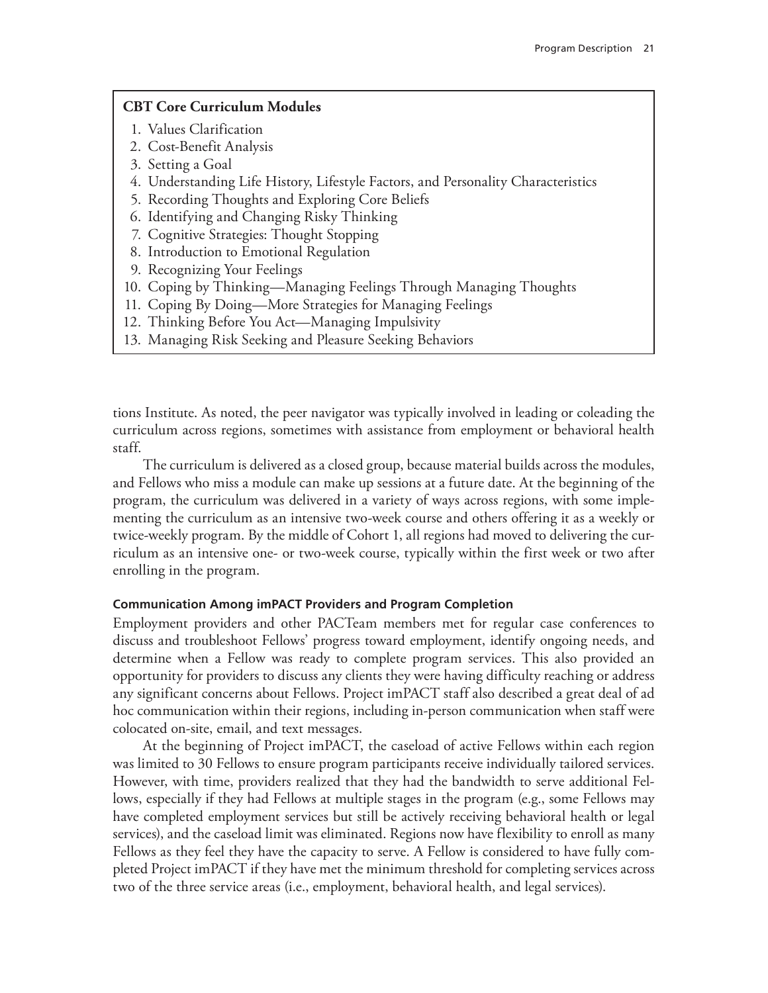## **CBT Core Curriculum Modules**

- 1. Values Clarification
- 2. Cost-Benefit Analysis
- 3. Setting a Goal
- 4. Understanding Life History, Lifestyle Factors, and Personality Characteristics
- 5. Recording Thoughts and Exploring Core Beliefs
- 6. Identifying and Changing Risky Thinking
- 7. Cognitive Strategies: Thought Stopping
- 8. Introduction to Emotional Regulation
- 9. Recognizing Your Feelings
- 10. Coping by Thinking—Managing Feelings Through Managing Thoughts
- 11. Coping By Doing—More Strategies for Managing Feelings
- 12. Thinking Before You Act—Managing Impulsivity
- 13. Managing Risk Seeking and Pleasure Seeking Behaviors

tions Institute. As noted, the peer navigator was typically involved in leading or coleading the curriculum across regions, sometimes with assistance from employment or behavioral health staff.

The curriculum is delivered as a closed group, because material builds across the modules, and Fellows who miss a module can make up sessions at a future date. At the beginning of the program, the curriculum was delivered in a variety of ways across regions, with some implementing the curriculum as an intensive two-week course and others offering it as a weekly or twice-weekly program. By the middle of Cohort 1, all regions had moved to delivering the curriculum as an intensive one- or two-week course, typically within the first week or two after enrolling in the program.

## **Communication Among imPACT Providers and Program Completion**

Employment providers and other PACTeam members met for regular case conferences to discuss and troubleshoot Fellows' progress toward employment, identify ongoing needs, and determine when a Fellow was ready to complete program services. This also provided an opportunity for providers to discuss any clients they were having difficulty reaching or address any significant concerns about Fellows. Project imPACT staff also described a great deal of ad hoc communication within their regions, including in-person communication when staff were colocated on-site, email, and text messages.

At the beginning of Project imPACT, the caseload of active Fellows within each region was limited to 30 Fellows to ensure program participants receive individually tailored services. However, with time, providers realized that they had the bandwidth to serve additional Fellows, especially if they had Fellows at multiple stages in the program (e.g., some Fellows may have completed employment services but still be actively receiving behavioral health or legal services), and the caseload limit was eliminated. Regions now have flexibility to enroll as many Fellows as they feel they have the capacity to serve. A Fellow is considered to have fully completed Project imPACT if they have met the minimum threshold for completing services across two of the three service areas (i.e., employment, behavioral health, and legal services).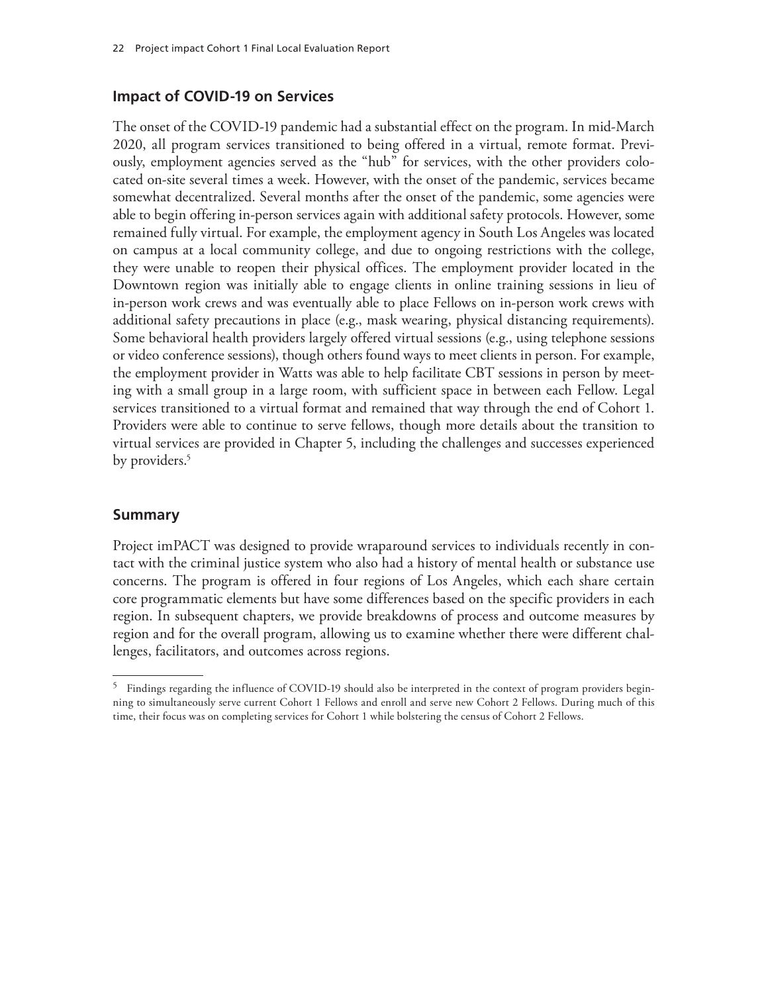## **Impact of COVID-19 on Services**

The onset of the COVID-19 pandemic had a substantial effect on the program. In mid-March 2020, all program services transitioned to being offered in a virtual, remote format. Previously, employment agencies served as the "hub" for services, with the other providers colocated on-site several times a week. However, with the onset of the pandemic, services became somewhat decentralized. Several months after the onset of the pandemic, some agencies were able to begin offering in-person services again with additional safety protocols. However, some remained fully virtual. For example, the employment agency in South Los Angeles was located on campus at a local community college, and due to ongoing restrictions with the college, they were unable to reopen their physical offices. The employment provider located in the Downtown region was initially able to engage clients in online training sessions in lieu of in-person work crews and was eventually able to place Fellows on in-person work crews with additional safety precautions in place (e.g., mask wearing, physical distancing requirements). Some behavioral health providers largely offered virtual sessions (e.g., using telephone sessions or video conference sessions), though others found ways to meet clients in person. For example, the employment provider in Watts was able to help facilitate CBT sessions in person by meeting with a small group in a large room, with sufficient space in between each Fellow. Legal services transitioned to a virtual format and remained that way through the end of Cohort 1. Providers were able to continue to serve fellows, though more details about the transition to virtual services are provided in Chapter 5, including the challenges and successes experienced by providers.<sup>5</sup>

## **Summary**

Project imPACT was designed to provide wraparound services to individuals recently in contact with the criminal justice system who also had a history of mental health or substance use concerns. The program is offered in four regions of Los Angeles, which each share certain core programmatic elements but have some differences based on the specific providers in each region. In subsequent chapters, we provide breakdowns of process and outcome measures by region and for the overall program, allowing us to examine whether there were different challenges, facilitators, and outcomes across regions.

<sup>&</sup>lt;sup>5</sup> Findings regarding the influence of COVID-19 should also be interpreted in the context of program providers beginning to simultaneously serve current Cohort 1 Fellows and enroll and serve new Cohort 2 Fellows. During much of this time, their focus was on completing services for Cohort 1 while bolstering the census of Cohort 2 Fellows.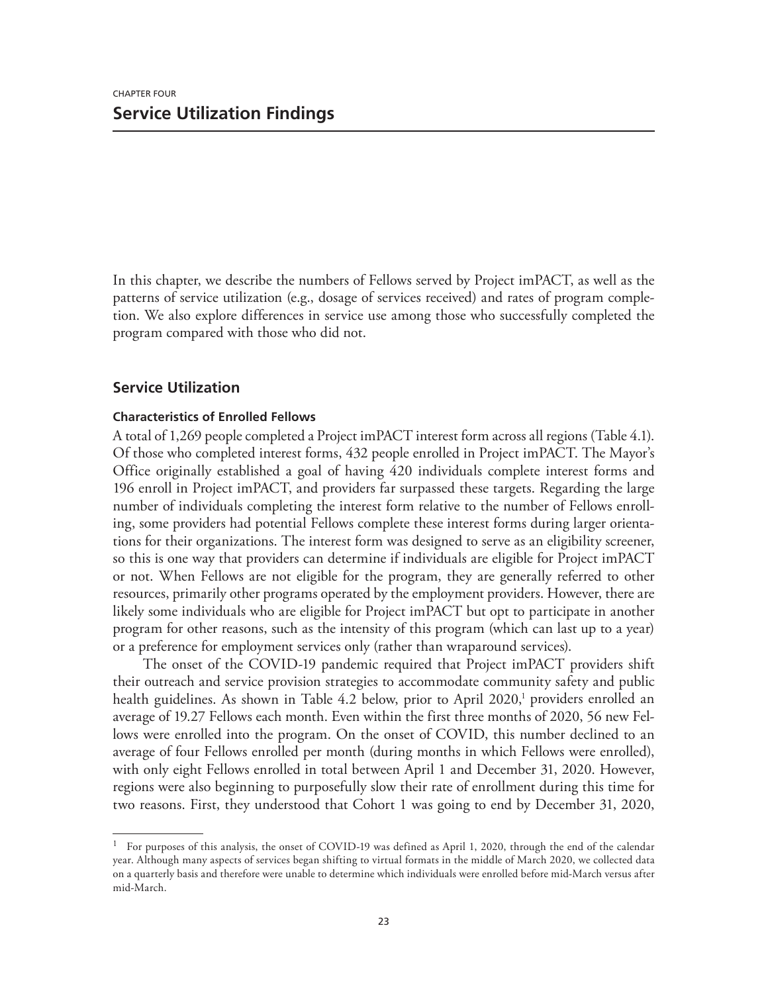In this chapter, we describe the numbers of Fellows served by Project imPACT, as well as the patterns of service utilization (e.g., dosage of services received) and rates of program completion. We also explore differences in service use among those who successfully completed the program compared with those who did not.

## **Service Utilization**

## **Characteristics of Enrolled Fellows**

A total of 1,269 people completed a Project imPACT interest form across all regions (Table 4.1). Of those who completed interest forms, 432 people enrolled in Project imPACT. The Mayor's Office originally established a goal of having 420 individuals complete interest forms and 196 enroll in Project imPACT, and providers far surpassed these targets. Regarding the large number of individuals completing the interest form relative to the number of Fellows enrolling, some providers had potential Fellows complete these interest forms during larger orientations for their organizations. The interest form was designed to serve as an eligibility screener, so this is one way that providers can determine if individuals are eligible for Project imPACT or not. When Fellows are not eligible for the program, they are generally referred to other resources, primarily other programs operated by the employment providers. However, there are likely some individuals who are eligible for Project imPACT but opt to participate in another program for other reasons, such as the intensity of this program (which can last up to a year) or a preference for employment services only (rather than wraparound services).

The onset of the COVID-19 pandemic required that Project imPACT providers shift their outreach and service provision strategies to accommodate community safety and public health guidelines. As shown in Table 4.2 below, prior to April 2020,<sup>1</sup> providers enrolled an average of 19.27 Fellows each month. Even within the first three months of 2020, 56 new Fellows were enrolled into the program. On the onset of COVID, this number declined to an average of four Fellows enrolled per month (during months in which Fellows were enrolled), with only eight Fellows enrolled in total between April 1 and December 31, 2020. However, regions were also beginning to purposefully slow their rate of enrollment during this time for two reasons. First, they understood that Cohort 1 was going to end by December 31, 2020,

<sup>&</sup>lt;sup>1</sup> For purposes of this analysis, the onset of COVID-19 was defined as April 1, 2020, through the end of the calendar year. Although many aspects of services began shifting to virtual formats in the middle of March 2020, we collected data on a quarterly basis and therefore were unable to determine which individuals were enrolled before mid-March versus after mid-March.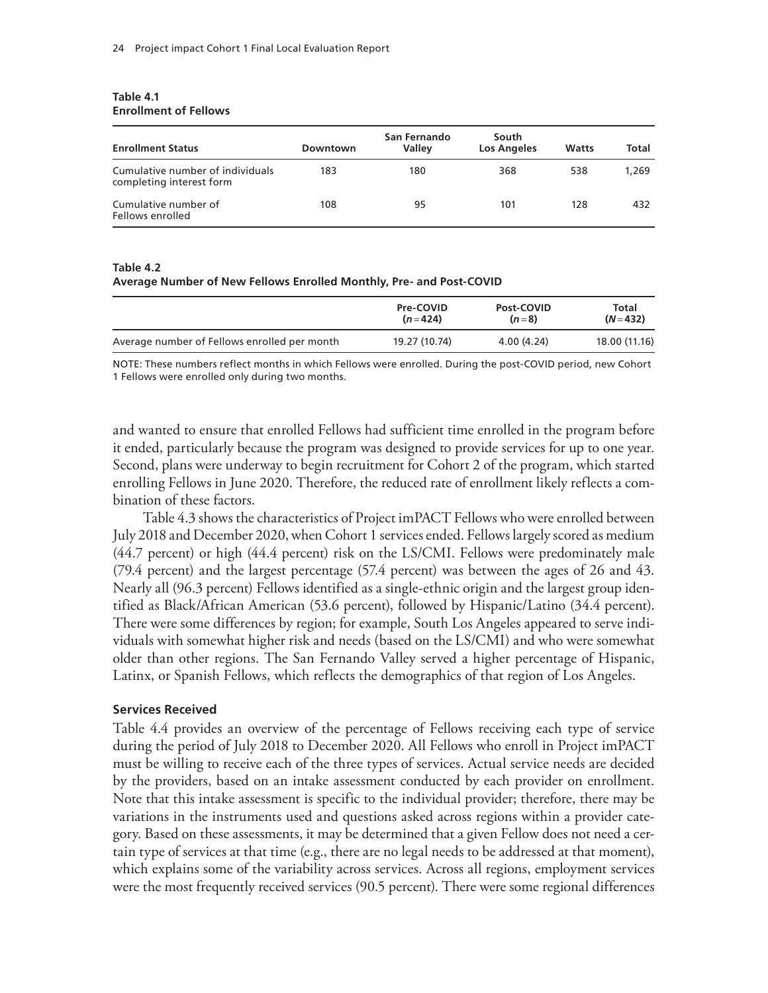| Table 4.1                    |  |
|------------------------------|--|
| <b>Enrollment of Fellows</b> |  |

| <b>Enrollment Status</b>                                     | Downtown | San Fernando<br>Valley | South<br>Los Angeles | Watts | Total |
|--------------------------------------------------------------|----------|------------------------|----------------------|-------|-------|
| Cumulative number of individuals<br>completing interest form | 183      | 180                    | 368                  | 538   | 1,269 |
| Cumulative number of<br>Fellows enrolled                     | 108      | 95                     | 101                  | 128   | 432   |

#### **Table 4.2 Average Number of New Fellows Enrolled Monthly, Pre- and Post-COVID**

|                                              | Pre-COVID     | <b>Post-COVID</b> | Total         |
|----------------------------------------------|---------------|-------------------|---------------|
|                                              | $(n=424)$     | $(n=8)$           | $(N=432)$     |
| Average number of Fellows enrolled per month | 19.27 (10.74) | 4.00 (4.24)       | 18.00 (11.16) |

NOTE: These numbers reflect months in which Fellows were enrolled. During the post-COVID period, new Cohort 1 Fellows were enrolled only during two months.

and wanted to ensure that enrolled Fellows had sufficient time enrolled in the program before it ended, particularly because the program was designed to provide services for up to one year. Second, plans were underway to begin recruitment for Cohort 2 of the program, which started enrolling Fellows in June 2020. Therefore, the reduced rate of enrollment likely reflects a combination of these factors.

Table 4.3 shows the characteristics of Project imPACT Fellows who were enrolled between July 2018 and December 2020, when Cohort 1 services ended. Fellows largely scored as medium (44.7 percent) or high (44.4 percent) risk on the LS/CMI. Fellows were predominately male (79.4 percent) and the largest percentage (57.4 percent) was between the ages of 26 and 43. Nearly all (96.3 percent) Fellows identified as a single-ethnic origin and the largest group identified as Black/African American (53.6 percent), followed by Hispanic/Latino (34.4 percent). There were some differences by region; for example, South Los Angeles appeared to serve individuals with somewhat higher risk and needs (based on the LS/CMI) and who were somewhat older than other regions. The San Fernando Valley served a higher percentage of Hispanic, Latinx, or Spanish Fellows, which reflects the demographics of that region of Los Angeles.

#### **Services Received**

Table 4.4 provides an overview of the percentage of Fellows receiving each type of service during the period of July 2018 to December 2020. All Fellows who enroll in Project imPACT must be willing to receive each of the three types of services. Actual service needs are decided by the providers, based on an intake assessment conducted by each provider on enrollment. Note that this intake assessment is specific to the individual provider; therefore, there may be variations in the instruments used and questions asked across regions within a provider category. Based on these assessments, it may be determined that a given Fellow does not need a certain type of services at that time (e.g., there are no legal needs to be addressed at that moment), which explains some of the variability across services. Across all regions, employment services were the most frequently received services (90.5 percent). There were some regional differences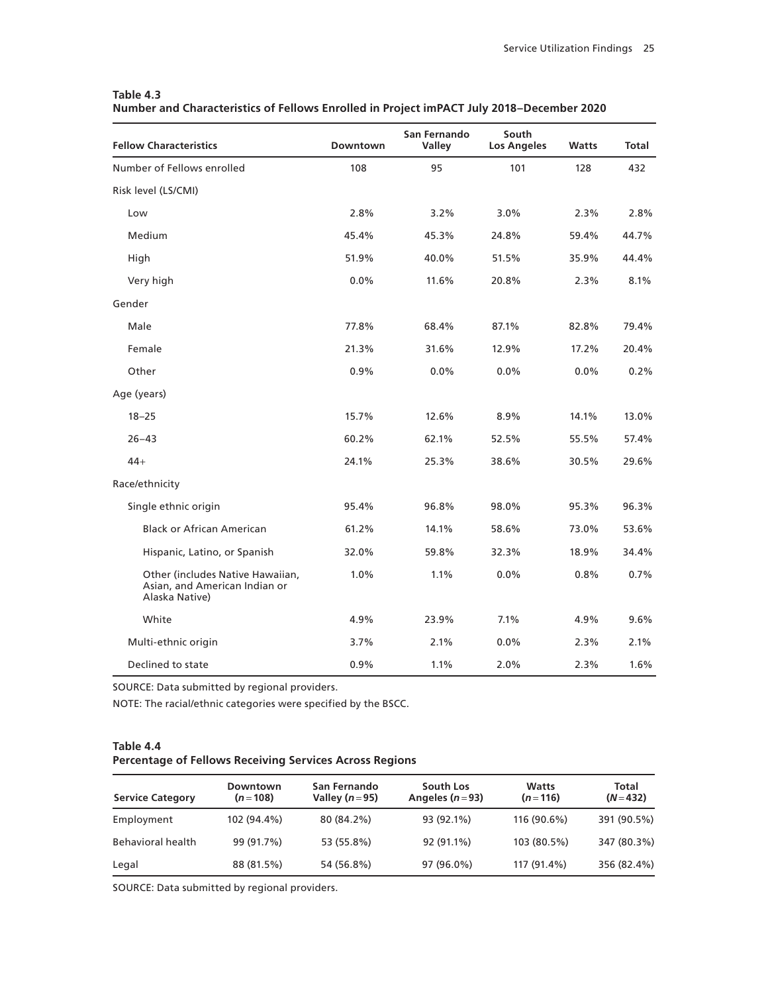## **Table 4.3**

| <b>Fellow Characteristics</b>                                                       | Downtown | San Fernando<br><b>Valley</b> | South<br><b>Los Angeles</b> | <b>Watts</b> | <b>Total</b> |
|-------------------------------------------------------------------------------------|----------|-------------------------------|-----------------------------|--------------|--------------|
| Number of Fellows enrolled                                                          | 108      | 95                            | 101                         | 128          | 432          |
| Risk level (LS/CMI)                                                                 |          |                               |                             |              |              |
| Low                                                                                 | 2.8%     | 3.2%                          | 3.0%                        | 2.3%         | 2.8%         |
| Medium                                                                              | 45.4%    | 45.3%                         | 24.8%                       | 59.4%        | 44.7%        |
| High                                                                                | 51.9%    | 40.0%                         | 51.5%                       | 35.9%        | 44.4%        |
| Very high                                                                           | 0.0%     | 11.6%                         | 20.8%                       | 2.3%         | 8.1%         |
| Gender                                                                              |          |                               |                             |              |              |
| Male                                                                                | 77.8%    | 68.4%                         | 87.1%                       | 82.8%        | 79.4%        |
| Female                                                                              | 21.3%    | 31.6%                         | 12.9%                       | 17.2%        | 20.4%        |
| Other                                                                               | 0.9%     | 0.0%                          | 0.0%                        | 0.0%         | 0.2%         |
| Age (years)                                                                         |          |                               |                             |              |              |
| $18 - 25$                                                                           | 15.7%    | 12.6%                         | 8.9%                        | 14.1%        | 13.0%        |
| $26 - 43$                                                                           | 60.2%    | 62.1%                         | 52.5%                       | 55.5%        | 57.4%        |
| $44 +$                                                                              | 24.1%    | 25.3%                         | 38.6%                       | 30.5%        | 29.6%        |
| Race/ethnicity                                                                      |          |                               |                             |              |              |
| Single ethnic origin                                                                | 95.4%    | 96.8%                         | 98.0%                       | 95.3%        | 96.3%        |
| <b>Black or African American</b>                                                    | 61.2%    | 14.1%                         | 58.6%                       | 73.0%        | 53.6%        |
| Hispanic, Latino, or Spanish                                                        | 32.0%    | 59.8%                         | 32.3%                       | 18.9%        | 34.4%        |
| Other (includes Native Hawaiian,<br>Asian, and American Indian or<br>Alaska Native) | 1.0%     | 1.1%                          | $0.0\%$                     | 0.8%         | 0.7%         |
| White                                                                               | 4.9%     | 23.9%                         | 7.1%                        | 4.9%         | $9.6\%$      |
| Multi-ethnic origin                                                                 | 3.7%     | 2.1%                          | 0.0%                        | 2.3%         | 2.1%         |
| Declined to state                                                                   | 0.9%     | 1.1%                          | 2.0%                        | 2.3%         | 1.6%         |

SOURCE: Data submitted by regional providers.

NOTE: The racial/ethnic categories were specified by the BSCC.

## **Table 4.4 Percentage of Fellows Receiving Services Across Regions**

| <b>Service Category</b> | Downtown<br>$(n=108)$ | San Fernando<br>Valley ( $n = 95$ ) | South Los<br>Angeles $(n=93)$ | Watts<br>$(n=116)$ | Total<br>$(N=432)$ |
|-------------------------|-----------------------|-------------------------------------|-------------------------------|--------------------|--------------------|
| Employment              | 102 (94.4%)           | 80 (84.2%)                          | 93 (92.1%)                    | 116 (90.6%)        | 391 (90.5%)        |
| Behavioral health       | 99 (91.7%)            | 53 (55.8%)                          | 92 (91.1%)                    | 103 (80.5%)        | 347 (80.3%)        |
| Legal                   | 88 (81.5%)            | 54 (56.8%)                          | 97 (96.0%)                    | 117 (91.4%)        | 356 (82.4%)        |

SOURCE: Data submitted by regional providers.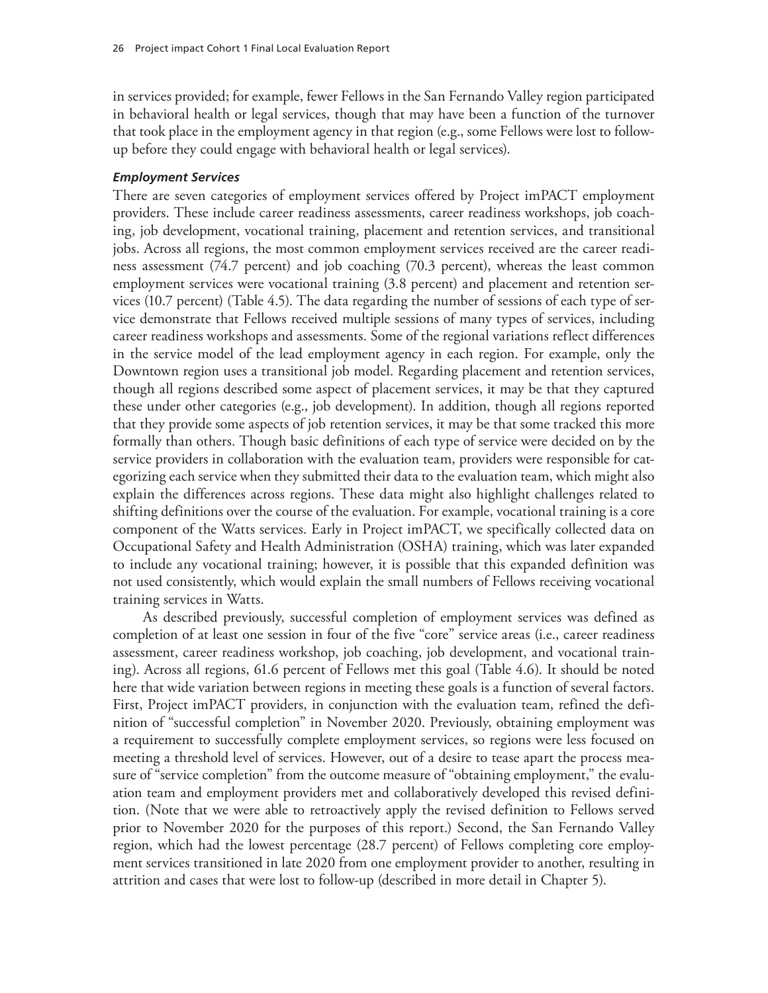in services provided; for example, fewer Fellows in the San Fernando Valley region participated in behavioral health or legal services, though that may have been a function of the turnover that took place in the employment agency in that region (e.g., some Fellows were lost to followup before they could engage with behavioral health or legal services).

#### *Employment Services*

There are seven categories of employment services offered by Project imPACT employment providers. These include career readiness assessments, career readiness workshops, job coaching, job development, vocational training, placement and retention services, and transitional jobs. Across all regions, the most common employment services received are the career readiness assessment (74.7 percent) and job coaching (70.3 percent), whereas the least common employment services were vocational training (3.8 percent) and placement and retention services (10.7 percent) (Table 4.5). The data regarding the number of sessions of each type of service demonstrate that Fellows received multiple sessions of many types of services, including career readiness workshops and assessments. Some of the regional variations reflect differences in the service model of the lead employment agency in each region. For example, only the Downtown region uses a transitional job model. Regarding placement and retention services, though all regions described some aspect of placement services, it may be that they captured these under other categories (e.g., job development). In addition, though all regions reported that they provide some aspects of job retention services, it may be that some tracked this more formally than others. Though basic definitions of each type of service were decided on by the service providers in collaboration with the evaluation team, providers were responsible for categorizing each service when they submitted their data to the evaluation team, which might also explain the differences across regions. These data might also highlight challenges related to shifting definitions over the course of the evaluation. For example, vocational training is a core component of the Watts services. Early in Project imPACT, we specifically collected data on Occupational Safety and Health Administration (OSHA) training, which was later expanded to include any vocational training; however, it is possible that this expanded definition was not used consistently, which would explain the small numbers of Fellows receiving vocational training services in Watts.

As described previously, successful completion of employment services was defined as completion of at least one session in four of the five "core" service areas (i.e., career readiness assessment, career readiness workshop, job coaching, job development, and vocational training). Across all regions, 61.6 percent of Fellows met this goal (Table 4.6). It should be noted here that wide variation between regions in meeting these goals is a function of several factors. First, Project imPACT providers, in conjunction with the evaluation team, refined the definition of "successful completion" in November 2020. Previously, obtaining employment was a requirement to successfully complete employment services, so regions were less focused on meeting a threshold level of services. However, out of a desire to tease apart the process measure of "service completion" from the outcome measure of "obtaining employment," the evaluation team and employment providers met and collaboratively developed this revised definition. (Note that we were able to retroactively apply the revised definition to Fellows served prior to November 2020 for the purposes of this report.) Second, the San Fernando Valley region, which had the lowest percentage (28.7 percent) of Fellows completing core employment services transitioned in late 2020 from one employment provider to another, resulting in attrition and cases that were lost to follow-up (described in more detail in Chapter 5).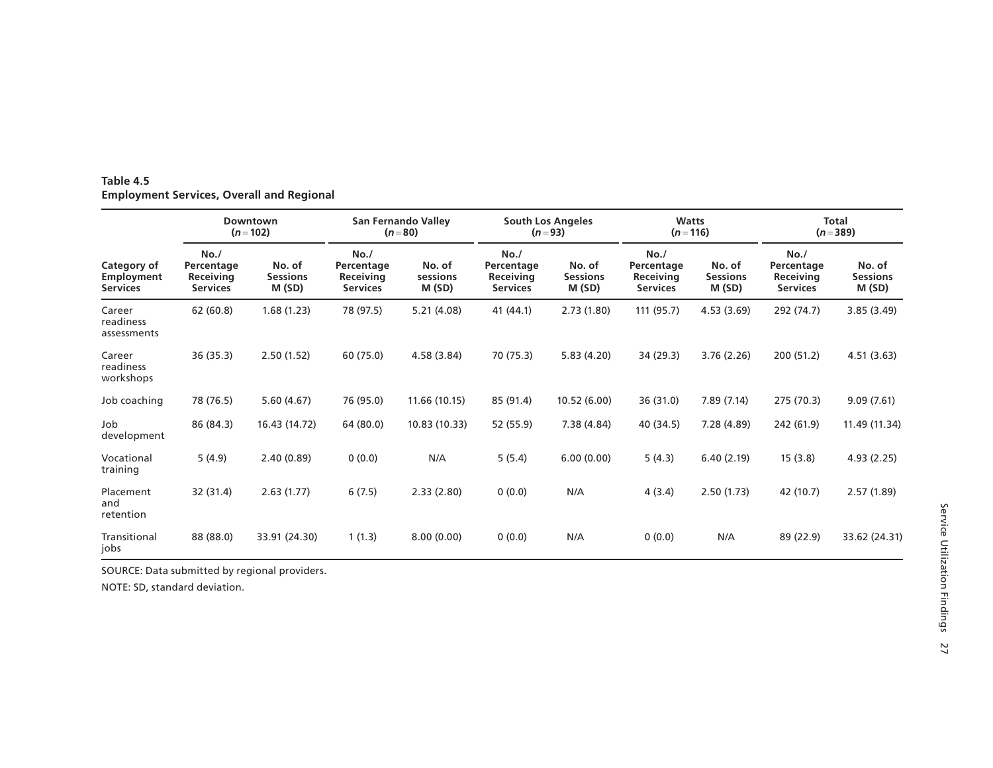|                                              | Downtown<br>$(n=102)$                               |                                     | San Fernando Valley<br>$(n=80)$                   |                              | <b>South Los Angeles</b><br>$(n=93)$                |                                     | <b>Watts</b><br>$(n=116)$                           |                                     | <b>Total</b><br>$(n=389)$                           |                                     |
|----------------------------------------------|-----------------------------------------------------|-------------------------------------|---------------------------------------------------|------------------------------|-----------------------------------------------------|-------------------------------------|-----------------------------------------------------|-------------------------------------|-----------------------------------------------------|-------------------------------------|
| Category of<br>Employment<br><b>Services</b> | No. /<br>Percentage<br>Receiving<br><b>Services</b> | No. of<br><b>Sessions</b><br>M (SD) | No.<br>Percentage<br>Receiving<br><b>Services</b> | No. of<br>sessions<br>M (SD) | No. /<br>Percentage<br>Receiving<br><b>Services</b> | No. of<br><b>Sessions</b><br>M (SD) | No. /<br>Percentage<br>Receiving<br><b>Services</b> | No. of<br><b>Sessions</b><br>M (SD) | No. /<br>Percentage<br>Receiving<br><b>Services</b> | No. of<br><b>Sessions</b><br>M (SD) |
| Career<br>readiness<br>assessments           | 62(60.8)                                            | 1.68(1.23)                          | 78 (97.5)                                         | 5.21(4.08)                   | 41 (44.1)                                           | 2.73(1.80)                          | 111(95.7)                                           | 4.53(3.69)                          | 292 (74.7)                                          | 3.85(3.49)                          |
| Career<br>readiness<br>workshops             | 36(35.3)                                            | 2.50(1.52)                          | 60 (75.0)                                         | 4.58(3.84)                   | 70 (75.3)                                           | 5.83(4.20)                          | 34 (29.3)                                           | 3.76(2.26)                          | 200(51.2)                                           | 4.51(3.63)                          |
| Job coaching                                 | 78 (76.5)                                           | 5.60(4.67)                          | 76 (95.0)                                         | 11.66 (10.15)                | 85 (91.4)                                           | 10.52(6.00)                         | 36 (31.0)                                           | 7.89(7.14)                          | 275 (70.3)                                          | 9.09(7.61)                          |
| Job<br>development                           | 86 (84.3)                                           | 16.43 (14.72)                       | 64 (80.0)                                         | 10.83 (10.33)                | 52 (55.9)                                           | 7.38 (4.84)                         | 40 (34.5)                                           | 7.28 (4.89)                         | 242 (61.9)                                          | 11.49 (11.34)                       |
| Vocational<br>training                       | 5(4.9)                                              | 2.40(0.89)                          | 0(0.0)                                            | N/A                          | 5(5.4)                                              | 6.00(0.00)                          | 5(4.3)                                              | 6.40(2.19)                          | 15 (3.8)                                            | 4.93 (2.25)                         |
| Placement<br>and<br>retention                | 32 (31.4)                                           | 2.63(1.77)                          | 6(7.5)                                            | 2.33(2.80)                   | 0(0.0)                                              | N/A                                 | 4(3.4)                                              | 2.50(1.73)                          | 42 (10.7)                                           | 2.57(1.89)                          |
| Transitional<br>jobs                         | 88 (88.0)                                           | 33.91 (24.30)                       | 1(1.3)                                            | 8.00(0.00)                   | 0(0.0)                                              | N/A                                 | 0(0.0)                                              | N/A                                 | 89 (22.9)                                           | 33.62 (24.31)                       |

#### **Table 4.5 Employment Services, Overall and Regional**

SOURCE: Data submitted by regional providers.

NOTE: SD, standard deviation.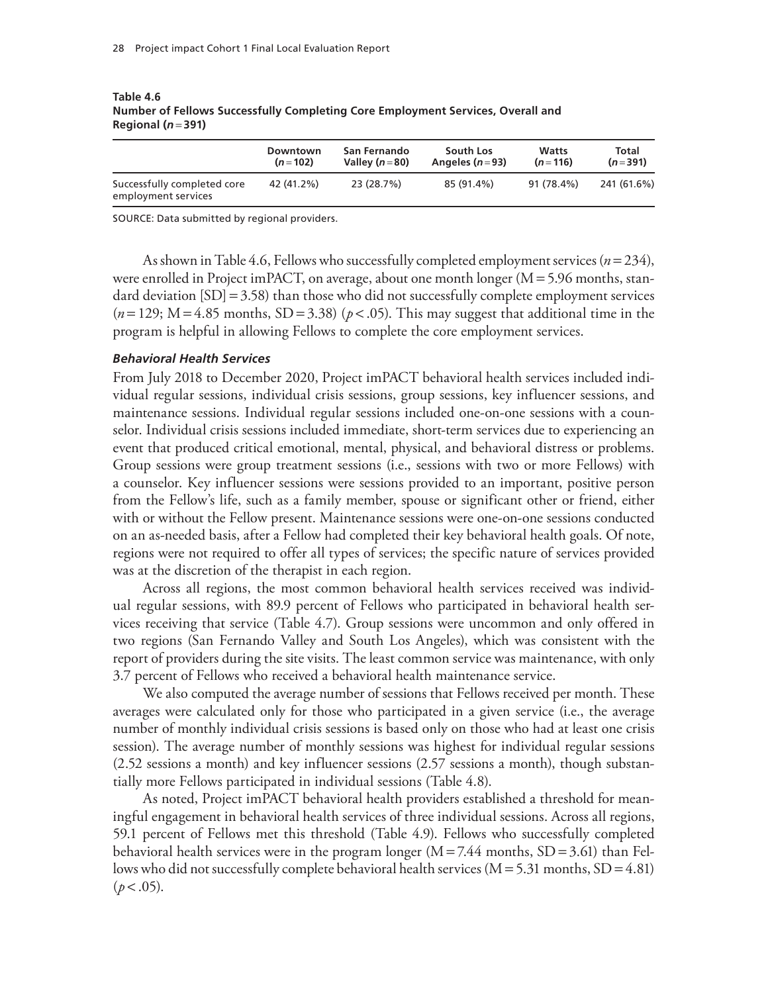|                                                    | Downtown   | San Fernando    | South Los            | Watts        | Total       |
|----------------------------------------------------|------------|-----------------|----------------------|--------------|-------------|
|                                                    | $(n=102)$  | Valley $(n=80)$ | Angeles ( $n = 93$ ) | $(n=116)$    | $(n=391)$   |
| Successfully completed core<br>employment services | 42 (41.2%) | 23 (28.7%)      | 85 (91.4%)           | $91(78.4\%)$ | 241 (61.6%) |

**Table 4.6 Number of Fellows Successfully Completing Core Employment Services, Overall and Regional (***n* = **391)**

SOURCE: Data submitted by regional providers.

As shown in Table 4.6, Fellows who successfully completed employment services  $(n=234)$ , were enrolled in Project imPACT, on average, about one month longer ( $M = 5.96$  months, standard deviation [SD] = 3.58) than those who did not successfully complete employment services  $(n=129; M=4.85$  months, SD = 3.38) ( $p < .05$ ). This may suggest that additional time in the program is helpful in allowing Fellows to complete the core employment services.

## *Behavioral Health Services*

From July 2018 to December 2020, Project imPACT behavioral health services included individual regular sessions, individual crisis sessions, group sessions, key influencer sessions, and maintenance sessions. Individual regular sessions included one-on-one sessions with a counselor. Individual crisis sessions included immediate, short-term services due to experiencing an event that produced critical emotional, mental, physical, and behavioral distress or problems. Group sessions were group treatment sessions (i.e., sessions with two or more Fellows) with a counselor. Key influencer sessions were sessions provided to an important, positive person from the Fellow's life, such as a family member, spouse or significant other or friend, either with or without the Fellow present. Maintenance sessions were one-on-one sessions conducted on an as-needed basis, after a Fellow had completed their key behavioral health goals. Of note, regions were not required to offer all types of services; the specific nature of services provided was at the discretion of the therapist in each region.

Across all regions, the most common behavioral health services received was individual regular sessions, with 89.9 percent of Fellows who participated in behavioral health services receiving that service (Table 4.7). Group sessions were uncommon and only offered in two regions (San Fernando Valley and South Los Angeles), which was consistent with the report of providers during the site visits. The least common service was maintenance, with only 3.7 percent of Fellows who received a behavioral health maintenance service.

We also computed the average number of sessions that Fellows received per month. These averages were calculated only for those who participated in a given service (i.e., the average number of monthly individual crisis sessions is based only on those who had at least one crisis session). The average number of monthly sessions was highest for individual regular sessions (2.52 sessions a month) and key influencer sessions (2.57 sessions a month), though substantially more Fellows participated in individual sessions (Table 4.8).

As noted, Project imPACT behavioral health providers established a threshold for meaningful engagement in behavioral health services of three individual sessions. Across all regions, 59.1 percent of Fellows met this threshold (Table 4.9). Fellows who successfully completed behavioral health services were in the program longer  $(M = 7.44$  months,  $SD = 3.61$ ) than Fellows who did not successfully complete behavioral health services ( $M = 5.31$  months,  $SD = 4.81$ )  $(p < .05)$ .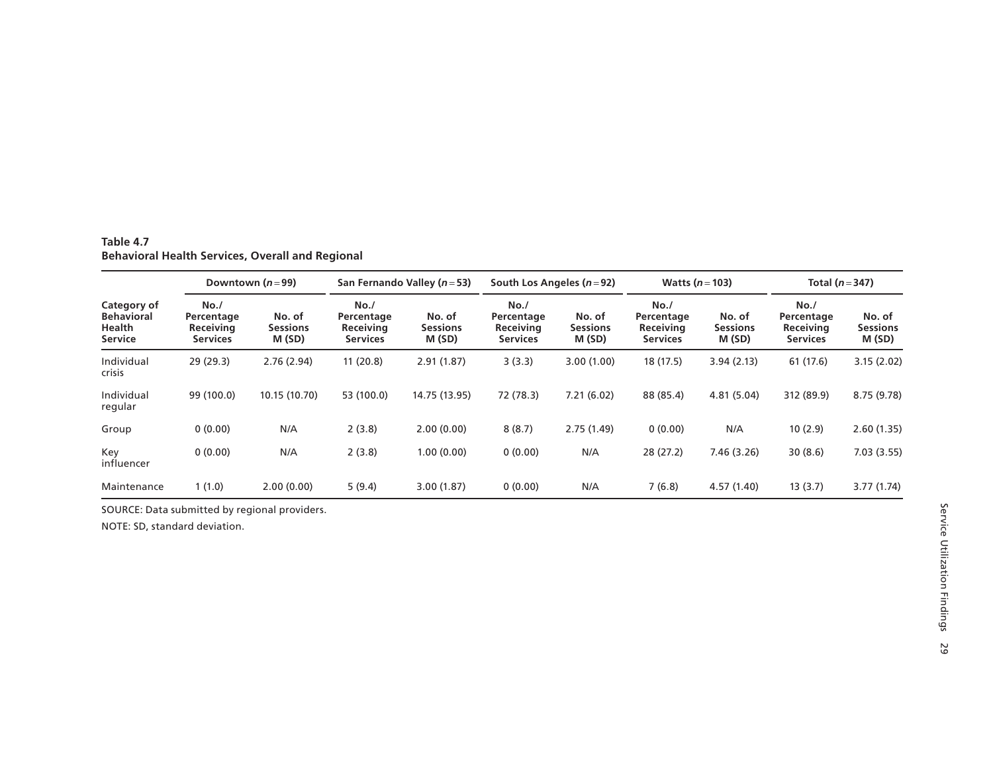|                                                                     | Downtown $(n=99)$                                   |                                    | San Fernando Valley ( $n = 53$ )                           |                                    | South Los Angeles ( $n = 92$ )                      |                                    | Watts ( $n = 103$ )                                        |                                    | Total $(n=347)$                                     |                                     |
|---------------------------------------------------------------------|-----------------------------------------------------|------------------------------------|------------------------------------------------------------|------------------------------------|-----------------------------------------------------|------------------------------------|------------------------------------------------------------|------------------------------------|-----------------------------------------------------|-------------------------------------|
| Category of<br><b>Behavioral</b><br><b>Health</b><br><b>Service</b> | No. /<br>Percentage<br>Receiving<br><b>Services</b> | No. of<br><b>Sessions</b><br>M(SD) | No. /<br>Percentage<br><b>Receiving</b><br><b>Services</b> | No. of<br><b>Sessions</b><br>M(SD) | No. /<br>Percentage<br>Receiving<br><b>Services</b> | No. of<br><b>Sessions</b><br>M(SD) | No. /<br>Percentage<br><b>Receiving</b><br><b>Services</b> | No. of<br><b>Sessions</b><br>M(SD) | No. /<br>Percentage<br>Receiving<br><b>Services</b> | No. of<br><b>Sessions</b><br>M (SD) |
| Individual<br>crisis                                                | 29(29.3)                                            | 2.76(2.94)                         | 11(20.8)                                                   | 2.91(1.87)                         | 3(3.3)                                              | 3.00(1.00)                         | 18 (17.5)                                                  | 3.94(2.13)                         | 61 (17.6)                                           | 3.15(2.02)                          |
| Individual<br>regular                                               | 99 (100.0)                                          | 10.15 (10.70)                      | 53 (100.0)                                                 | 14.75 (13.95)                      | 72 (78.3)                                           | 7.21(6.02)                         | 88 (85.4)                                                  | 4.81(5.04)                         | 312 (89.9)                                          | 8.75 (9.78)                         |
| Group                                                               | 0(0.00)                                             | N/A                                | 2(3.8)                                                     | 2.00(0.00)                         | 8(8.7)                                              | 2.75(1.49)                         | 0(0.00)                                                    | N/A                                | 10(2.9)                                             | 2.60(1.35)                          |
| Key<br>influencer                                                   | 0(0.00)                                             | N/A                                | 2(3.8)                                                     | 1.00(0.00)                         | 0(0.00)                                             | N/A                                | 28 (27.2)                                                  | 7.46(3.26)                         | 30(8.6)                                             | 7.03(3.55)                          |
| Maintenance                                                         | 1(1.0)                                              | 2.00(0.00)                         | 5(9.4)                                                     | 3.00(1.87)                         | 0(0.00)                                             | N/A                                | 7(6.8)                                                     | 4.57(1.40)                         | 13(3.7)                                             | 3.77(1.74)                          |

## **Table 4.7 Behavioral Health Services, Overall and Regional**

SOURCE: Data submitted by regional providers.

NOTE: SD, standard deviation.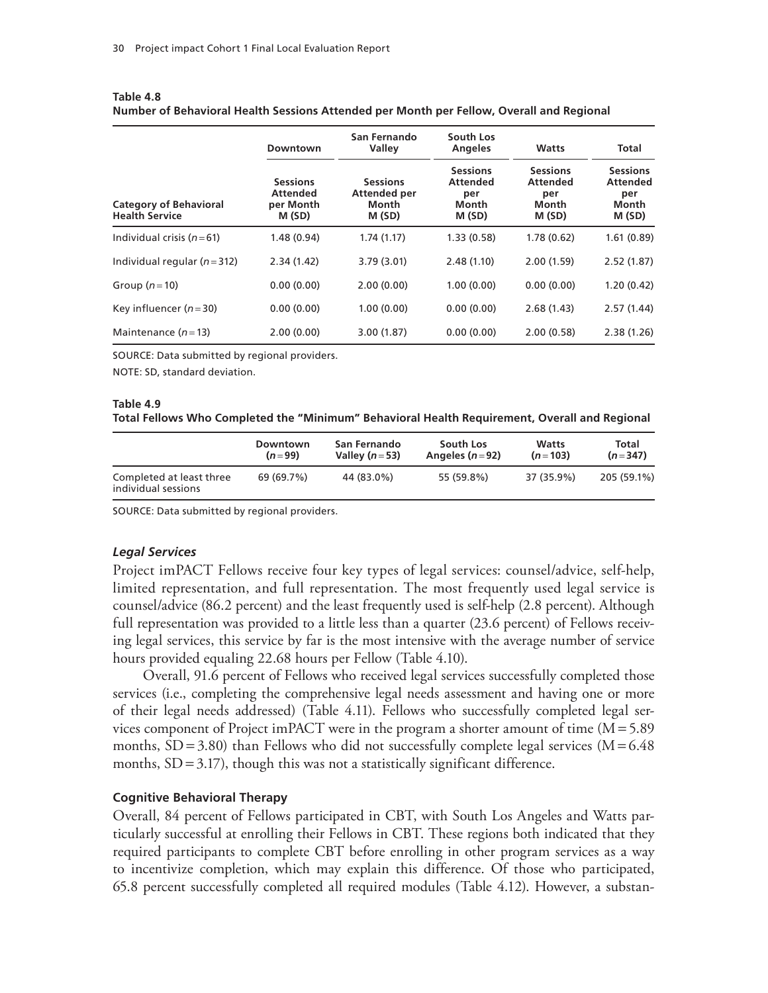|                                                        | Downtown                                                                                                               | San Fernando<br>Valley | South Los<br><b>Angeles</b>                                 | <b>Watts</b>                                                | <b>Total</b>                                                |
|--------------------------------------------------------|------------------------------------------------------------------------------------------------------------------------|------------------------|-------------------------------------------------------------|-------------------------------------------------------------|-------------------------------------------------------------|
| <b>Category of Behavioral</b><br><b>Health Service</b> | <b>Sessions</b><br><b>Sessions</b><br><b>Attended per</b><br><b>Attended</b><br>per Month<br>Month<br>M (SD)<br>M (SD) |                        | <b>Sessions</b><br><b>Attended</b><br>per<br>Month<br>M(SD) | <b>Sessions</b><br><b>Attended</b><br>per<br>Month<br>M(SD) | <b>Sessions</b><br><b>Attended</b><br>per<br>Month<br>M(SD) |
| Individual crisis ( $n=61$ )                           | 1.48(0.94)                                                                                                             | 1.74(1.17)             | 1.33(0.58)                                                  | 1.78(0.62)                                                  | 1.61(0.89)                                                  |
| Individual regular $(n=312)$                           | 2.34(1.42)                                                                                                             | 3.79(3.01)             | 2.48(1.10)                                                  | 2.00(1.59)                                                  | 2.52(1.87)                                                  |
| Group $(n=10)$                                         | 0.00(0.00)                                                                                                             | 2.00(0.00)             | 1.00(0.00)                                                  | 0.00(0.00)                                                  | 1.20(0.42)                                                  |
| Key influencer $(n=30)$                                | 0.00(0.00)                                                                                                             | 1.00(0.00)             | 0.00(0.00)                                                  | 2.68(1.43)                                                  | 2.57(1.44)                                                  |
| Maintenance $(n=13)$                                   | 2.00(0.00)                                                                                                             | 3.00(1.87)             | 0.00(0.00)                                                  | 2.00(0.58)                                                  | 2.38(1.26)                                                  |

#### **Table 4.8 Number of Behavioral Health Sessions Attended per Month per Fellow, Overall and Regional**

SOURCE: Data submitted by regional providers.

NOTE: SD, standard deviation.

#### **Table 4.9**

**Total Fellows Who Completed the "Minimum" Behavioral Health Requirement, Overall and Regional**

|                                                 | Downtown   | San Fernando        | South Los            | <b>Watts</b> | Total       |
|-------------------------------------------------|------------|---------------------|----------------------|--------------|-------------|
|                                                 | $(n=99)$   | Valley ( $n = 53$ ) | Angeles ( $n = 92$ ) | $(n=103)$    | $(n=347)$   |
| Completed at least three<br>individual sessions | 69 (69.7%) | 44 (83.0%)          | 55 (59.8%)           | 37 (35.9%)   | 205 (59.1%) |

SOURCE: Data submitted by regional providers.

## *Legal Services*

Project imPACT Fellows receive four key types of legal services: counsel/advice, self-help, limited representation, and full representation. The most frequently used legal service is counsel/advice (86.2 percent) and the least frequently used is self-help (2.8 percent). Although full representation was provided to a little less than a quarter (23.6 percent) of Fellows receiving legal services, this service by far is the most intensive with the average number of service hours provided equaling 22.68 hours per Fellow (Table 4.10).

Overall, 91.6 percent of Fellows who received legal services successfully completed those services (i.e., completing the comprehensive legal needs assessment and having one or more of their legal needs addressed) (Table 4.11). Fellows who successfully completed legal services component of Project imPACT were in the program a shorter amount of time  $(M = 5.89)$ months,  $SD = 3.80$ ) than Fellows who did not successfully complete legal services ( $M = 6.48$ ) months,  $SD = 3.17$ ), though this was not a statistically significant difference.

## **Cognitive Behavioral Therapy**

Overall, 84 percent of Fellows participated in CBT, with South Los Angeles and Watts particularly successful at enrolling their Fellows in CBT. These regions both indicated that they required participants to complete CBT before enrolling in other program services as a way to incentivize completion, which may explain this difference. Of those who participated, 65.8 percent successfully completed all required modules (Table 4.12). However, a substan-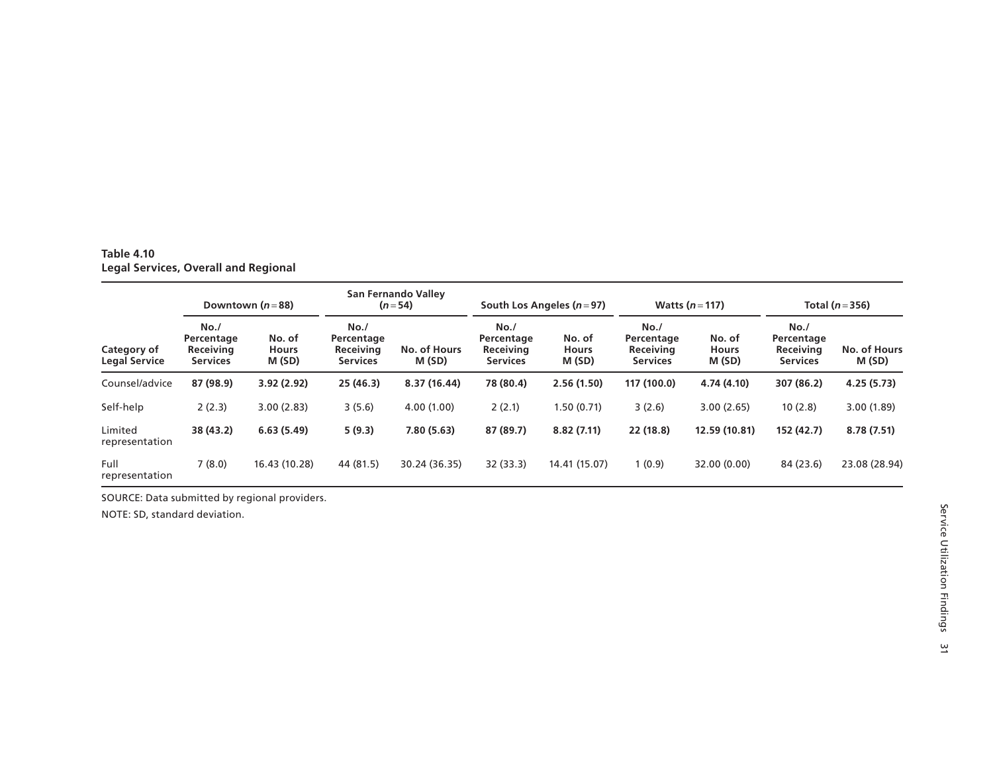| <b>Table 4.10</b>                           |  |  |
|---------------------------------------------|--|--|
| <b>Legal Services, Overall and Regional</b> |  |  |

|                                     | Downtown $(n=88)$                                          |                                 | San Fernando Valley<br>$(n=54)$                            |                        | South Los Angeles ( $n = 97$ )                      |                                 | Watts $(n=117)$                                            |                                 | Total $(n=356)$                                            |                       |
|-------------------------------------|------------------------------------------------------------|---------------------------------|------------------------------------------------------------|------------------------|-----------------------------------------------------|---------------------------------|------------------------------------------------------------|---------------------------------|------------------------------------------------------------|-----------------------|
| Category of<br><b>Legal Service</b> | No. /<br>Percentage<br><b>Receiving</b><br><b>Services</b> | No. of<br><b>Hours</b><br>M(SD) | No. /<br>Percentage<br><b>Receiving</b><br><b>Services</b> | No. of Hours<br>M (SD) | No. /<br>Percentage<br>Receivina<br><b>Services</b> | No. of<br><b>Hours</b><br>M(SD) | No. /<br>Percentage<br><b>Receiving</b><br><b>Services</b> | No. of<br><b>Hours</b><br>M(SD) | No. /<br>Percentage<br><b>Receiving</b><br><b>Services</b> | No. of Hours<br>M(SD) |
| Counsel/advice                      | 87 (98.9)                                                  | 3.92(2.92)                      | 25(46.3)                                                   | 8.37 (16.44)           | 78 (80.4)                                           | 2.56(1.50)                      | 117 (100.0)                                                | 4.74 (4.10)                     | 307 (86.2)                                                 | 4.25(5.73)            |
| Self-help                           | 2(2.3)                                                     | 3.00(2.83)                      | 3(5.6)                                                     | 4.00(1.00)             | 2(2.1)                                              | 1.50 (0.71)                     | 3(2.6)                                                     | 3.00(2.65)                      | 10(2.8)                                                    | 3.00(1.89)            |
| Limited<br>representation           | 38 (43.2)                                                  | 6.63(5.49)                      | 5(9.3)                                                     | 7.80 (5.63)            | 87 (89.7)                                           | 8.82(7.11)                      | 22 (18.8)                                                  | 12.59 (10.81)                   | 152 (42.7)                                                 | 8.78(7.51)            |
| Full<br>representation              | 7(8.0)                                                     | 16.43 (10.28)                   | 44 (81.5)                                                  | 30.24 (36.35)          | 32 (33.3)                                           | 14.41 (15.07)                   | 1(0.9)                                                     | 32.00 (0.00)                    | 84 (23.6)                                                  | 23.08 (28.94)         |

SOURCE: Data submitted by regional providers.

NOTE: SD, standard deviation.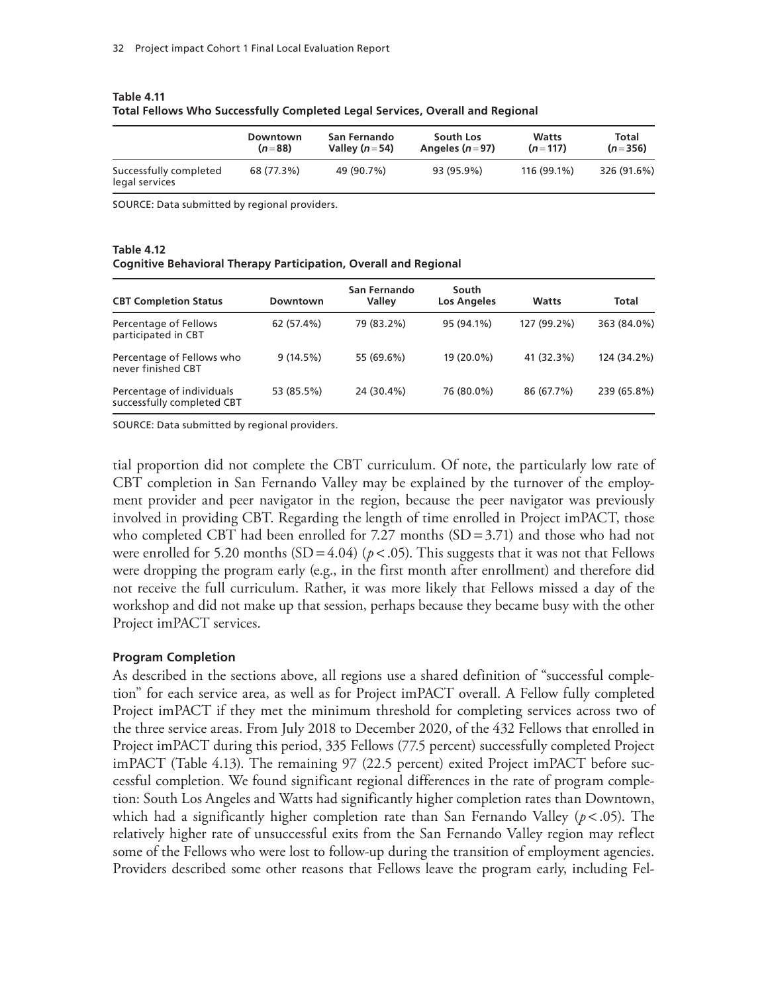|                                          | Downtown   | San Fernando    | South Los            | Watts       | Total       |
|------------------------------------------|------------|-----------------|----------------------|-------------|-------------|
|                                          | $(n=88)$   | Valley $(n=54)$ | Angeles ( $n = 97$ ) | $(n=117)$   | $(n=356)$   |
| Successfully completed<br>legal services | 68 (77.3%) | 49 (90.7%)      | 93 (95.9%)           | 116 (99.1%) | 326 (91.6%) |

| Table 4.11                                                                    |  |
|-------------------------------------------------------------------------------|--|
| Total Fellows Who Successfully Completed Legal Services, Overall and Regional |  |

SOURCE: Data submitted by regional providers.

**Table 4.12 Cognitive Behavioral Therapy Participation, Overall and Regional**

| <b>CBT Completion Status</b>                            | <b>Downtown</b> | San Fernando<br><b>Valley</b> | South<br><b>Los Angeles</b> | <b>Watts</b> | Total       |
|---------------------------------------------------------|-----------------|-------------------------------|-----------------------------|--------------|-------------|
| Percentage of Fellows<br>participated in CBT            | 62 (57.4%)      | 79 (83.2%)                    | 95 (94.1%)                  | 127 (99.2%)  | 363 (84.0%) |
| Percentage of Fellows who<br>never finished CBT         | 9(14.5%)        | 55 (69.6%)                    | 19 (20.0%)                  | 41 (32.3%)   | 124 (34.2%) |
| Percentage of individuals<br>successfully completed CBT | 53 (85.5%)      | 24 (30.4%)                    | 76 (80.0%)                  | 86 (67.7%)   | 239 (65.8%) |

SOURCE: Data submitted by regional providers.

tial proportion did not complete the CBT curriculum. Of note, the particularly low rate of CBT completion in San Fernando Valley may be explained by the turnover of the employment provider and peer navigator in the region, because the peer navigator was previously involved in providing CBT. Regarding the length of time enrolled in Project imPACT, those who completed CBT had been enrolled for 7.27 months  $(SD = 3.71)$  and those who had not were enrolled for 5.20 months  $(SD = 4.04)$  ( $p < .05$ ). This suggests that it was not that Fellows were dropping the program early (e.g., in the first month after enrollment) and therefore did not receive the full curriculum. Rather, it was more likely that Fellows missed a day of the workshop and did not make up that session, perhaps because they became busy with the other Project imPACT services.

## **Program Completion**

As described in the sections above, all regions use a shared definition of "successful completion" for each service area, as well as for Project imPACT overall. A Fellow fully completed Project imPACT if they met the minimum threshold for completing services across two of the three service areas. From July 2018 to December 2020, of the 432 Fellows that enrolled in Project imPACT during this period, 335 Fellows (77.5 percent) successfully completed Project imPACT (Table 4.13). The remaining 97 (22.5 percent) exited Project imPACT before successful completion. We found significant regional differences in the rate of program completion: South Los Angeles and Watts had significantly higher completion rates than Downtown, which had a significantly higher completion rate than San Fernando Valley ( $p < .05$ ). The relatively higher rate of unsuccessful exits from the San Fernando Valley region may reflect some of the Fellows who were lost to follow-up during the transition of employment agencies. Providers described some other reasons that Fellows leave the program early, including Fel-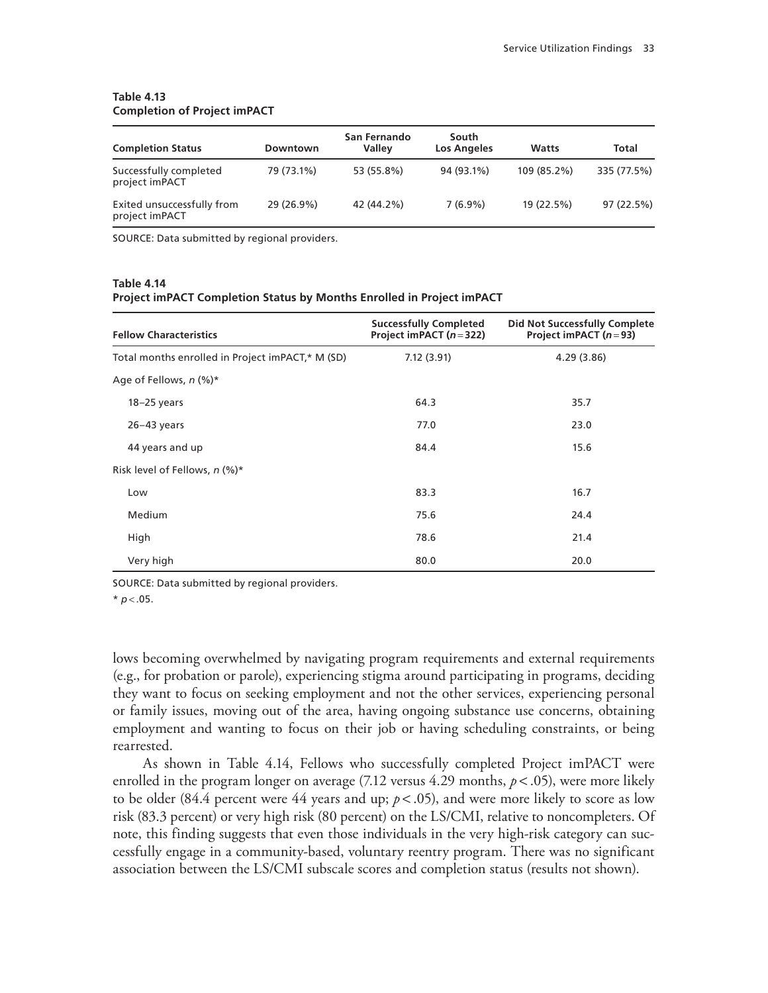#### **Table 4.13 Completion of Project imPACT**

| <b>Completion Status</b>                     | Downtown   | San Fernando<br>Vallev | South<br>Los Angeles | <b>Watts</b> | Total       |
|----------------------------------------------|------------|------------------------|----------------------|--------------|-------------|
| Successfully completed<br>project imPACT     | 79 (73.1%) | 53 (55.8%)             | 94 (93.1%)           | 109 (85.2%)  | 335 (77.5%) |
| Exited unsuccessfully from<br>project imPACT | 29 (26.9%) | 42 (44.2%)             | $7(6.9\%)$           | 19 (22.5%)   | 97 (22.5%)  |

SOURCE: Data submitted by regional providers.

**Table 4.14**

| <b>Fellow Characteristics</b>                    | <b>Successfully Completed</b><br>Project imPACT ( $n = 322$ ) | <b>Did Not Successfully Complete</b><br>Project imPACT $(n=93)$ |
|--------------------------------------------------|---------------------------------------------------------------|-----------------------------------------------------------------|
| Total months enrolled in Project imPACT,* M (SD) | 7.12(3.91)                                                    | 4.29(3.86)                                                      |
| Age of Fellows, $n$ (%)*                         |                                                               |                                                                 |
| $18-25$ years                                    | 64.3                                                          | 35.7                                                            |
| $26-43$ years                                    | 77.0                                                          | 23.0                                                            |
| 44 years and up                                  | 84.4                                                          | 15.6                                                            |
| Risk level of Fellows, $n$ (%)*                  |                                                               |                                                                 |
| Low                                              | 83.3                                                          | 16.7                                                            |
| Medium                                           | 75.6                                                          | 24.4                                                            |
| High                                             | 78.6                                                          | 21.4                                                            |
| Very high                                        | 80.0                                                          | 20.0                                                            |

SOURCE: Data submitted by regional providers.

 $* p < .05.$ 

lows becoming overwhelmed by navigating program requirements and external requirements (e.g., for probation or parole), experiencing stigma around participating in programs, deciding they want to focus on seeking employment and not the other services, experiencing personal or family issues, moving out of the area, having ongoing substance use concerns, obtaining employment and wanting to focus on their job or having scheduling constraints, or being rearrested.

As shown in Table 4.14, Fellows who successfully completed Project imPACT were enrolled in the program longer on average (7.12 versus 4.29 months, *p* < .05), were more likely to be older (84.4 percent were 44 years and up;  $p < .05$ ), and were more likely to score as low risk (83.3 percent) or very high risk (80 percent) on the LS/CMI, relative to noncompleters. Of note, this finding suggests that even those individuals in the very high-risk category can successfully engage in a community-based, voluntary reentry program. There was no significant association between the LS/CMI subscale scores and completion status (results not shown).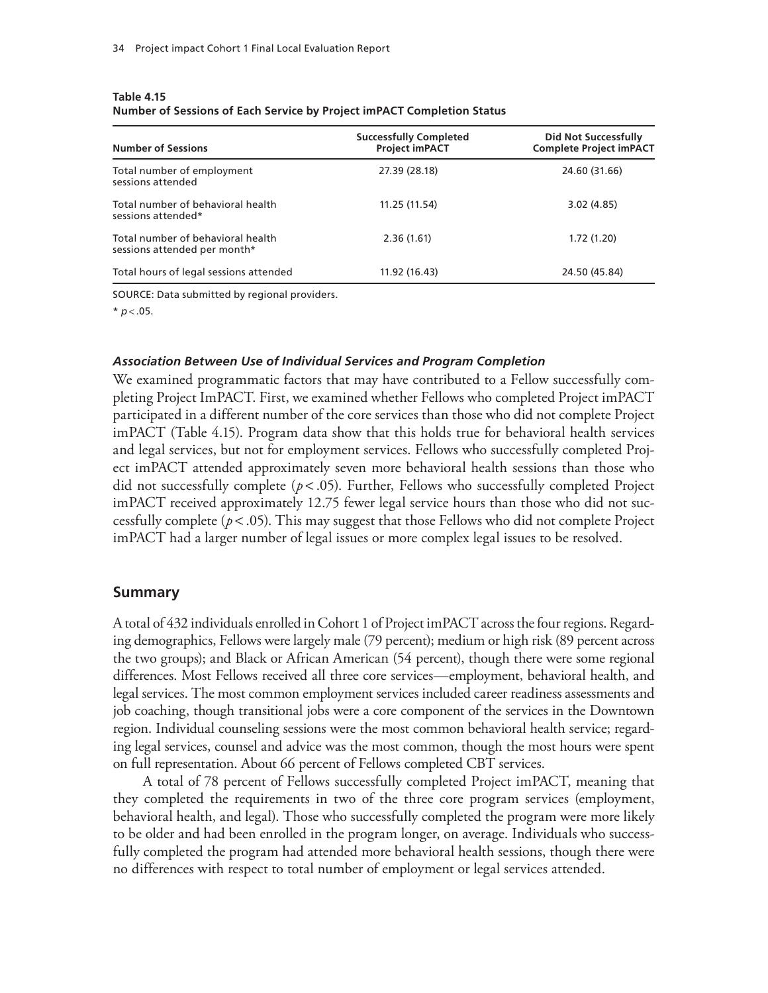| <b>Number of Sessions</b>                                         | <b>Successfully Completed</b><br><b>Project imPACT</b> | Did Not Successfully<br><b>Complete Project imPACT</b> |
|-------------------------------------------------------------------|--------------------------------------------------------|--------------------------------------------------------|
| Total number of employment<br>sessions attended                   | 27.39 (28.18)                                          | 24.60 (31.66)                                          |
| Total number of behavioral health<br>sessions attended*           | 11.25 (11.54)                                          | 3.02(4.85)                                             |
| Total number of behavioral health<br>sessions attended per month* | 2.36(1.61)                                             | 1.72(1.20)                                             |
| Total hours of legal sessions attended                            | 11.92 (16.43)                                          | 24.50 (45.84)                                          |

#### **Table 4.15 Number of Sessions of Each Service by Project imPACT Completion Status**

SOURCE: Data submitted by regional providers.

\* *p* < .05.

#### *Association Between Use of Individual Services and Program Completion*

We examined programmatic factors that may have contributed to a Fellow successfully completing Project ImPACT. First, we examined whether Fellows who completed Project imPACT participated in a different number of the core services than those who did not complete Project imPACT (Table 4.15). Program data show that this holds true for behavioral health services and legal services, but not for employment services. Fellows who successfully completed Project imPACT attended approximately seven more behavioral health sessions than those who did not successfully complete ( $p < .05$ ). Further, Fellows who successfully completed Project imPACT received approximately 12.75 fewer legal service hours than those who did not successfully complete  $(p < .05)$ . This may suggest that those Fellows who did not complete Project imPACT had a larger number of legal issues or more complex legal issues to be resolved.

## **Summary**

A total of 432 individuals enrolled in Cohort 1 of Project imPACT across the four regions. Regarding demographics, Fellows were largely male (79 percent); medium or high risk (89 percent across the two groups); and Black or African American (54 percent), though there were some regional differences. Most Fellows received all three core services—employment, behavioral health, and legal services. The most common employment services included career readiness assessments and job coaching, though transitional jobs were a core component of the services in the Downtown region. Individual counseling sessions were the most common behavioral health service; regarding legal services, counsel and advice was the most common, though the most hours were spent on full representation. About 66 percent of Fellows completed CBT services.

A total of 78 percent of Fellows successfully completed Project imPACT, meaning that they completed the requirements in two of the three core program services (employment, behavioral health, and legal). Those who successfully completed the program were more likely to be older and had been enrolled in the program longer, on average. Individuals who successfully completed the program had attended more behavioral health sessions, though there were no differences with respect to total number of employment or legal services attended.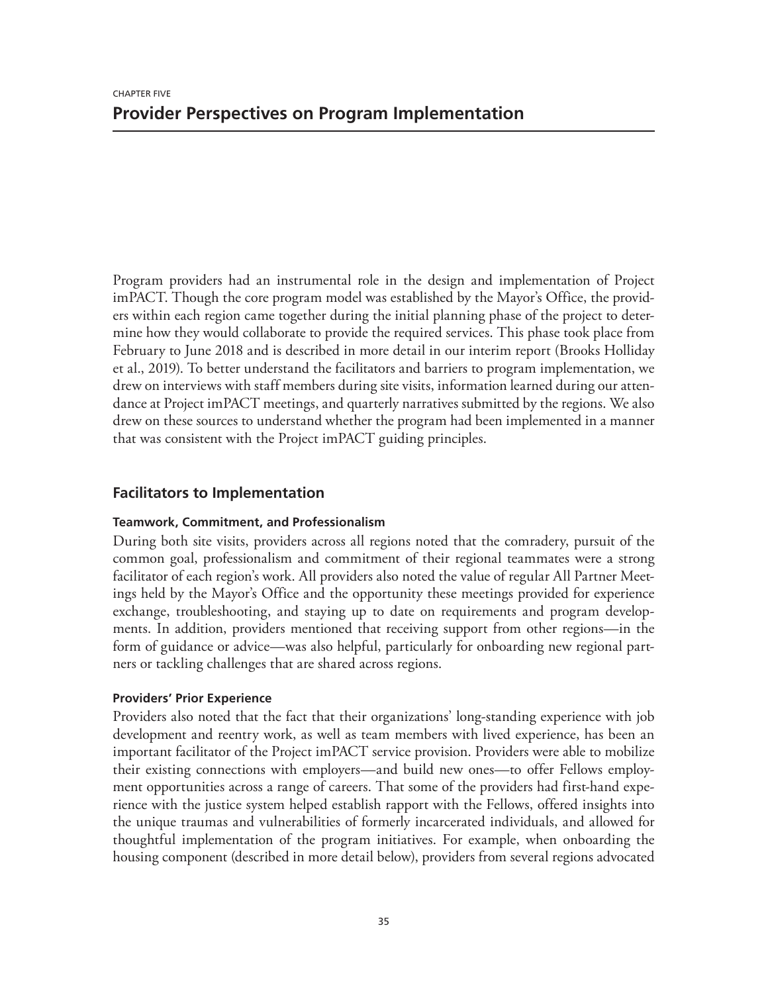Program providers had an instrumental role in the design and implementation of Project imPACT. Though the core program model was established by the Mayor's Office, the providers within each region came together during the initial planning phase of the project to determine how they would collaborate to provide the required services. This phase took place from February to June 2018 and is described in more detail in our interim report (Brooks Holliday et al., 2019). To better understand the facilitators and barriers to program implementation, we drew on interviews with staff members during site visits, information learned during our attendance at Project imPACT meetings, and quarterly narratives submitted by the regions. We also drew on these sources to understand whether the program had been implemented in a manner that was consistent with the Project imPACT guiding principles.

# **Facilitators to Implementation**

# **Teamwork, Commitment, and Professionalism**

During both site visits, providers across all regions noted that the comradery, pursuit of the common goal, professionalism and commitment of their regional teammates were a strong facilitator of each region's work. All providers also noted the value of regular All Partner Meetings held by the Mayor's Office and the opportunity these meetings provided for experience exchange, troubleshooting, and staying up to date on requirements and program developments. In addition, providers mentioned that receiving support from other regions—in the form of guidance or advice—was also helpful, particularly for onboarding new regional partners or tackling challenges that are shared across regions.

# **Providers' Prior Experience**

Providers also noted that the fact that their organizations' long-standing experience with job development and reentry work, as well as team members with lived experience, has been an important facilitator of the Project imPACT service provision. Providers were able to mobilize their existing connections with employers—and build new ones—to offer Fellows employment opportunities across a range of careers. That some of the providers had first-hand experience with the justice system helped establish rapport with the Fellows, offered insights into the unique traumas and vulnerabilities of formerly incarcerated individuals, and allowed for thoughtful implementation of the program initiatives. For example, when onboarding the housing component (described in more detail below), providers from several regions advocated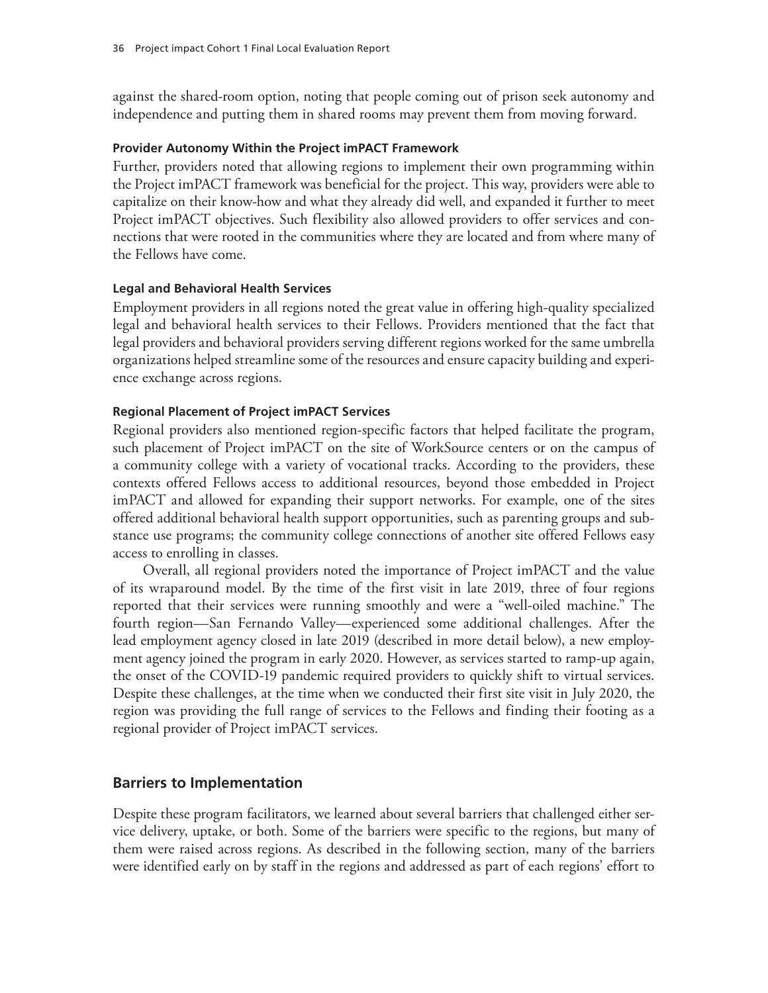against the shared-room option, noting that people coming out of prison seek autonomy and independence and putting them in shared rooms may prevent them from moving forward.

## **Provider Autonomy Within the Project imPACT Framework**

Further, providers noted that allowing regions to implement their own programming within the Project imPACT framework was beneficial for the project. This way, providers were able to capitalize on their know-how and what they already did well, and expanded it further to meet Project imPACT objectives. Such flexibility also allowed providers to offer services and connections that were rooted in the communities where they are located and from where many of the Fellows have come.

## **Legal and Behavioral Health Services**

Employment providers in all regions noted the great value in offering high-quality specialized legal and behavioral health services to their Fellows. Providers mentioned that the fact that legal providers and behavioral providers serving different regions worked for the same umbrella organizations helped streamline some of the resources and ensure capacity building and experience exchange across regions.

## **Regional Placement of Project imPACT Services**

Regional providers also mentioned region-specific factors that helped facilitate the program, such placement of Project imPACT on the site of WorkSource centers or on the campus of a community college with a variety of vocational tracks. According to the providers, these contexts offered Fellows access to additional resources, beyond those embedded in Project imPACT and allowed for expanding their support networks. For example, one of the sites offered additional behavioral health support opportunities, such as parenting groups and substance use programs; the community college connections of another site offered Fellows easy access to enrolling in classes.

Overall, all regional providers noted the importance of Project imPACT and the value of its wraparound model. By the time of the first visit in late 2019, three of four regions reported that their services were running smoothly and were a "well-oiled machine." The fourth region—San Fernando Valley—experienced some additional challenges. After the lead employment agency closed in late 2019 (described in more detail below), a new employment agency joined the program in early 2020. However, as services started to ramp-up again, the onset of the COVID-19 pandemic required providers to quickly shift to virtual services. Despite these challenges, at the time when we conducted their first site visit in July 2020, the region was providing the full range of services to the Fellows and finding their footing as a regional provider of Project imPACT services.

# **Barriers to Implementation**

Despite these program facilitators, we learned about several barriers that challenged either service delivery, uptake, or both. Some of the barriers were specific to the regions, but many of them were raised across regions. As described in the following section, many of the barriers were identified early on by staff in the regions and addressed as part of each regions' effort to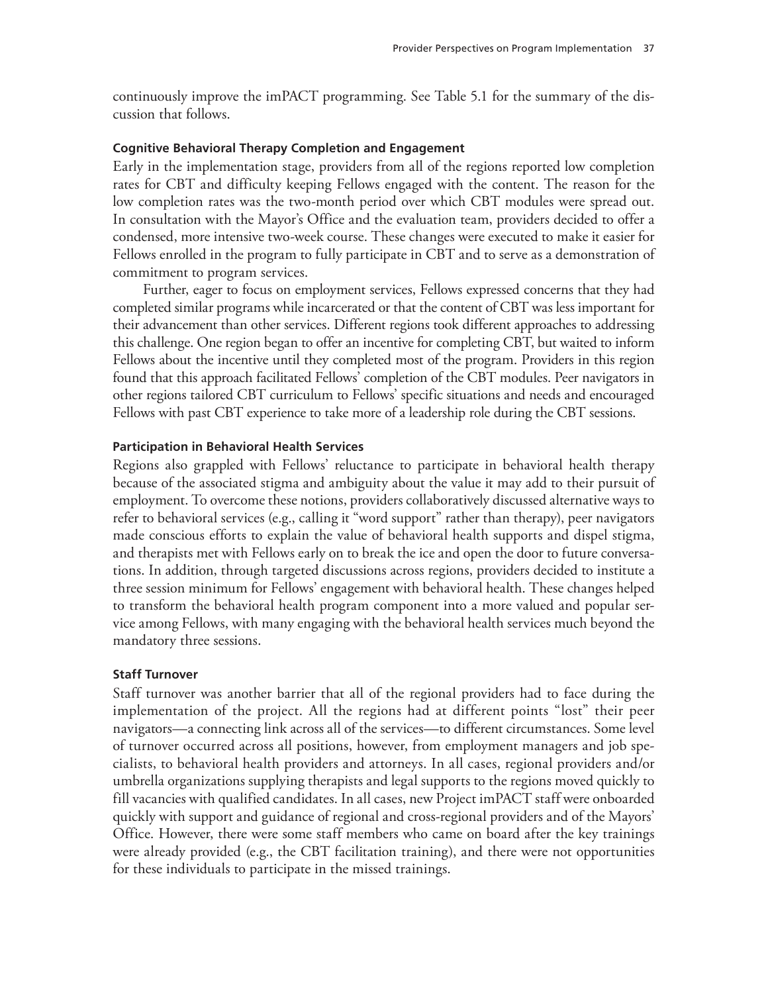continuously improve the imPACT programming. See Table 5.1 for the summary of the discussion that follows.

## **Cognitive Behavioral Therapy Completion and Engagement**

Early in the implementation stage, providers from all of the regions reported low completion rates for CBT and difficulty keeping Fellows engaged with the content. The reason for the low completion rates was the two-month period over which CBT modules were spread out. In consultation with the Mayor's Office and the evaluation team, providers decided to offer a condensed, more intensive two-week course. These changes were executed to make it easier for Fellows enrolled in the program to fully participate in CBT and to serve as a demonstration of commitment to program services.

Further, eager to focus on employment services, Fellows expressed concerns that they had completed similar programs while incarcerated or that the content of CBT was less important for their advancement than other services. Different regions took different approaches to addressing this challenge. One region began to offer an incentive for completing CBT, but waited to inform Fellows about the incentive until they completed most of the program. Providers in this region found that this approach facilitated Fellows' completion of the CBT modules. Peer navigators in other regions tailored CBT curriculum to Fellows' specific situations and needs and encouraged Fellows with past CBT experience to take more of a leadership role during the CBT sessions.

## **Participation in Behavioral Health Services**

Regions also grappled with Fellows' reluctance to participate in behavioral health therapy because of the associated stigma and ambiguity about the value it may add to their pursuit of employment. To overcome these notions, providers collaboratively discussed alternative ways to refer to behavioral services (e.g., calling it "word support" rather than therapy), peer navigators made conscious efforts to explain the value of behavioral health supports and dispel stigma, and therapists met with Fellows early on to break the ice and open the door to future conversations. In addition, through targeted discussions across regions, providers decided to institute a three session minimum for Fellows' engagement with behavioral health. These changes helped to transform the behavioral health program component into a more valued and popular service among Fellows, with many engaging with the behavioral health services much beyond the mandatory three sessions.

## **Staff Turnover**

Staff turnover was another barrier that all of the regional providers had to face during the implementation of the project. All the regions had at different points "lost" their peer navigators—a connecting link across all of the services—to different circumstances. Some level of turnover occurred across all positions, however, from employment managers and job specialists, to behavioral health providers and attorneys. In all cases, regional providers and/or umbrella organizations supplying therapists and legal supports to the regions moved quickly to fill vacancies with qualified candidates. In all cases, new Project imPACT staff were onboarded quickly with support and guidance of regional and cross-regional providers and of the Mayors' Office. However, there were some staff members who came on board after the key trainings were already provided (e.g., the CBT facilitation training), and there were not opportunities for these individuals to participate in the missed trainings.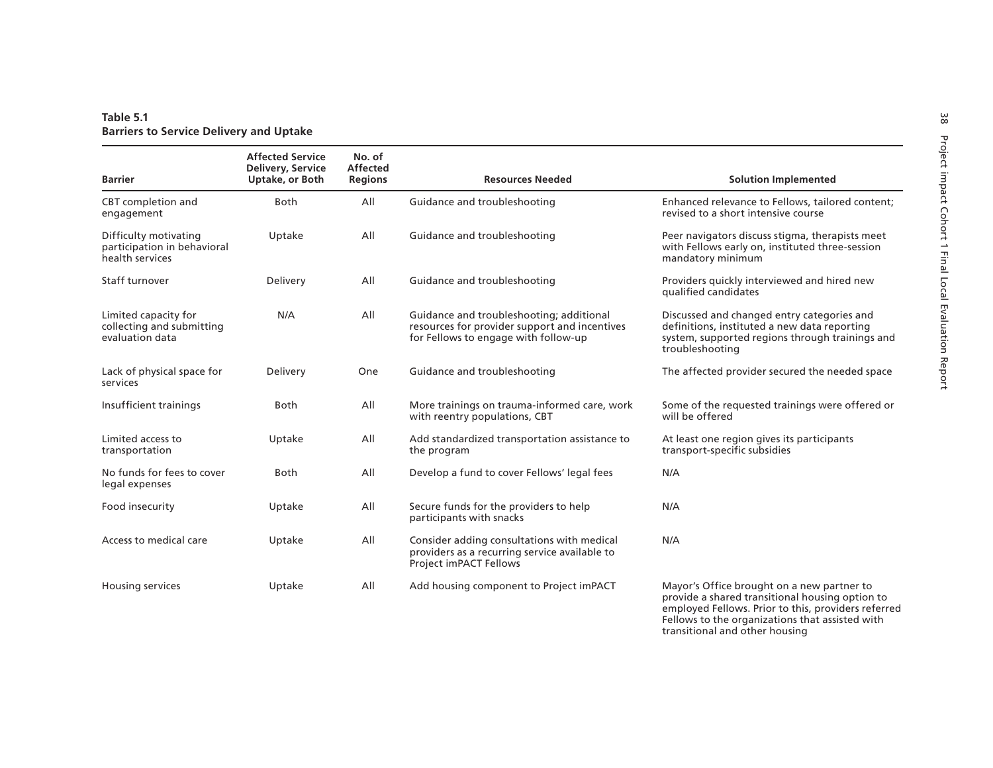| <b>Barrier</b>                                                          | <b>Affected Service</b><br>Delivery, Service<br>Uptake, or Both | No. of<br><b>Affected</b><br><b>Regions</b> | <b>Resources Needed</b>                                                                                                           | <b>Solution Implemented</b>                                                                                                                                      |
|-------------------------------------------------------------------------|-----------------------------------------------------------------|---------------------------------------------|-----------------------------------------------------------------------------------------------------------------------------------|------------------------------------------------------------------------------------------------------------------------------------------------------------------|
| CBT completion and<br>engagement                                        | Both                                                            | All                                         | Guidance and troubleshooting                                                                                                      | Enhanced relevance to Fellows, tailored content;<br>revised to a short intensive course                                                                          |
| Difficulty motivating<br>participation in behavioral<br>health services | Uptake                                                          | All                                         | Guidance and troubleshooting                                                                                                      | Peer navigators discuss stigma, therapists meet<br>with Fellows early on, instituted three-session<br>mandatory minimum                                          |
| Staff turnover                                                          | Delivery                                                        | All                                         | Guidance and troubleshooting                                                                                                      | Providers quickly interviewed and hired new<br>qualified candidates                                                                                              |
| Limited capacity for<br>collecting and submitting<br>evaluation data    | N/A                                                             | All                                         | Guidance and troubleshooting; additional<br>resources for provider support and incentives<br>for Fellows to engage with follow-up | Discussed and changed entry categories and<br>definitions, instituted a new data reporting<br>system, supported regions through trainings and<br>troubleshooting |
| Lack of physical space for<br>services                                  | Delivery                                                        | One                                         | Guidance and troubleshooting                                                                                                      | The affected provider secured the needed space                                                                                                                   |
| Insufficient trainings                                                  | <b>Both</b>                                                     | All                                         | More trainings on trauma-informed care, work<br>with reentry populations, CBT                                                     | Some of the requested trainings were offered or<br>will be offered                                                                                               |
| Limited access to<br>transportation                                     | Uptake                                                          | All                                         | Add standardized transportation assistance to<br>the program                                                                      | At least one region gives its participants<br>transport-specific subsidies                                                                                       |
| No funds for fees to cover<br>legal expenses                            | Both                                                            | All                                         | Develop a fund to cover Fellows' legal fees                                                                                       | N/A                                                                                                                                                              |
| Food insecurity                                                         | Uptake                                                          | All                                         | Secure funds for the providers to help<br>participants with snacks                                                                | N/A                                                                                                                                                              |
| Access to medical care                                                  | Uptake                                                          | All                                         | Consider adding consultations with medical<br>providers as a recurring service available to<br>Project imPACT Fellows             | N/A                                                                                                                                                              |
| Housing services                                                        | Uptake                                                          | All                                         | Add housing component to Project imPACT                                                                                           | Mayor's Office brought on a new partner to<br>provide a shared transitional housing option to<br>employed Fellows. Prior to this, providers referred             |

employed Fellows. Prior to this, providers referred Fellows to the organizations that assisted with transitional and other housing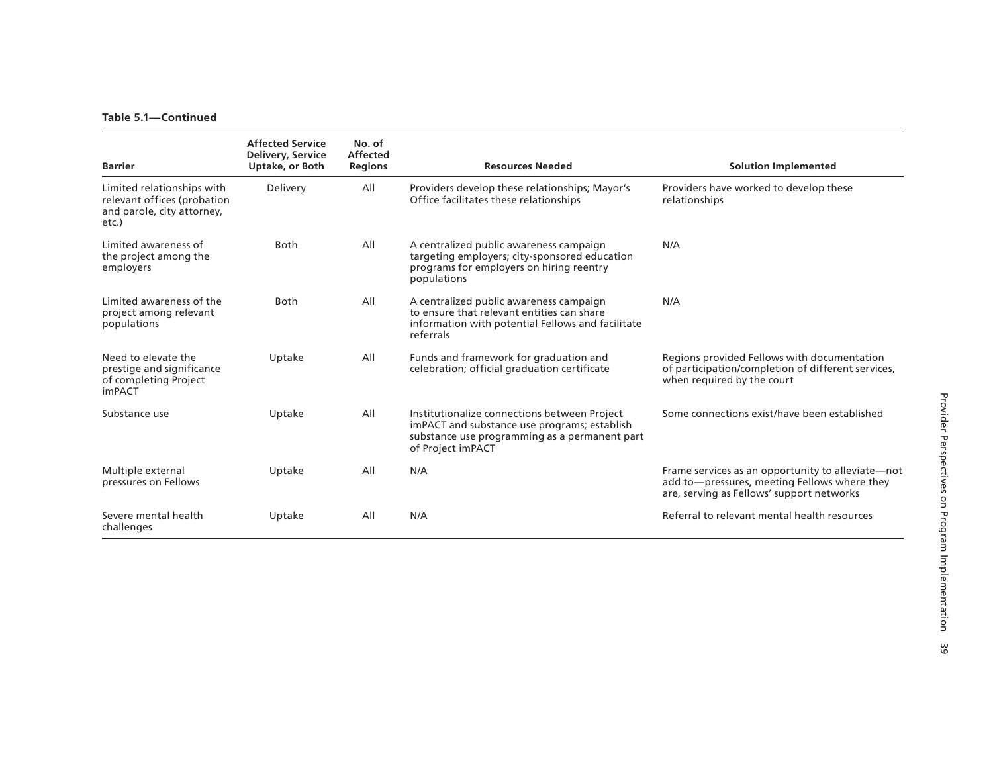## **Table 5.1—Continued**

| <b>Barrier</b>                                                                                   | <b>Affected Service</b><br><b>Delivery, Service</b><br>Uptake, or Both | No. of<br><b>Affected</b><br><b>Regions</b> | <b>Resources Needed</b>                                                                                                                                            | <b>Solution Implemented</b>                                                                                                                    |
|--------------------------------------------------------------------------------------------------|------------------------------------------------------------------------|---------------------------------------------|--------------------------------------------------------------------------------------------------------------------------------------------------------------------|------------------------------------------------------------------------------------------------------------------------------------------------|
| Limited relationships with<br>relevant offices (probation<br>and parole, city attorney,<br>etc.) | Delivery                                                               | All                                         | Providers develop these relationships; Mayor's<br>Office facilitates these relationships                                                                           | Providers have worked to develop these<br>relationships                                                                                        |
| Limited awareness of<br>the project among the<br>employers                                       | <b>Both</b>                                                            | All                                         | A centralized public awareness campaign<br>targeting employers; city-sponsored education<br>programs for employers on hiring reentry<br>populations                | N/A                                                                                                                                            |
| Limited awareness of the<br>project among relevant<br>populations                                | <b>Both</b>                                                            | All                                         | A centralized public awareness campaign<br>to ensure that relevant entities can share<br>information with potential Fellows and facilitate<br>referrals            | N/A                                                                                                                                            |
| Need to elevate the<br>prestige and significance<br>of completing Project<br>imPACT              | Uptake                                                                 | All                                         | Funds and framework for graduation and<br>celebration; official graduation certificate                                                                             | Regions provided Fellows with documentation<br>of participation/completion of different services,<br>when required by the court                |
| Substance use                                                                                    | Uptake                                                                 | All                                         | Institutionalize connections between Project<br>imPACT and substance use programs; establish<br>substance use programming as a permanent part<br>of Project imPACT | Some connections exist/have been established                                                                                                   |
| Multiple external<br>pressures on Fellows                                                        | Uptake                                                                 | All                                         | N/A                                                                                                                                                                | Frame services as an opportunity to alleviate—not<br>add to-pressures, meeting Fellows where they<br>are, serving as Fellows' support networks |
| Severe mental health<br>challenges                                                               | Uptake                                                                 | All                                         | N/A                                                                                                                                                                | Referral to relevant mental health resources                                                                                                   |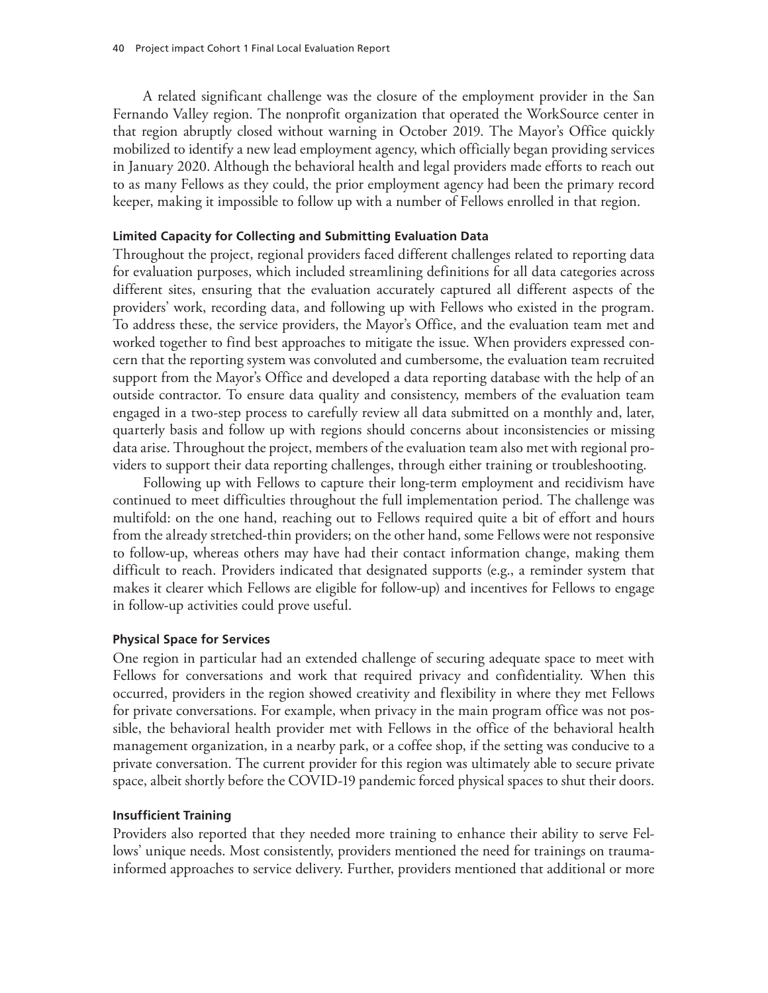A related significant challenge was the closure of the employment provider in the San Fernando Valley region. The nonprofit organization that operated the WorkSource center in that region abruptly closed without warning in October 2019. The Mayor's Office quickly mobilized to identify a new lead employment agency, which officially began providing services in January 2020. Although the behavioral health and legal providers made efforts to reach out to as many Fellows as they could, the prior employment agency had been the primary record keeper, making it impossible to follow up with a number of Fellows enrolled in that region.

#### **Limited Capacity for Collecting and Submitting Evaluation Data**

Throughout the project, regional providers faced different challenges related to reporting data for evaluation purposes, which included streamlining definitions for all data categories across different sites, ensuring that the evaluation accurately captured all different aspects of the providers' work, recording data, and following up with Fellows who existed in the program. To address these, the service providers, the Mayor's Office, and the evaluation team met and worked together to find best approaches to mitigate the issue. When providers expressed concern that the reporting system was convoluted and cumbersome, the evaluation team recruited support from the Mayor's Office and developed a data reporting database with the help of an outside contractor. To ensure data quality and consistency, members of the evaluation team engaged in a two-step process to carefully review all data submitted on a monthly and, later, quarterly basis and follow up with regions should concerns about inconsistencies or missing data arise. Throughout the project, members of the evaluation team also met with regional providers to support their data reporting challenges, through either training or troubleshooting.

Following up with Fellows to capture their long-term employment and recidivism have continued to meet difficulties throughout the full implementation period. The challenge was multifold: on the one hand, reaching out to Fellows required quite a bit of effort and hours from the already stretched-thin providers; on the other hand, some Fellows were not responsive to follow-up, whereas others may have had their contact information change, making them difficult to reach. Providers indicated that designated supports (e.g., a reminder system that makes it clearer which Fellows are eligible for follow-up) and incentives for Fellows to engage in follow-up activities could prove useful.

## **Physical Space for Services**

One region in particular had an extended challenge of securing adequate space to meet with Fellows for conversations and work that required privacy and confidentiality. When this occurred, providers in the region showed creativity and flexibility in where they met Fellows for private conversations. For example, when privacy in the main program office was not possible, the behavioral health provider met with Fellows in the office of the behavioral health management organization, in a nearby park, or a coffee shop, if the setting was conducive to a private conversation. The current provider for this region was ultimately able to secure private space, albeit shortly before the COVID-19 pandemic forced physical spaces to shut their doors.

## **Insufficient Training**

Providers also reported that they needed more training to enhance their ability to serve Fellows' unique needs. Most consistently, providers mentioned the need for trainings on traumainformed approaches to service delivery. Further, providers mentioned that additional or more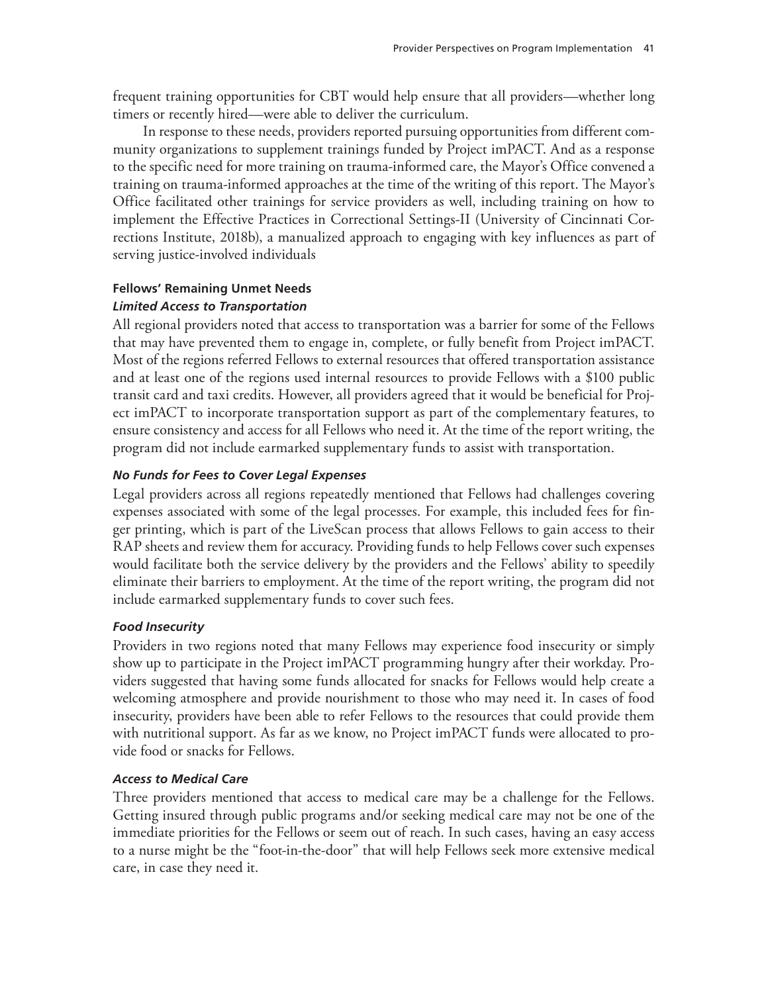frequent training opportunities for CBT would help ensure that all providers—whether long timers or recently hired—were able to deliver the curriculum.

In response to these needs, providers reported pursuing opportunities from different community organizations to supplement trainings funded by Project imPACT. And as a response to the specific need for more training on trauma-informed care, the Mayor's Office convened a training on trauma-informed approaches at the time of the writing of this report. The Mayor's Office facilitated other trainings for service providers as well, including training on how to implement the Effective Practices in Correctional Settings-II (University of Cincinnati Corrections Institute, 2018b), a manualized approach to engaging with key influences as part of serving justice-involved individuals

# **Fellows' Remaining Unmet Needs** *Limited Access to Transportation*

All regional providers noted that access to transportation was a barrier for some of the Fellows that may have prevented them to engage in, complete, or fully benefit from Project imPACT. Most of the regions referred Fellows to external resources that offered transportation assistance and at least one of the regions used internal resources to provide Fellows with a \$100 public transit card and taxi credits. However, all providers agreed that it would be beneficial for Project imPACT to incorporate transportation support as part of the complementary features, to ensure consistency and access for all Fellows who need it. At the time of the report writing, the program did not include earmarked supplementary funds to assist with transportation.

# *No Funds for Fees to Cover Legal Expenses*

Legal providers across all regions repeatedly mentioned that Fellows had challenges covering expenses associated with some of the legal processes. For example, this included fees for finger printing, which is part of the LiveScan process that allows Fellows to gain access to their RAP sheets and review them for accuracy. Providing funds to help Fellows cover such expenses would facilitate both the service delivery by the providers and the Fellows' ability to speedily eliminate their barriers to employment. At the time of the report writing, the program did not include earmarked supplementary funds to cover such fees.

# *Food Insecurity*

Providers in two regions noted that many Fellows may experience food insecurity or simply show up to participate in the Project imPACT programming hungry after their workday. Providers suggested that having some funds allocated for snacks for Fellows would help create a welcoming atmosphere and provide nourishment to those who may need it. In cases of food insecurity, providers have been able to refer Fellows to the resources that could provide them with nutritional support. As far as we know, no Project imPACT funds were allocated to provide food or snacks for Fellows.

# *Access to Medical Care*

Three providers mentioned that access to medical care may be a challenge for the Fellows. Getting insured through public programs and/or seeking medical care may not be one of the immediate priorities for the Fellows or seem out of reach. In such cases, having an easy access to a nurse might be the "foot-in-the-door" that will help Fellows seek more extensive medical care, in case they need it.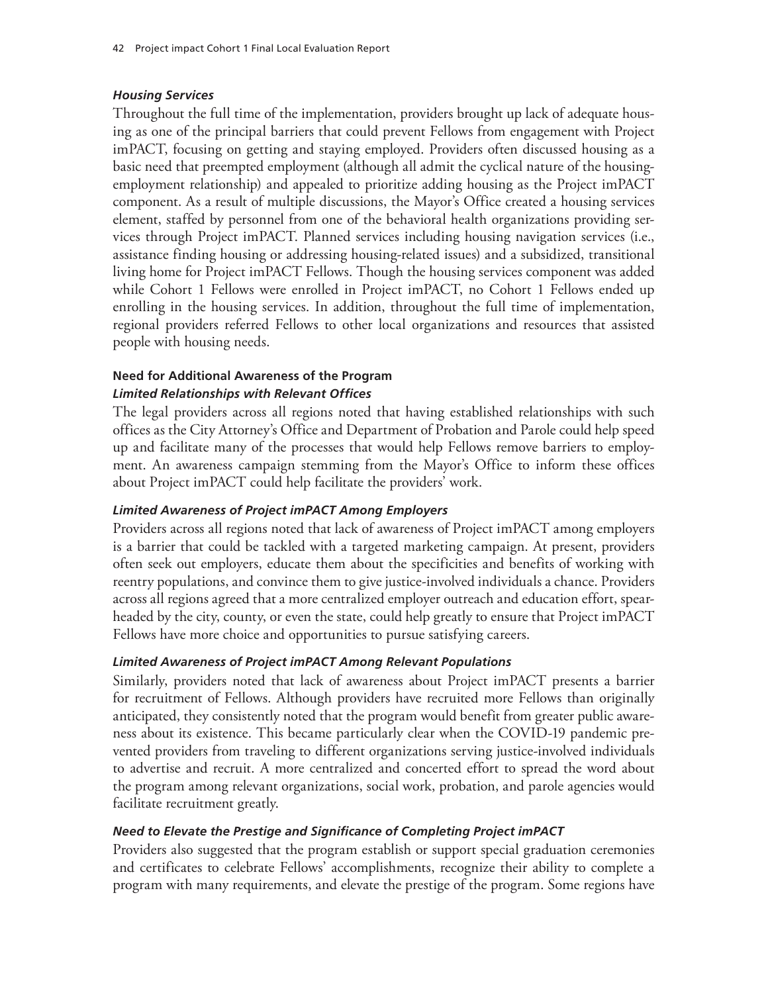## *Housing Services*

Throughout the full time of the implementation, providers brought up lack of adequate housing as one of the principal barriers that could prevent Fellows from engagement with Project imPACT, focusing on getting and staying employed. Providers often discussed housing as a basic need that preempted employment (although all admit the cyclical nature of the housingemployment relationship) and appealed to prioritize adding housing as the Project imPACT component. As a result of multiple discussions, the Mayor's Office created a housing services element, staffed by personnel from one of the behavioral health organizations providing services through Project imPACT. Planned services including housing navigation services (i.e., assistance finding housing or addressing housing-related issues) and a subsidized, transitional living home for Project imPACT Fellows. Though the housing services component was added while Cohort 1 Fellows were enrolled in Project imPACT, no Cohort 1 Fellows ended up enrolling in the housing services. In addition, throughout the full time of implementation, regional providers referred Fellows to other local organizations and resources that assisted people with housing needs.

# **Need for Additional Awareness of the Program** *Limited Relationships with Relevant Offices*

The legal providers across all regions noted that having established relationships with such offices as the City Attorney's Office and Department of Probation and Parole could help speed up and facilitate many of the processes that would help Fellows remove barriers to employment. An awareness campaign stemming from the Mayor's Office to inform these offices about Project imPACT could help facilitate the providers' work.

# *Limited Awareness of Project imPACT Among Employers*

Providers across all regions noted that lack of awareness of Project imPACT among employers is a barrier that could be tackled with a targeted marketing campaign. At present, providers often seek out employers, educate them about the specificities and benefits of working with reentry populations, and convince them to give justice-involved individuals a chance. Providers across all regions agreed that a more centralized employer outreach and education effort, spearheaded by the city, county, or even the state, could help greatly to ensure that Project imPACT Fellows have more choice and opportunities to pursue satisfying careers.

# *Limited Awareness of Project imPACT Among Relevant Populations*

Similarly, providers noted that lack of awareness about Project imPACT presents a barrier for recruitment of Fellows. Although providers have recruited more Fellows than originally anticipated, they consistently noted that the program would benefit from greater public awareness about its existence. This became particularly clear when the COVID-19 pandemic prevented providers from traveling to different organizations serving justice-involved individuals to advertise and recruit. A more centralized and concerted effort to spread the word about the program among relevant organizations, social work, probation, and parole agencies would facilitate recruitment greatly.

# *Need to Elevate the Prestige and Significance of Completing Project imPACT*

Providers also suggested that the program establish or support special graduation ceremonies and certificates to celebrate Fellows' accomplishments, recognize their ability to complete a program with many requirements, and elevate the prestige of the program. Some regions have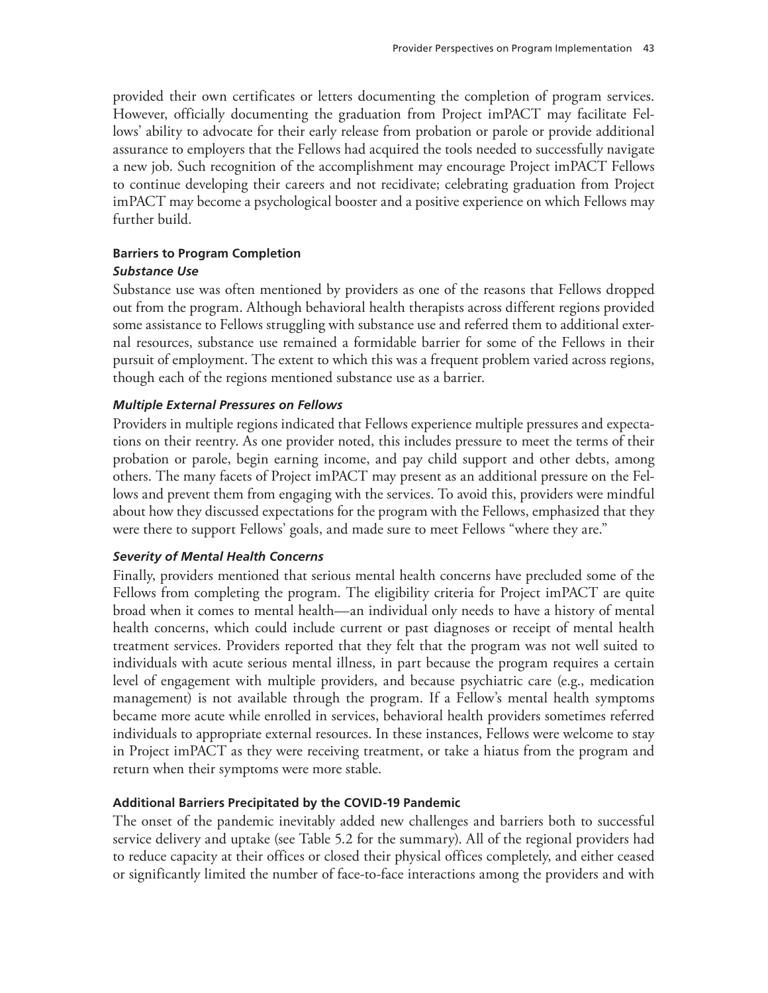provided their own certificates or letters documenting the completion of program services. However, officially documenting the graduation from Project imPACT may facilitate Fellows' ability to advocate for their early release from probation or parole or provide additional assurance to employers that the Fellows had acquired the tools needed to successfully navigate a new job. Such recognition of the accomplishment may encourage Project imPACT Fellows to continue developing their careers and not recidivate; celebrating graduation from Project imPACT may become a psychological booster and a positive experience on which Fellows may further build.

## **Barriers to Program Completion** *Substance Use*

Substance use was often mentioned by providers as one of the reasons that Fellows dropped out from the program. Although behavioral health therapists across different regions provided some assistance to Fellows struggling with substance use and referred them to additional external resources, substance use remained a formidable barrier for some of the Fellows in their pursuit of employment. The extent to which this was a frequent problem varied across regions, though each of the regions mentioned substance use as a barrier.

## *Multiple External Pressures on Fellows*

Providers in multiple regions indicated that Fellows experience multiple pressures and expectations on their reentry. As one provider noted, this includes pressure to meet the terms of their probation or parole, begin earning income, and pay child support and other debts, among others. The many facets of Project imPACT may present as an additional pressure on the Fellows and prevent them from engaging with the services. To avoid this, providers were mindful about how they discussed expectations for the program with the Fellows, emphasized that they were there to support Fellows' goals, and made sure to meet Fellows "where they are."

## *Severity of Mental Health Concerns*

Finally, providers mentioned that serious mental health concerns have precluded some of the Fellows from completing the program. The eligibility criteria for Project imPACT are quite broad when it comes to mental health—an individual only needs to have a history of mental health concerns, which could include current or past diagnoses or receipt of mental health treatment services. Providers reported that they felt that the program was not well suited to individuals with acute serious mental illness, in part because the program requires a certain level of engagement with multiple providers, and because psychiatric care (e.g., medication management) is not available through the program. If a Fellow's mental health symptoms became more acute while enrolled in services, behavioral health providers sometimes referred individuals to appropriate external resources. In these instances, Fellows were welcome to stay in Project imPACT as they were receiving treatment, or take a hiatus from the program and return when their symptoms were more stable.

## **Additional Barriers Precipitated by the COVID-19 Pandemic**

The onset of the pandemic inevitably added new challenges and barriers both to successful service delivery and uptake (see Table 5.2 for the summary). All of the regional providers had to reduce capacity at their offices or closed their physical offices completely, and either ceased or significantly limited the number of face-to-face interactions among the providers and with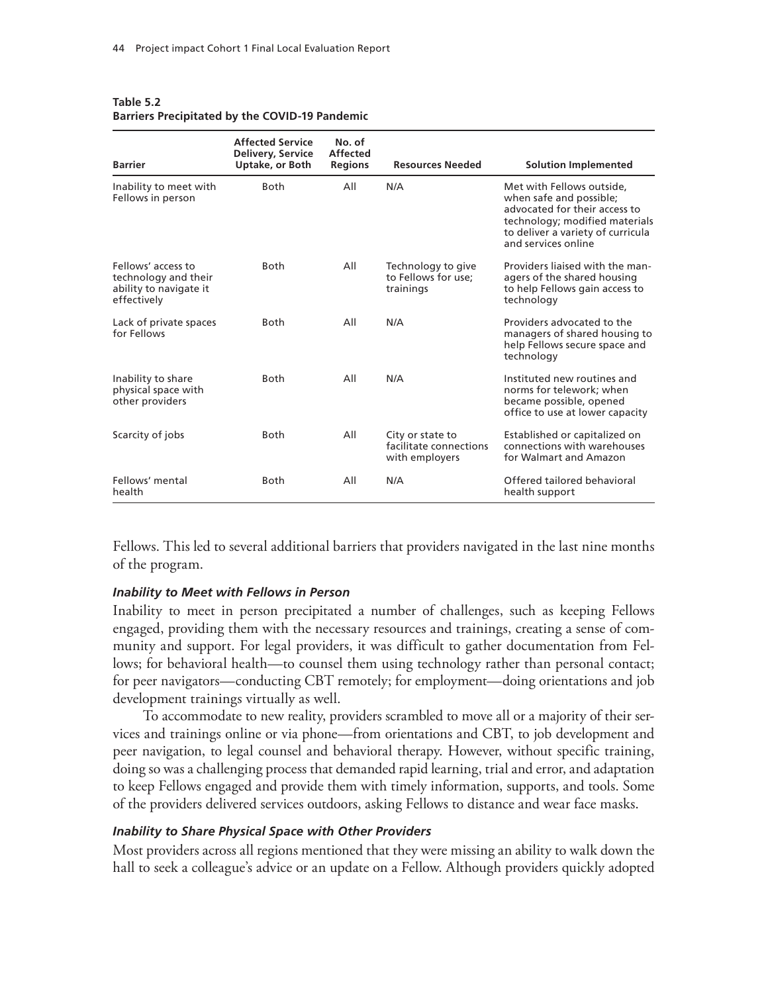| <b>Barrier</b>                                                                      | <b>Affected Service</b><br><b>Delivery, Service</b><br>Uptake, or Both | No. of<br><b>Affected</b><br><b>Regions</b> | <b>Resources Needed</b>                                      | <b>Solution Implemented</b>                                                                                                                                                         |
|-------------------------------------------------------------------------------------|------------------------------------------------------------------------|---------------------------------------------|--------------------------------------------------------------|-------------------------------------------------------------------------------------------------------------------------------------------------------------------------------------|
| Inability to meet with<br>Fellows in person                                         | <b>Both</b>                                                            | All                                         | N/A                                                          | Met with Fellows outside,<br>when safe and possible;<br>advocated for their access to<br>technology; modified materials<br>to deliver a variety of curricula<br>and services online |
| Fellows' access to<br>technology and their<br>ability to navigate it<br>effectively | <b>Both</b>                                                            | All                                         | Technology to give<br>to Fellows for use:<br>trainings       | Providers liaised with the man-<br>agers of the shared housing<br>to help Fellows gain access to<br>technology                                                                      |
| Lack of private spaces<br>for Fellows                                               | <b>Both</b>                                                            | All                                         | N/A                                                          | Providers advocated to the<br>managers of shared housing to<br>help Fellows secure space and<br>technology                                                                          |
| Inability to share<br>physical space with<br>other providers                        | <b>Both</b>                                                            | All                                         | N/A                                                          | Instituted new routines and<br>norms for telework; when<br>became possible, opened<br>office to use at lower capacity                                                               |
| Scarcity of jobs                                                                    | <b>Both</b>                                                            | All                                         | City or state to<br>facilitate connections<br>with employers | Established or capitalized on<br>connections with warehouses<br>for Walmart and Amazon                                                                                              |
| Fellows' mental<br>health                                                           | <b>Both</b>                                                            | All                                         | N/A                                                          | Offered tailored behavioral<br>health support                                                                                                                                       |

| Table 5.2                                             |  |
|-------------------------------------------------------|--|
| <b>Barriers Precipitated by the COVID-19 Pandemic</b> |  |

Fellows. This led to several additional barriers that providers navigated in the last nine months of the program.

## *Inability to Meet with Fellows in Person*

Inability to meet in person precipitated a number of challenges, such as keeping Fellows engaged, providing them with the necessary resources and trainings, creating a sense of community and support. For legal providers, it was difficult to gather documentation from Fellows; for behavioral health—to counsel them using technology rather than personal contact; for peer navigators—conducting CBT remotely; for employment—doing orientations and job development trainings virtually as well.

To accommodate to new reality, providers scrambled to move all or a majority of their services and trainings online or via phone—from orientations and CBT, to job development and peer navigation, to legal counsel and behavioral therapy. However, without specific training, doing so was a challenging process that demanded rapid learning, trial and error, and adaptation to keep Fellows engaged and provide them with timely information, supports, and tools. Some of the providers delivered services outdoors, asking Fellows to distance and wear face masks.

## *Inability to Share Physical Space with Other Providers*

Most providers across all regions mentioned that they were missing an ability to walk down the hall to seek a colleague's advice or an update on a Fellow. Although providers quickly adopted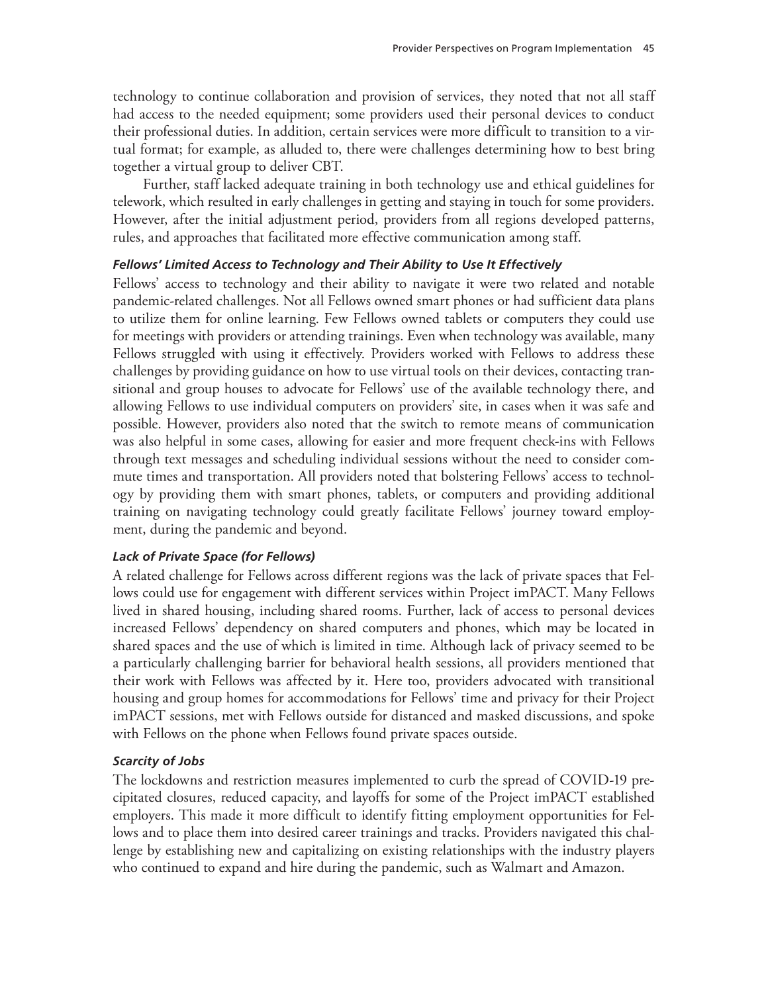technology to continue collaboration and provision of services, they noted that not all staff had access to the needed equipment; some providers used their personal devices to conduct their professional duties. In addition, certain services were more difficult to transition to a virtual format; for example, as alluded to, there were challenges determining how to best bring together a virtual group to deliver CBT.

Further, staff lacked adequate training in both technology use and ethical guidelines for telework, which resulted in early challenges in getting and staying in touch for some providers. However, after the initial adjustment period, providers from all regions developed patterns, rules, and approaches that facilitated more effective communication among staff.

## *Fellows' Limited Access to Technology and Their Ability to Use It Effectively*

Fellows' access to technology and their ability to navigate it were two related and notable pandemic-related challenges. Not all Fellows owned smart phones or had sufficient data plans to utilize them for online learning. Few Fellows owned tablets or computers they could use for meetings with providers or attending trainings. Even when technology was available, many Fellows struggled with using it effectively. Providers worked with Fellows to address these challenges by providing guidance on how to use virtual tools on their devices, contacting transitional and group houses to advocate for Fellows' use of the available technology there, and allowing Fellows to use individual computers on providers' site, in cases when it was safe and possible. However, providers also noted that the switch to remote means of communication was also helpful in some cases, allowing for easier and more frequent check-ins with Fellows through text messages and scheduling individual sessions without the need to consider commute times and transportation. All providers noted that bolstering Fellows' access to technology by providing them with smart phones, tablets, or computers and providing additional training on navigating technology could greatly facilitate Fellows' journey toward employment, during the pandemic and beyond.

## *Lack of Private Space (for Fellows)*

A related challenge for Fellows across different regions was the lack of private spaces that Fellows could use for engagement with different services within Project imPACT. Many Fellows lived in shared housing, including shared rooms. Further, lack of access to personal devices increased Fellows' dependency on shared computers and phones, which may be located in shared spaces and the use of which is limited in time. Although lack of privacy seemed to be a particularly challenging barrier for behavioral health sessions, all providers mentioned that their work with Fellows was affected by it. Here too, providers advocated with transitional housing and group homes for accommodations for Fellows' time and privacy for their Project imPACT sessions, met with Fellows outside for distanced and masked discussions, and spoke with Fellows on the phone when Fellows found private spaces outside.

## *Scarcity of Jobs*

The lockdowns and restriction measures implemented to curb the spread of COVID-19 precipitated closures, reduced capacity, and layoffs for some of the Project imPACT established employers. This made it more difficult to identify fitting employment opportunities for Fellows and to place them into desired career trainings and tracks. Providers navigated this challenge by establishing new and capitalizing on existing relationships with the industry players who continued to expand and hire during the pandemic, such as Walmart and Amazon.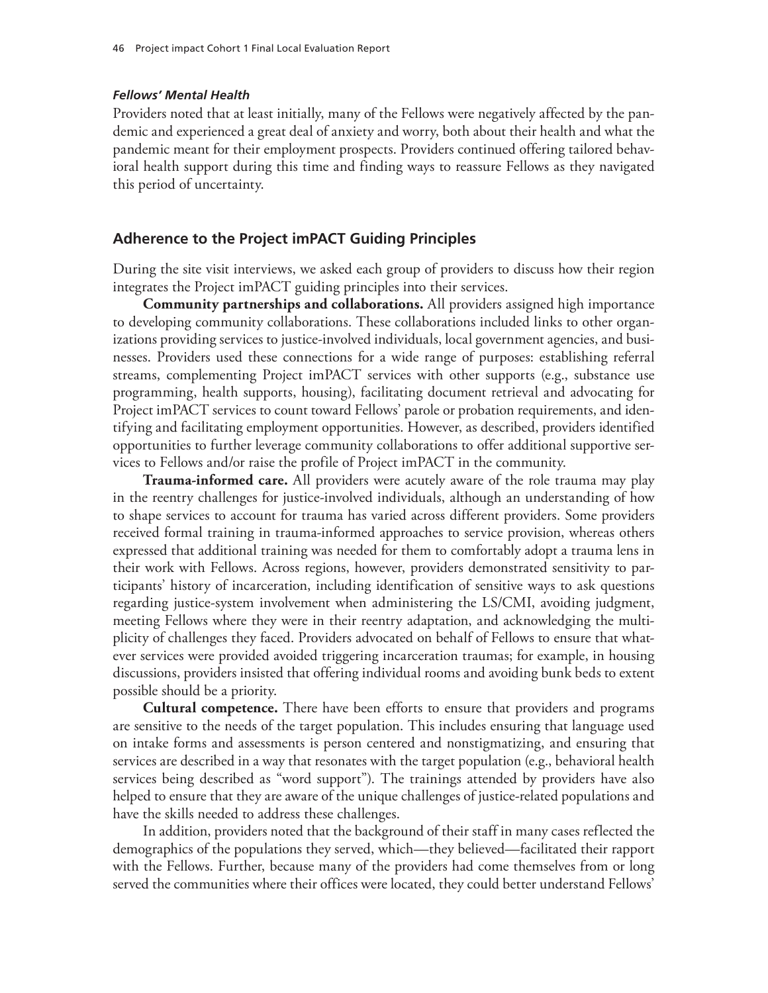#### *Fellows' Mental Health*

Providers noted that at least initially, many of the Fellows were negatively affected by the pandemic and experienced a great deal of anxiety and worry, both about their health and what the pandemic meant for their employment prospects. Providers continued offering tailored behavioral health support during this time and finding ways to reassure Fellows as they navigated this period of uncertainty.

## **Adherence to the Project imPACT Guiding Principles**

During the site visit interviews, we asked each group of providers to discuss how their region integrates the Project imPACT guiding principles into their services.

**Community partnerships and collaborations.** All providers assigned high importance to developing community collaborations. These collaborations included links to other organizations providing services to justice-involved individuals, local government agencies, and businesses. Providers used these connections for a wide range of purposes: establishing referral streams, complementing Project imPACT services with other supports (e.g., substance use programming, health supports, housing), facilitating document retrieval and advocating for Project imPACT services to count toward Fellows' parole or probation requirements, and identifying and facilitating employment opportunities. However, as described, providers identified opportunities to further leverage community collaborations to offer additional supportive services to Fellows and/or raise the profile of Project imPACT in the community.

**Trauma-informed care.** All providers were acutely aware of the role trauma may play in the reentry challenges for justice-involved individuals, although an understanding of how to shape services to account for trauma has varied across different providers. Some providers received formal training in trauma-informed approaches to service provision, whereas others expressed that additional training was needed for them to comfortably adopt a trauma lens in their work with Fellows. Across regions, however, providers demonstrated sensitivity to participants' history of incarceration, including identification of sensitive ways to ask questions regarding justice-system involvement when administering the LS/CMI, avoiding judgment, meeting Fellows where they were in their reentry adaptation, and acknowledging the multiplicity of challenges they faced. Providers advocated on behalf of Fellows to ensure that whatever services were provided avoided triggering incarceration traumas; for example, in housing discussions, providers insisted that offering individual rooms and avoiding bunk beds to extent possible should be a priority.

**Cultural competence.** There have been efforts to ensure that providers and programs are sensitive to the needs of the target population. This includes ensuring that language used on intake forms and assessments is person centered and nonstigmatizing, and ensuring that services are described in a way that resonates with the target population (e.g., behavioral health services being described as "word support"). The trainings attended by providers have also helped to ensure that they are aware of the unique challenges of justice-related populations and have the skills needed to address these challenges.

In addition, providers noted that the background of their staff in many cases reflected the demographics of the populations they served, which—they believed—facilitated their rapport with the Fellows. Further, because many of the providers had come themselves from or long served the communities where their offices were located, they could better understand Fellows'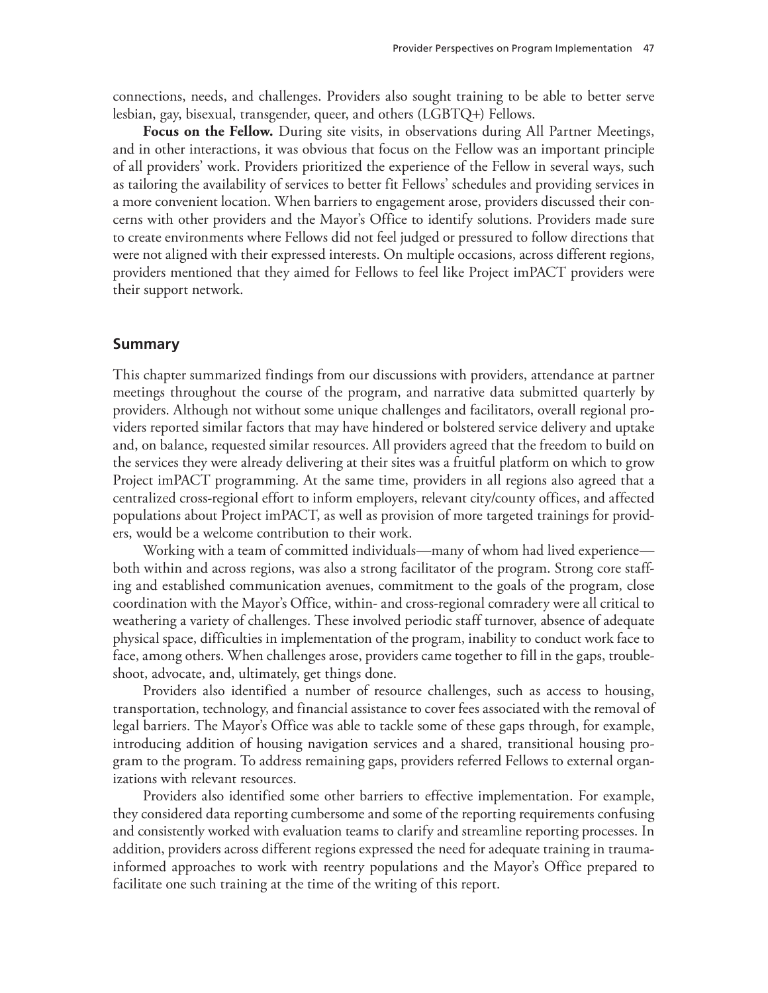connections, needs, and challenges. Providers also sought training to be able to better serve lesbian, gay, bisexual, transgender, queer, and others (LGBTQ+) Fellows.

Focus on the Fellow. During site visits, in observations during All Partner Meetings, and in other interactions, it was obvious that focus on the Fellow was an important principle of all providers' work. Providers prioritized the experience of the Fellow in several ways, such as tailoring the availability of services to better fit Fellows' schedules and providing services in a more convenient location. When barriers to engagement arose, providers discussed their concerns with other providers and the Mayor's Office to identify solutions. Providers made sure to create environments where Fellows did not feel judged or pressured to follow directions that were not aligned with their expressed interests. On multiple occasions, across different regions, providers mentioned that they aimed for Fellows to feel like Project imPACT providers were their support network.

## **Summary**

This chapter summarized findings from our discussions with providers, attendance at partner meetings throughout the course of the program, and narrative data submitted quarterly by providers. Although not without some unique challenges and facilitators, overall regional providers reported similar factors that may have hindered or bolstered service delivery and uptake and, on balance, requested similar resources. All providers agreed that the freedom to build on the services they were already delivering at their sites was a fruitful platform on which to grow Project imPACT programming. At the same time, providers in all regions also agreed that a centralized cross-regional effort to inform employers, relevant city/county offices, and affected populations about Project imPACT, as well as provision of more targeted trainings for providers, would be a welcome contribution to their work.

Working with a team of committed individuals—many of whom had lived experience both within and across regions, was also a strong facilitator of the program. Strong core staffing and established communication avenues, commitment to the goals of the program, close coordination with the Mayor's Office, within- and cross-regional comradery were all critical to weathering a variety of challenges. These involved periodic staff turnover, absence of adequate physical space, difficulties in implementation of the program, inability to conduct work face to face, among others. When challenges arose, providers came together to fill in the gaps, troubleshoot, advocate, and, ultimately, get things done.

Providers also identified a number of resource challenges, such as access to housing, transportation, technology, and financial assistance to cover fees associated with the removal of legal barriers. The Mayor's Office was able to tackle some of these gaps through, for example, introducing addition of housing navigation services and a shared, transitional housing program to the program. To address remaining gaps, providers referred Fellows to external organizations with relevant resources.

Providers also identified some other barriers to effective implementation. For example, they considered data reporting cumbersome and some of the reporting requirements confusing and consistently worked with evaluation teams to clarify and streamline reporting processes. In addition, providers across different regions expressed the need for adequate training in traumainformed approaches to work with reentry populations and the Mayor's Office prepared to facilitate one such training at the time of the writing of this report.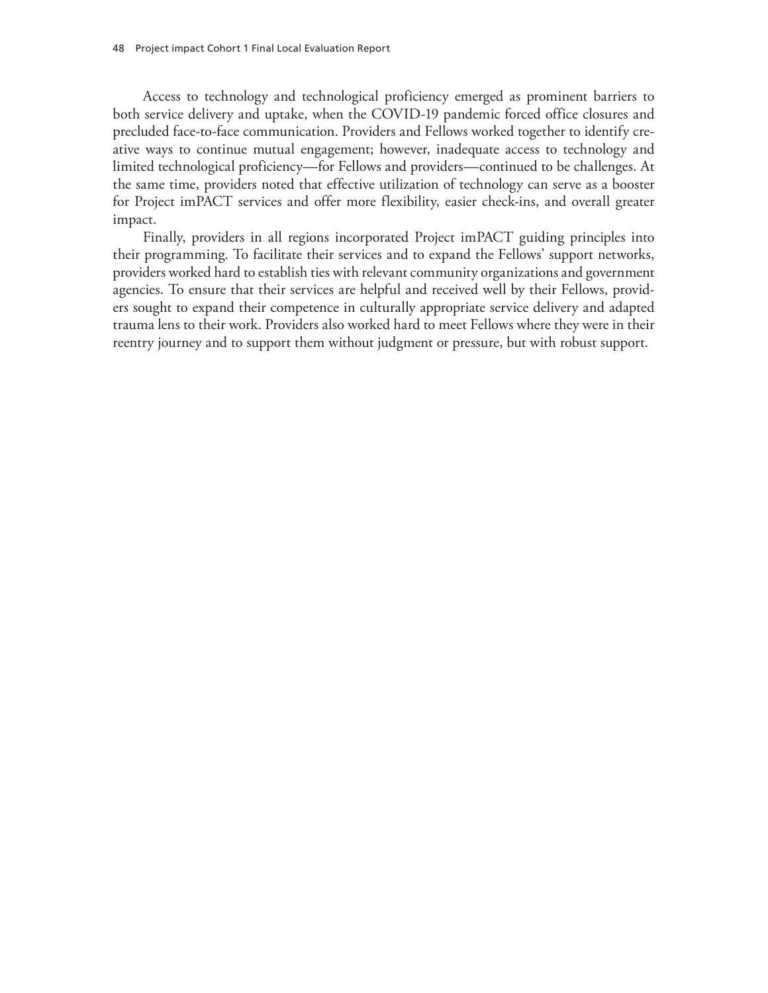Access to technology and technological proficiency emerged as prominent barriers to both service delivery and uptake, when the COVID-19 pandemic forced office closures and precluded face-to-face communication. Providers and Fellows worked together to identify creative ways to continue mutual engagement; however, inadequate access to technology and limited technological proficiency—for Fellows and providers—continued to be challenges. At the same time, providers noted that effective utilization of technology can serve as a booster for Project imPACT services and offer more flexibility, easier check-ins, and overall greater impact.

Finally, providers in all regions incorporated Project imPACT guiding principles into their programming. To facilitate their services and to expand the Fellows' support networks, providers worked hard to establish ties with relevant community organizations and government agencies. To ensure that their services are helpful and received well by their Fellows, providers sought to expand their competence in culturally appropriate service delivery and adapted trauma lens to their work. Providers also worked hard to meet Fellows where they were in their reentry journey and to support them without judgment or pressure, but with robust support.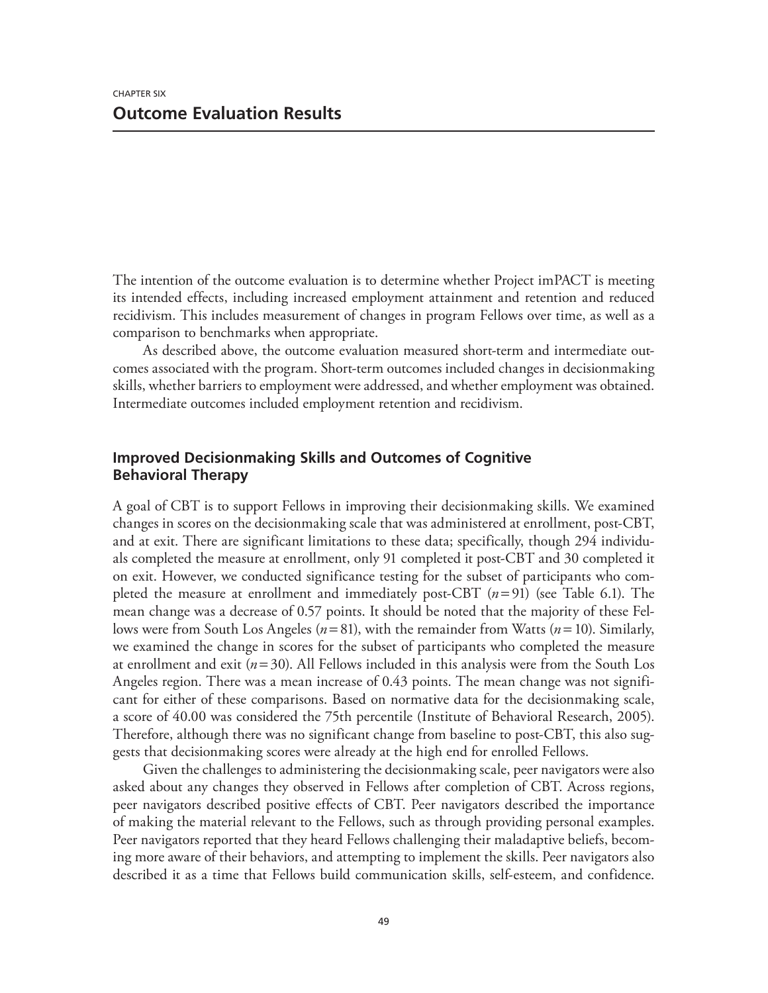The intention of the outcome evaluation is to determine whether Project imPACT is meeting its intended effects, including increased employment attainment and retention and reduced recidivism. This includes measurement of changes in program Fellows over time, as well as a comparison to benchmarks when appropriate.

As described above, the outcome evaluation measured short-term and intermediate outcomes associated with the program. Short-term outcomes included changes in decisionmaking skills, whether barriers to employment were addressed, and whether employment was obtained. Intermediate outcomes included employment retention and recidivism.

# **Improved Decisionmaking Skills and Outcomes of Cognitive Behavioral Therapy**

A goal of CBT is to support Fellows in improving their decisionmaking skills. We examined changes in scores on the decisionmaking scale that was administered at enrollment, post-CBT, and at exit. There are significant limitations to these data; specifically, though 294 individuals completed the measure at enrollment, only 91 completed it post-CBT and 30 completed it on exit. However, we conducted significance testing for the subset of participants who completed the measure at enrollment and immediately post-CBT (*n* = 91) (see Table 6.1). The mean change was a decrease of 0.57 points. It should be noted that the majority of these Fellows were from South Los Angeles ( $n = 81$ ), with the remainder from Watts ( $n = 10$ ). Similarly, we examined the change in scores for the subset of participants who completed the measure at enrollment and exit  $(n=30)$ . All Fellows included in this analysis were from the South Los Angeles region. There was a mean increase of 0.43 points. The mean change was not significant for either of these comparisons. Based on normative data for the decisionmaking scale, a score of 40.00 was considered the 75th percentile (Institute of Behavioral Research, 2005). Therefore, although there was no significant change from baseline to post-CBT, this also suggests that decisionmaking scores were already at the high end for enrolled Fellows.

Given the challenges to administering the decisionmaking scale, peer navigators were also asked about any changes they observed in Fellows after completion of CBT. Across regions, peer navigators described positive effects of CBT. Peer navigators described the importance of making the material relevant to the Fellows, such as through providing personal examples. Peer navigators reported that they heard Fellows challenging their maladaptive beliefs, becoming more aware of their behaviors, and attempting to implement the skills. Peer navigators also described it as a time that Fellows build communication skills, self-esteem, and confidence.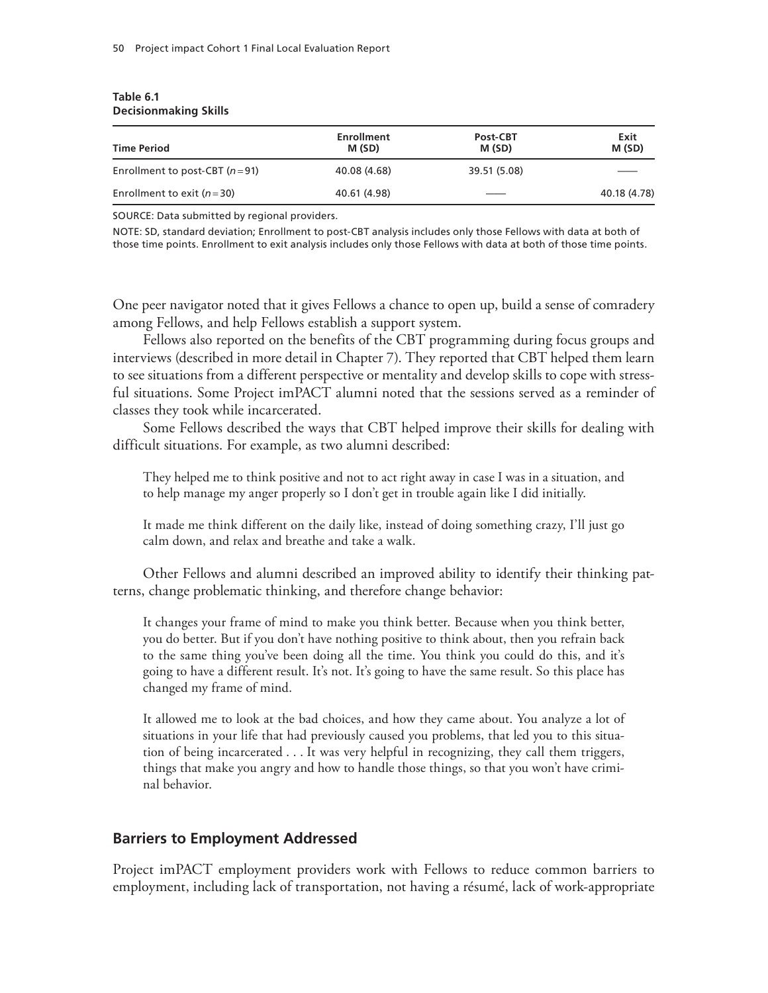| <b>Time Period</b>              | <b>Enrollment</b><br>M (SD) | <b>Post-CBT</b><br>M (SD) | Exit<br>M (SD) |
|---------------------------------|-----------------------------|---------------------------|----------------|
| Enrollment to post-CBT $(n=91)$ | 40.08 (4.68)                | 39.51 (5.08)              |                |
| Enrollment to exit ( $n = 30$ ) | 40.61 (4.98)                |                           | 40.18 (4.78)   |

**Table 6.1 Decisionmaking Skills**

SOURCE: Data submitted by regional providers.

NOTE: SD, standard deviation; Enrollment to post-CBT analysis includes only those Fellows with data at both of those time points. Enrollment to exit analysis includes only those Fellows with data at both of those time points.

One peer navigator noted that it gives Fellows a chance to open up, build a sense of comradery among Fellows, and help Fellows establish a support system.

Fellows also reported on the benefits of the CBT programming during focus groups and interviews (described in more detail in Chapter 7). They reported that CBT helped them learn to see situations from a different perspective or mentality and develop skills to cope with stressful situations. Some Project imPACT alumni noted that the sessions served as a reminder of classes they took while incarcerated.

Some Fellows described the ways that CBT helped improve their skills for dealing with difficult situations. For example, as two alumni described:

They helped me to think positive and not to act right away in case I was in a situation, and to help manage my anger properly so I don't get in trouble again like I did initially.

It made me think different on the daily like, instead of doing something crazy, I'll just go calm down, and relax and breathe and take a walk.

Other Fellows and alumni described an improved ability to identify their thinking patterns, change problematic thinking, and therefore change behavior:

It changes your frame of mind to make you think better. Because when you think better, you do better. But if you don't have nothing positive to think about, then you refrain back to the same thing you've been doing all the time. You think you could do this, and it's going to have a different result. It's not. It's going to have the same result. So this place has changed my frame of mind.

It allowed me to look at the bad choices, and how they came about. You analyze a lot of situations in your life that had previously caused you problems, that led you to this situation of being incarcerated . . . It was very helpful in recognizing, they call them triggers, things that make you angry and how to handle those things, so that you won't have criminal behavior.

## **Barriers to Employment Addressed**

Project imPACT employment providers work with Fellows to reduce common barriers to employment, including lack of transportation, not having a résumé, lack of work-appropriate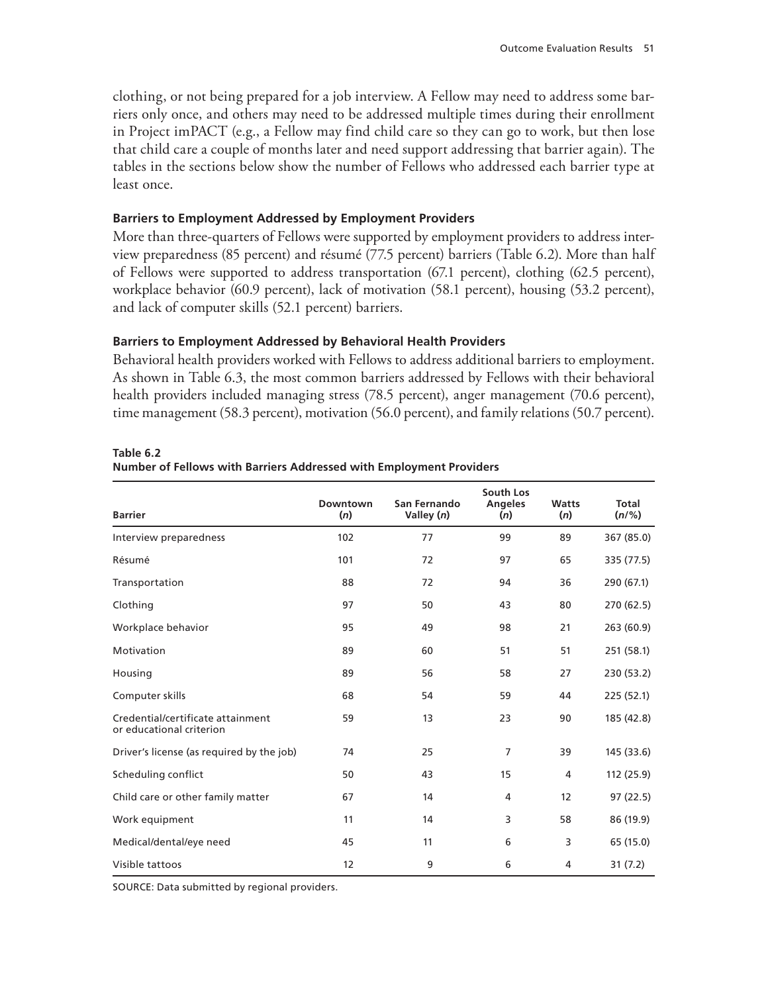clothing, or not being prepared for a job interview. A Fellow may need to address some barriers only once, and others may need to be addressed multiple times during their enrollment in Project imPACT (e.g., a Fellow may find child care so they can go to work, but then lose that child care a couple of months later and need support addressing that barrier again). The tables in the sections below show the number of Fellows who addressed each barrier type at least once.

## **Barriers to Employment Addressed by Employment Providers**

More than three-quarters of Fellows were supported by employment providers to address interview preparedness (85 percent) and résumé (77.5 percent) barriers (Table 6.2). More than half of Fellows were supported to address transportation (67.1 percent), clothing (62.5 percent), workplace behavior (60.9 percent), lack of motivation (58.1 percent), housing (53.2 percent), and lack of computer skills (52.1 percent) barriers.

## **Barriers to Employment Addressed by Behavioral Health Providers**

Behavioral health providers worked with Fellows to address additional barriers to employment. As shown in Table 6.3, the most common barriers addressed by Fellows with their behavioral health providers included managing stress (78.5 percent), anger management (70.6 percent), time management (58.3 percent), motivation (56.0 percent), and family relations (50.7 percent).

| <b>Barrier</b>                                                | Downtown<br>(n) | San Fernando<br>Valley (n) | South Los<br><b>Angeles</b><br>(n) | Watts<br>(n) | <b>Total</b><br>(n/%) |
|---------------------------------------------------------------|-----------------|----------------------------|------------------------------------|--------------|-----------------------|
| Interview preparedness                                        | 102             | 77                         | 99                                 | 89           | 367 (85.0)            |
| Résumé                                                        | 101             | 72                         | 97                                 | 65           | 335 (77.5)            |
| Transportation                                                | 88              | 72                         | 94                                 | 36           | 290 (67.1)            |
| Clothing                                                      | 97              | 50                         | 43                                 | 80           | 270 (62.5)            |
| Workplace behavior                                            | 95              | 49                         | 98                                 | 21           | 263 (60.9)            |
| Motivation                                                    | 89              | 60                         | 51                                 | 51           | 251 (58.1)            |
| Housing                                                       | 89              | 56                         | 58                                 | 27           | 230 (53.2)            |
| Computer skills                                               | 68              | 54                         | 59                                 | 44           | 225(52.1)             |
| Credential/certificate attainment<br>or educational criterion | 59              | 13                         | 23                                 | 90           | 185 (42.8)            |
| Driver's license (as required by the job)                     | 74              | 25                         | 7                                  | 39           | 145 (33.6)            |
| Scheduling conflict                                           | 50              | 43                         | 15                                 | 4            | 112 (25.9)            |
| Child care or other family matter                             | 67              | 14                         | $\overline{4}$                     | 12           | 97(22.5)              |
| Work equipment                                                | 11              | 14                         | 3                                  | 58           | 86 (19.9)             |
| Medical/dental/eye need                                       | 45              | 11                         | 6                                  | 3            | 65 (15.0)             |
| Visible tattoos                                               | 12              | 9                          | 6                                  | 4            | 31(7.2)               |

**Table 6.2 Number of Fellows with Barriers Addressed with Employment Providers**

SOURCE: Data submitted by regional providers.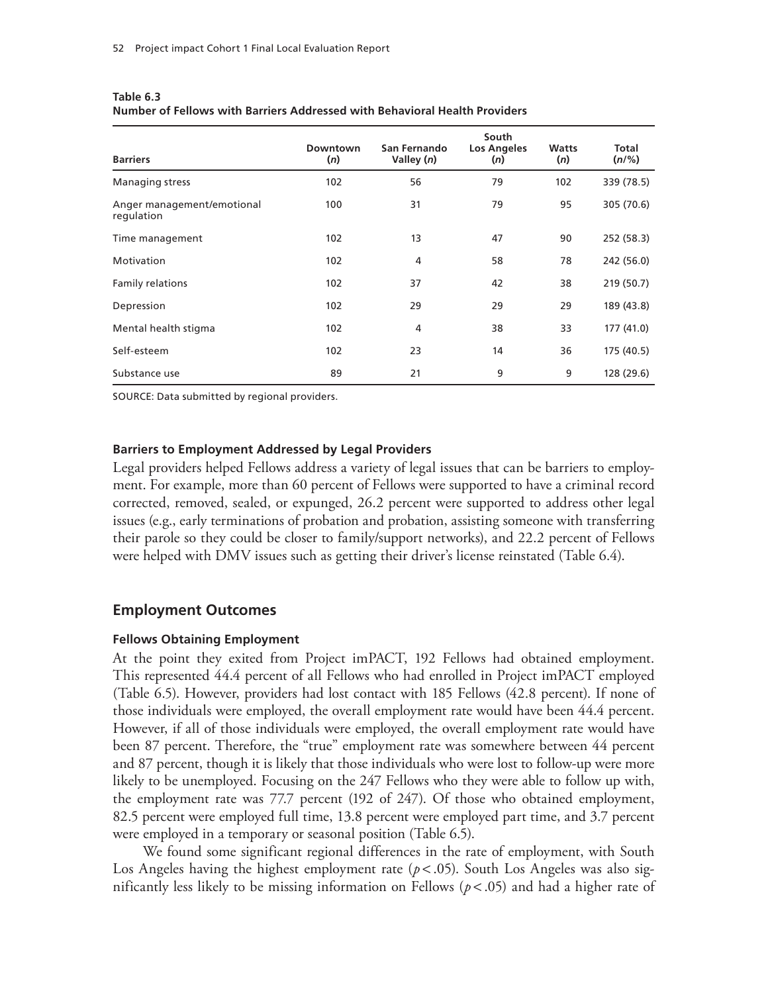| <b>Barriers</b>                          | Downtown<br>(n) | San Fernando<br>Valley (n) | South<br>Los Angeles<br>(n) | <b>Watts</b><br>(n) | Total<br>$(n/\%)$ |
|------------------------------------------|-----------------|----------------------------|-----------------------------|---------------------|-------------------|
| Managing stress                          | 102             | 56                         | 79                          | 102                 | 339 (78.5)        |
| Anger management/emotional<br>regulation | 100             | 31                         | 79                          | 95                  | 305 (70.6)        |
| Time management                          | 102             | 13                         | 47                          | 90                  | 252 (58.3)        |
| Motivation                               | 102             | $\overline{4}$             | 58                          | 78                  | 242 (56.0)        |
| Family relations                         | 102             | 37                         | 42                          | 38                  | 219 (50.7)        |
| Depression                               | 102             | 29                         | 29                          | 29                  | 189 (43.8)        |
| Mental health stigma                     | 102             | 4                          | 38                          | 33                  | 177 (41.0)        |
| Self-esteem                              | 102             | 23                         | 14                          | 36                  | 175 (40.5)        |
| Substance use                            | 89              | 21                         | 9                           | 9                   | 128 (29.6)        |

#### **Table 6.3 Number of Fellows with Barriers Addressed with Behavioral Health Providers**

SOURCE: Data submitted by regional providers.

#### **Barriers to Employment Addressed by Legal Providers**

Legal providers helped Fellows address a variety of legal issues that can be barriers to employment. For example, more than 60 percent of Fellows were supported to have a criminal record corrected, removed, sealed, or expunged, 26.2 percent were supported to address other legal issues (e.g., early terminations of probation and probation, assisting someone with transferring their parole so they could be closer to family/support networks), and 22.2 percent of Fellows were helped with DMV issues such as getting their driver's license reinstated (Table 6.4).

## **Employment Outcomes**

## **Fellows Obtaining Employment**

At the point they exited from Project imPACT, 192 Fellows had obtained employment. This represented 44.4 percent of all Fellows who had enrolled in Project imPACT employed (Table 6.5). However, providers had lost contact with 185 Fellows (42.8 percent). If none of those individuals were employed, the overall employment rate would have been 44.4 percent. However, if all of those individuals were employed, the overall employment rate would have been 87 percent. Therefore, the "true" employment rate was somewhere between 44 percent and 87 percent, though it is likely that those individuals who were lost to follow-up were more likely to be unemployed. Focusing on the 247 Fellows who they were able to follow up with, the employment rate was 77.7 percent (192 of 247). Of those who obtained employment, 82.5 percent were employed full time, 13.8 percent were employed part time, and 3.7 percent were employed in a temporary or seasonal position (Table 6.5).

We found some significant regional differences in the rate of employment, with South Los Angeles having the highest employment rate  $(p < .05)$ . South Los Angeles was also significantly less likely to be missing information on Fellows ( $p < .05$ ) and had a higher rate of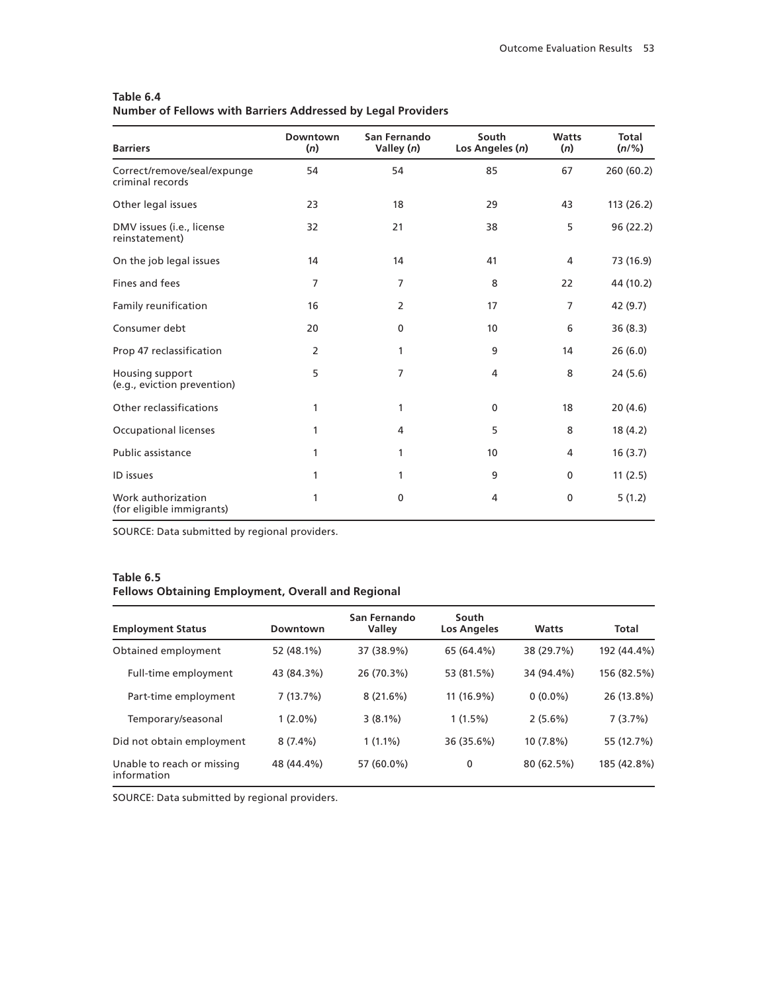| Table 6.4                                                    |  |
|--------------------------------------------------------------|--|
| Number of Fellows with Barriers Addressed by Legal Providers |  |

| <b>Barriers</b>                                 | Downtown<br>(n) | San Fernando<br>Valley (n) | South<br>Los Angeles (n) | Watts<br>(n)   | <b>Total</b><br>(n/%) |
|-------------------------------------------------|-----------------|----------------------------|--------------------------|----------------|-----------------------|
| Correct/remove/seal/expunge<br>criminal records | 54              | 54                         | 85                       | 67             | 260 (60.2)            |
| Other legal issues                              | 23              | 18                         | 29                       | 43             | 113(26.2)             |
| DMV issues (i.e., license<br>reinstatement)     | 32              | 21                         | 38                       | 5              | 96 (22.2)             |
| On the job legal issues                         | 14              | 14                         | 41                       | 4              | 73 (16.9)             |
| Fines and fees                                  | 7               | $\overline{7}$             | 8                        | 22             | 44 (10.2)             |
| Family reunification                            | 16              | 2                          | 17                       | $\overline{7}$ | 42 (9.7)              |
| Consumer debt                                   | 20              | 0                          | 10                       | 6              | 36(8.3)               |
| Prop 47 reclassification                        | 2               | 1                          | 9                        | 14             | 26(6.0)               |
| Housing support<br>(e.g., eviction prevention)  | 5               | $\overline{7}$             | 4                        | 8              | 24(5.6)               |
| Other reclassifications                         | 1               | 1                          | 0                        | 18             | 20(4.6)               |
| <b>Occupational licenses</b>                    | 1               | 4                          | 5                        | 8              | 18 (4.2)              |
| Public assistance                               | 1               | 1                          | 10                       | 4              | 16(3.7)               |
| <b>ID</b> issues                                | 1               | 1                          | 9                        | $\mathbf{0}$   | 11(2.5)               |
| Work authorization<br>(for eligible immigrants) | 1               | $\mathbf 0$                | 4                        | $\mathbf 0$    | 5(1.2)                |

SOURCE: Data submitted by regional providers.

# **Table 6.5**

## **Fellows Obtaining Employment, Overall and Regional**

| <b>Employment Status</b>                  | Downtown   | San Fernando<br>Valley | South<br>Los Angeles | <b>Watts</b> | Total       |
|-------------------------------------------|------------|------------------------|----------------------|--------------|-------------|
| Obtained employment                       | 52 (48.1%) | 37 (38.9%)             | 65 (64.4%)           | 38 (29.7%)   | 192 (44.4%) |
| Full-time employment                      | 43 (84.3%) | 26 (70.3%)             | 53 (81.5%)           | 34 (94.4%)   | 156 (82.5%) |
| Part-time employment                      | 7(13.7%)   | $8(21.6\%)$            | 11 (16.9%)           | $0(0.0\%)$   | 26 (13.8%)  |
| Temporary/seasonal                        | $1(2.0\%)$ | $3(8.1\%)$             | $1(1.5\%)$           | $2(5.6\%)$   | 7(3.7%)     |
| Did not obtain employment                 | $8(7.4\%)$ | $1(1.1\%)$             | 36 (35.6%)           | $10(7.8\%)$  | 55 (12.7%)  |
| Unable to reach or missing<br>information | 48 (44.4%) | 57 (60.0%)             | 0                    | 80 (62.5%)   | 185 (42.8%) |

SOURCE: Data submitted by regional providers.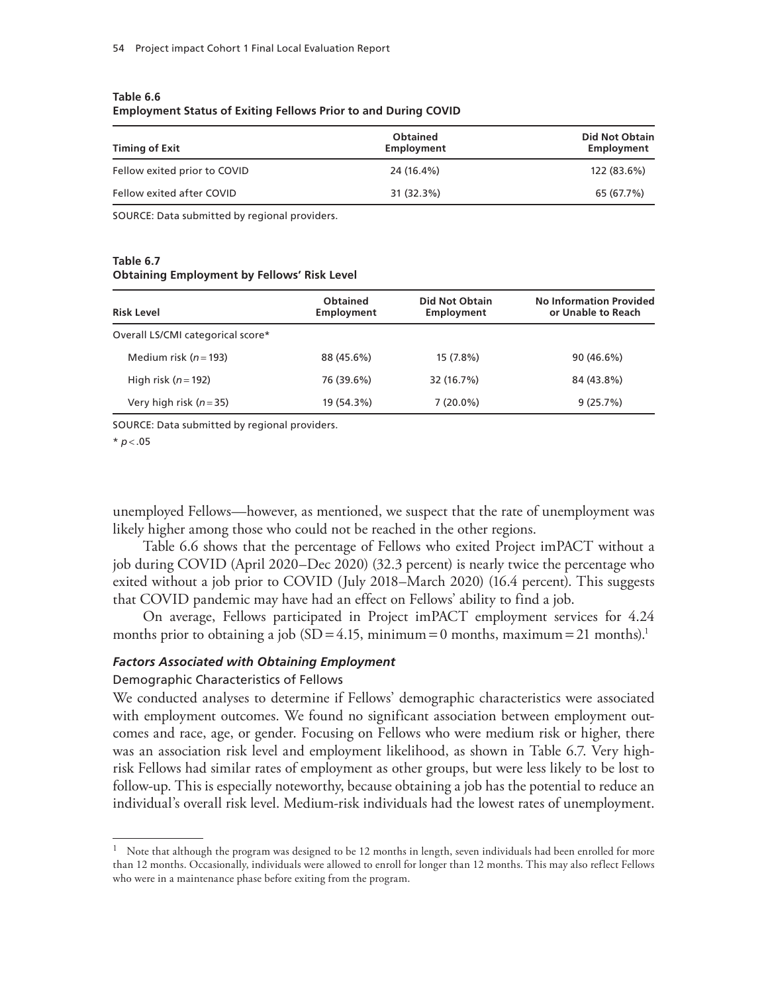| Table 6.6                                                             |  |
|-----------------------------------------------------------------------|--|
| <b>Employment Status of Exiting Fellows Prior to and During COVID</b> |  |

| Timing of Exit               | <b>Obtained</b><br>Employment | <b>Did Not Obtain</b><br>Employment |  |  |
|------------------------------|-------------------------------|-------------------------------------|--|--|
| Fellow exited prior to COVID | 24 (16.4%)                    | 122 (83.6%)                         |  |  |
| Fellow exited after COVID    | 31 (32.3%)                    | 65 (67.7%)                          |  |  |

SOURCE: Data submitted by regional providers.

#### **Table 6.7 Obtaining Employment by Fellows' Risk Level**

| <b>Risk Level</b>                 | <b>Obtained</b><br>Employment | <b>Did Not Obtain</b><br>Employment | No Information Provided<br>or Unable to Reach |
|-----------------------------------|-------------------------------|-------------------------------------|-----------------------------------------------|
| Overall LS/CMI categorical score* |                               |                                     |                                               |
| Medium risk ( $n = 193$ )         | 88 (45.6%)                    | 15 (7.8%)                           | $90(46.6\%)$                                  |
| High risk $(n=192)$               | 76 (39.6%)                    | 32 (16.7%)                          | 84 (43.8%)                                    |
| Very high risk $(n=35)$           | 19 (54.3%)                    | $7(20.0\%)$                         | 9(25.7%)                                      |

SOURCE: Data submitted by regional providers.

\* *p* < .05

unemployed Fellows—however, as mentioned, we suspect that the rate of unemployment was likely higher among those who could not be reached in the other regions.

Table 6.6 shows that the percentage of Fellows who exited Project imPACT without a job during COVID (April 2020–Dec 2020) (32.3 percent) is nearly twice the percentage who exited without a job prior to COVID (July 2018–March 2020) (16.4 percent). This suggests that COVID pandemic may have had an effect on Fellows' ability to find a job.

On average, Fellows participated in Project imPACT employment services for 4.24 months prior to obtaining a job (SD = 4.15, minimum = 0 months, maximum = 21 months).<sup>1</sup>

## *Factors Associated with Obtaining Employment*

#### Demographic Characteristics of Fellows

We conducted analyses to determine if Fellows' demographic characteristics were associated with employment outcomes. We found no significant association between employment outcomes and race, age, or gender. Focusing on Fellows who were medium risk or higher, there was an association risk level and employment likelihood, as shown in Table 6.7. Very highrisk Fellows had similar rates of employment as other groups, but were less likely to be lost to follow-up. This is especially noteworthy, because obtaining a job has the potential to reduce an individual's overall risk level. Medium-risk individuals had the lowest rates of unemployment.

 $1$  Note that although the program was designed to be 12 months in length, seven individuals had been enrolled for more than 12 months. Occasionally, individuals were allowed to enroll for longer than 12 months. This may also reflect Fellows who were in a maintenance phase before exiting from the program.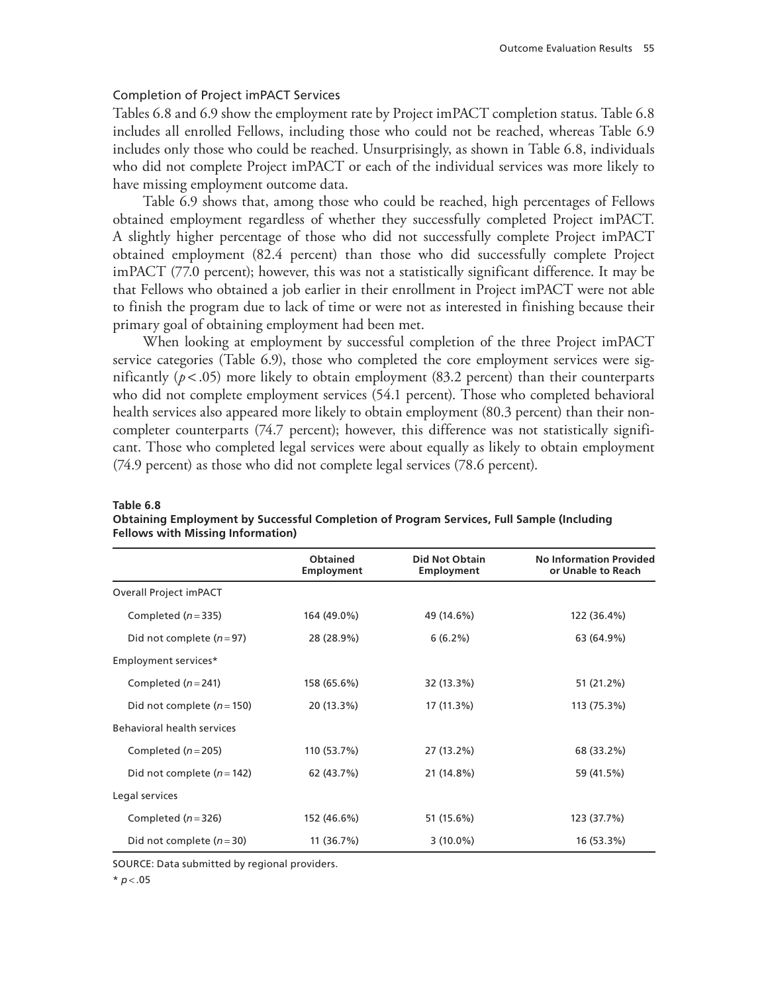#### Completion of Project imPACT Services

Tables 6.8 and 6.9 show the employment rate by Project imPACT completion status. Table 6.8 includes all enrolled Fellows, including those who could not be reached, whereas Table 6.9 includes only those who could be reached. Unsurprisingly, as shown in Table 6.8, individuals who did not complete Project imPACT or each of the individual services was more likely to have missing employment outcome data.

Table 6.9 shows that, among those who could be reached, high percentages of Fellows obtained employment regardless of whether they successfully completed Project imPACT. A slightly higher percentage of those who did not successfully complete Project imPACT obtained employment (82.4 percent) than those who did successfully complete Project imPACT (77.0 percent); however, this was not a statistically significant difference. It may be that Fellows who obtained a job earlier in their enrollment in Project imPACT were not able to finish the program due to lack of time or were not as interested in finishing because their primary goal of obtaining employment had been met.

When looking at employment by successful completion of the three Project imPACT service categories (Table 6.9), those who completed the core employment services were significantly ( $p < .05$ ) more likely to obtain employment (83.2 percent) than their counterparts who did not complete employment services (54.1 percent). Those who completed behavioral health services also appeared more likely to obtain employment (80.3 percent) than their noncompleter counterparts (74.7 percent); however, this difference was not statistically significant. Those who completed legal services were about equally as likely to obtain employment (74.9 percent) as those who did not complete legal services (78.6 percent).

|                                   | <b>Obtained</b><br>Employment | <b>Did Not Obtain</b><br>Employment | <b>No Information Provided</b><br>or Unable to Reach |
|-----------------------------------|-------------------------------|-------------------------------------|------------------------------------------------------|
| Overall Project imPACT            |                               |                                     |                                                      |
| Completed $(n=335)$               | 164 (49.0%)                   | 49 (14.6%)                          | 122 (36.4%)                                          |
| Did not complete $(n=97)$         | 28 (28.9%)                    | $6(6.2\%)$                          | 63 (64.9%)                                           |
| Employment services*              |                               |                                     |                                                      |
| Completed $(n=241)$               | 158 (65.6%)                   | 32 (13.3%)                          | 51 (21.2%)                                           |
| Did not complete $(n=150)$        | 20 (13.3%)                    | 17 (11.3%)                          | 113 (75.3%)                                          |
| <b>Behavioral health services</b> |                               |                                     |                                                      |
| Completed $(n=205)$               | 110 (53.7%)                   | 27 (13.2%)                          | 68 (33.2%)                                           |
| Did not complete $(n=142)$        | 62 (43.7%)                    | 21 (14.8%)                          | 59 (41.5%)                                           |
| Legal services                    |                               |                                     |                                                      |
| Completed $(n=326)$               | 152 (46.6%)                   | 51 (15.6%)                          | 123 (37.7%)                                          |
| Did not complete $(n=30)$         | 11 (36.7%)                    | $3(10.0\%)$                         | 16 (53.3%)                                           |

#### **Table 6.8 Obtaining Employment by Successful Completion of Program Services, Full Sample (Including Fellows with Missing Information)**

SOURCE: Data submitted by regional providers.

\* *p* < .05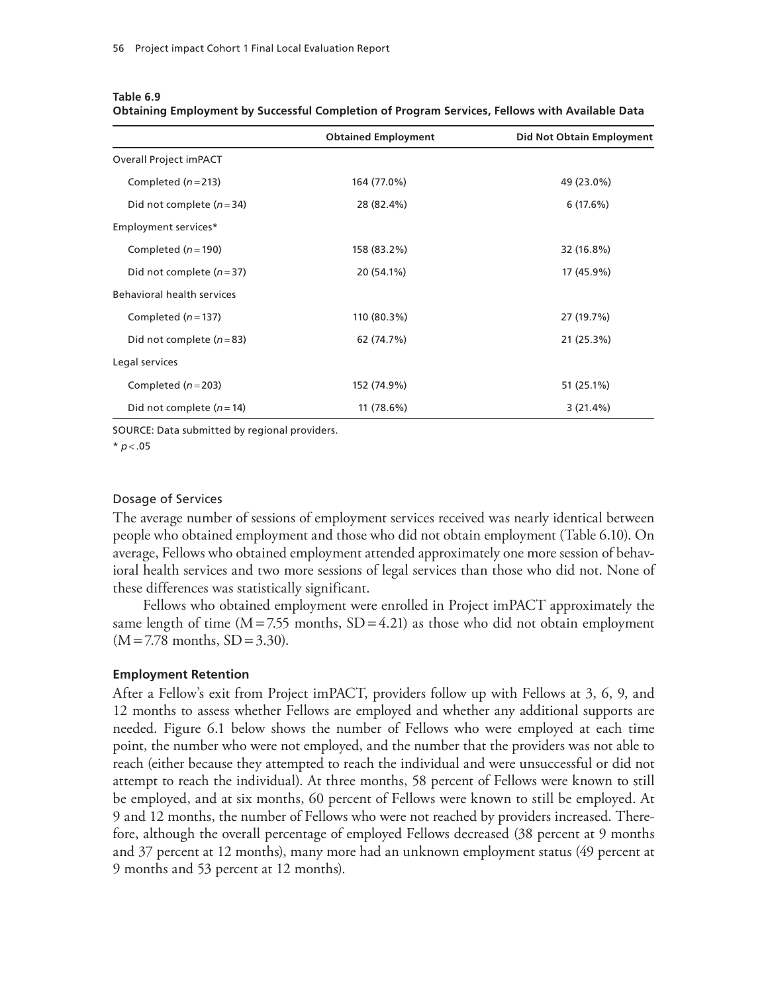|                                   | <b>Obtained Employment</b> | <b>Did Not Obtain Employment</b> |
|-----------------------------------|----------------------------|----------------------------------|
|                                   |                            |                                  |
| Overall Project imPACT            |                            |                                  |
| Completed $(n=213)$               | 164 (77.0%)                | 49 (23.0%)                       |
| Did not complete $(n=34)$         | 28 (82.4%)                 | 6(17.6%)                         |
| Employment services*              |                            |                                  |
| Completed $(n=190)$               | 158 (83.2%)                | 32 (16.8%)                       |
| Did not complete $(n=37)$         | 20 (54.1%)                 | 17 (45.9%)                       |
| <b>Behavioral health services</b> |                            |                                  |
| Completed $(n=137)$               | 110 (80.3%)                | 27 (19.7%)                       |
| Did not complete $(n=83)$         | 62 (74.7%)                 | 21 (25.3%)                       |
| Legal services                    |                            |                                  |
| Completed $(n=203)$               | 152 (74.9%)                | 51 (25.1%)                       |
| Did not complete $(n=14)$         | 11 (78.6%)                 | 3(21.4%)                         |

| Table 6.9                                                                                      |
|------------------------------------------------------------------------------------------------|
| Obtaining Employment by Successful Completion of Program Services, Fellows with Available Data |

SOURCE: Data submitted by regional providers.

\* *p* < .05

### Dosage of Services

The average number of sessions of employment services received was nearly identical between people who obtained employment and those who did not obtain employment (Table 6.10). On average, Fellows who obtained employment attended approximately one more session of behavioral health services and two more sessions of legal services than those who did not. None of these differences was statistically significant.

Fellows who obtained employment were enrolled in Project imPACT approximately the same length of time  $(M = 7.55$  months,  $SD = 4.21$ ) as those who did not obtain employment  $(M = 7.78$  months,  $SD = 3.30$ ).

### **Employment Retention**

After a Fellow's exit from Project imPACT, providers follow up with Fellows at 3, 6, 9, and 12 months to assess whether Fellows are employed and whether any additional supports are needed. Figure 6.1 below shows the number of Fellows who were employed at each time point, the number who were not employed, and the number that the providers was not able to reach (either because they attempted to reach the individual and were unsuccessful or did not attempt to reach the individual). At three months, 58 percent of Fellows were known to still be employed, and at six months, 60 percent of Fellows were known to still be employed. At 9 and 12 months, the number of Fellows who were not reached by providers increased. Therefore, although the overall percentage of employed Fellows decreased (38 percent at 9 months and 37 percent at 12 months), many more had an unknown employment status (49 percent at 9 months and 53 percent at 12 months).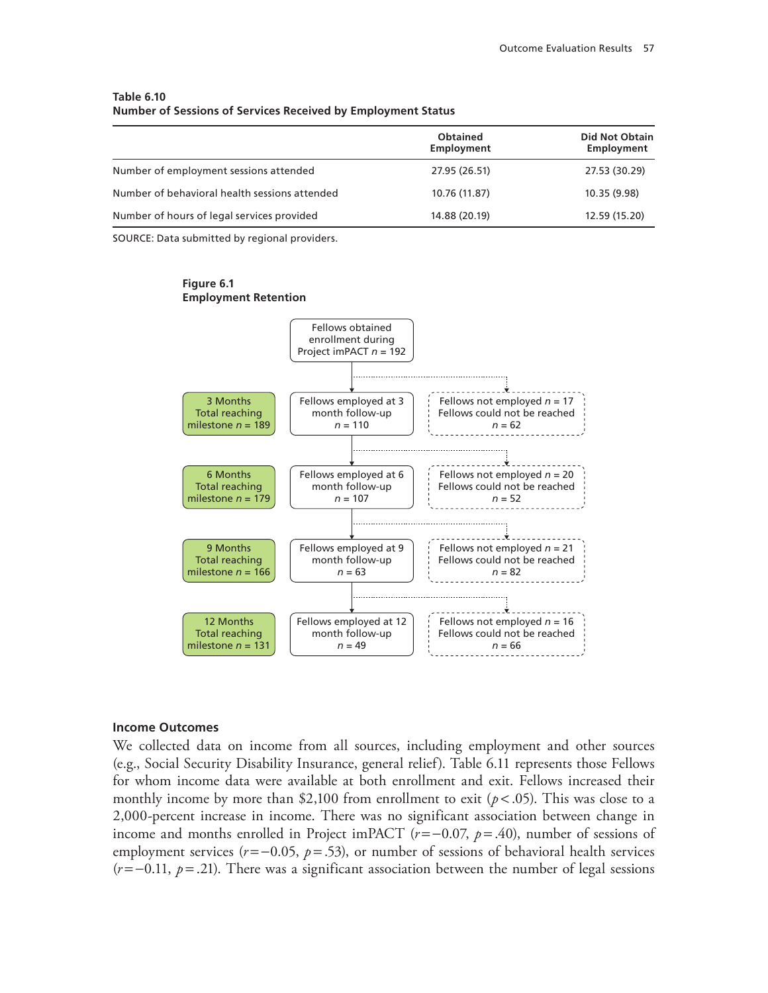#### **Table 6.10 Number of Sessions of Services Received by Employment Status**

|                                               | <b>Obtained</b><br>Employment | <b>Did Not Obtain</b><br>Employment |
|-----------------------------------------------|-------------------------------|-------------------------------------|
| Number of employment sessions attended        | 27.95 (26.51)                 | 27.53 (30.29)                       |
| Number of behavioral health sessions attended | 10.76 (11.87)                 | 10.35 (9.98)                        |
| Number of hours of legal services provided    | 14.88 (20.19)                 | 12.59 (15.20)                       |

SOURCE: Data submitted by regional providers.



#### **Figure 6.1 Employment Retention**

#### **Income Outcomes**

We collected data on income from all sources, including employment and other sources (e.g., Social Security Disability Insurance, general relief). Table 6.11 represents those Fellows for whom income data were available at both enrollment and exit. Fellows increased their monthly income by more than \$2,100 from enrollment to exit ( $p < .05$ ). This was close to a 2,000-percent increase in income. There was no significant association between change in income and months enrolled in Project imPACT  $(r = -0.07, p = .40)$ , number of sessions of employment services  $(r = -0.05, p = .53)$ , or number of sessions of behavioral health services (*r* = −0.11, *p* = .21). There was a significant association between the number of legal sessions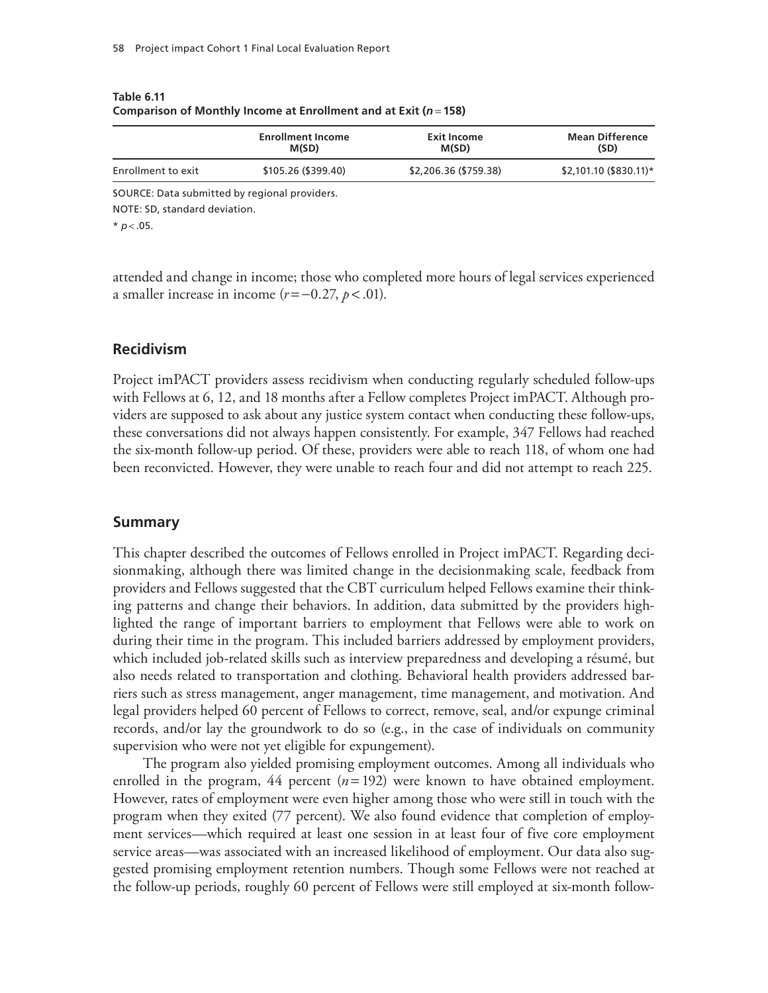|                    | <b>Enrollment Income</b> | Exit Income           | <b>Mean Difference</b>  |
|--------------------|--------------------------|-----------------------|-------------------------|
|                    | M(SD)                    | M(SD)                 | (SD)                    |
| Enrollment to exit | \$105.26 (\$399.40)      | \$2,206.36 (\$759.38) | $$2,101.10$ (\$830.11)* |

#### **Table 6.11 Comparison of Monthly Income at Enrollment and at Exit (***n* = **158)**

SOURCE: Data submitted by regional providers.

NOTE: SD, standard deviation.

 $* p < .05$ .

attended and change in income; those who completed more hours of legal services experienced a smaller increase in income  $(r = -0.27, p < .01)$ .

## **Recidivism**

Project imPACT providers assess recidivism when conducting regularly scheduled follow-ups with Fellows at 6, 12, and 18 months after a Fellow completes Project imPACT. Although providers are supposed to ask about any justice system contact when conducting these follow-ups, these conversations did not always happen consistently. For example, 347 Fellows had reached the six-month follow-up period. Of these, providers were able to reach 118, of whom one had been reconvicted. However, they were unable to reach four and did not attempt to reach 225.

## **Summary**

This chapter described the outcomes of Fellows enrolled in Project imPACT. Regarding decisionmaking, although there was limited change in the decisionmaking scale, feedback from providers and Fellows suggested that the CBT curriculum helped Fellows examine their thinking patterns and change their behaviors. In addition, data submitted by the providers highlighted the range of important barriers to employment that Fellows were able to work on during their time in the program. This included barriers addressed by employment providers, which included job-related skills such as interview preparedness and developing a résumé, but also needs related to transportation and clothing. Behavioral health providers addressed barriers such as stress management, anger management, time management, and motivation. And legal providers helped 60 percent of Fellows to correct, remove, seal, and/or expunge criminal records, and/or lay the groundwork to do so (e.g., in the case of individuals on community supervision who were not yet eligible for expungement).

The program also yielded promising employment outcomes. Among all individuals who enrolled in the program,  $44$  percent  $(n=192)$  were known to have obtained employment. However, rates of employment were even higher among those who were still in touch with the program when they exited (77 percent). We also found evidence that completion of employment services—which required at least one session in at least four of five core employment service areas—was associated with an increased likelihood of employment. Our data also suggested promising employment retention numbers. Though some Fellows were not reached at the follow-up periods, roughly 60 percent of Fellows were still employed at six-month follow-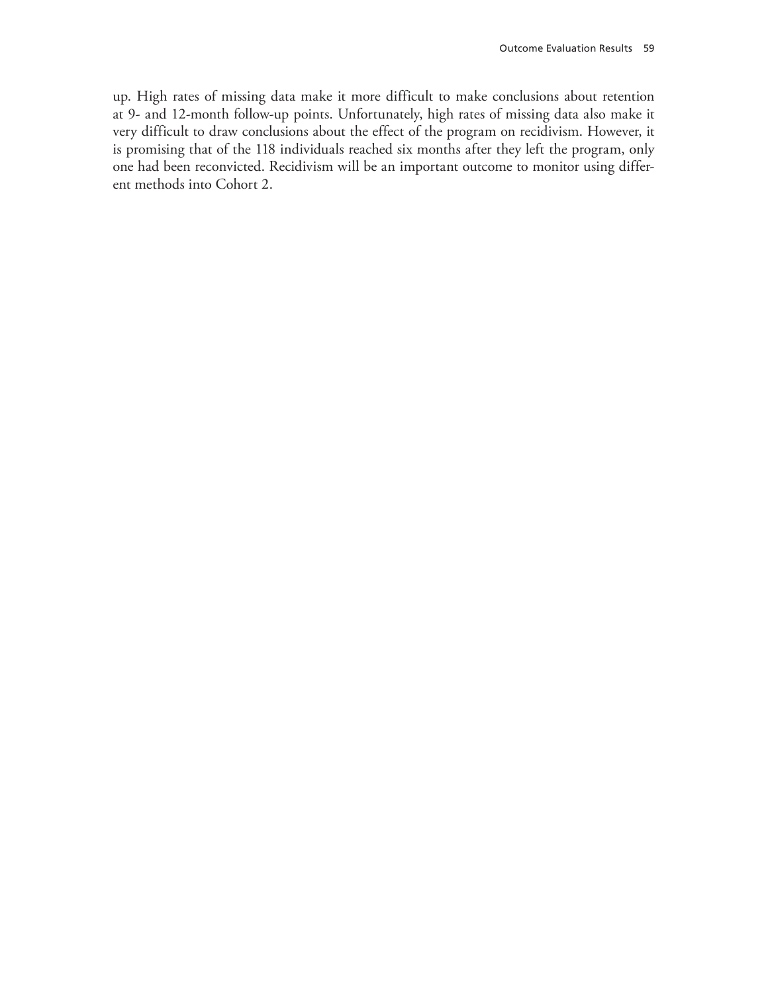up. High rates of missing data make it more difficult to make conclusions about retention at 9- and 12-month follow-up points. Unfortunately, high rates of missing data also make it very difficult to draw conclusions about the effect of the program on recidivism. However, it is promising that of the 118 individuals reached six months after they left the program, only one had been reconvicted. Recidivism will be an important outcome to monitor using different methods into Cohort 2.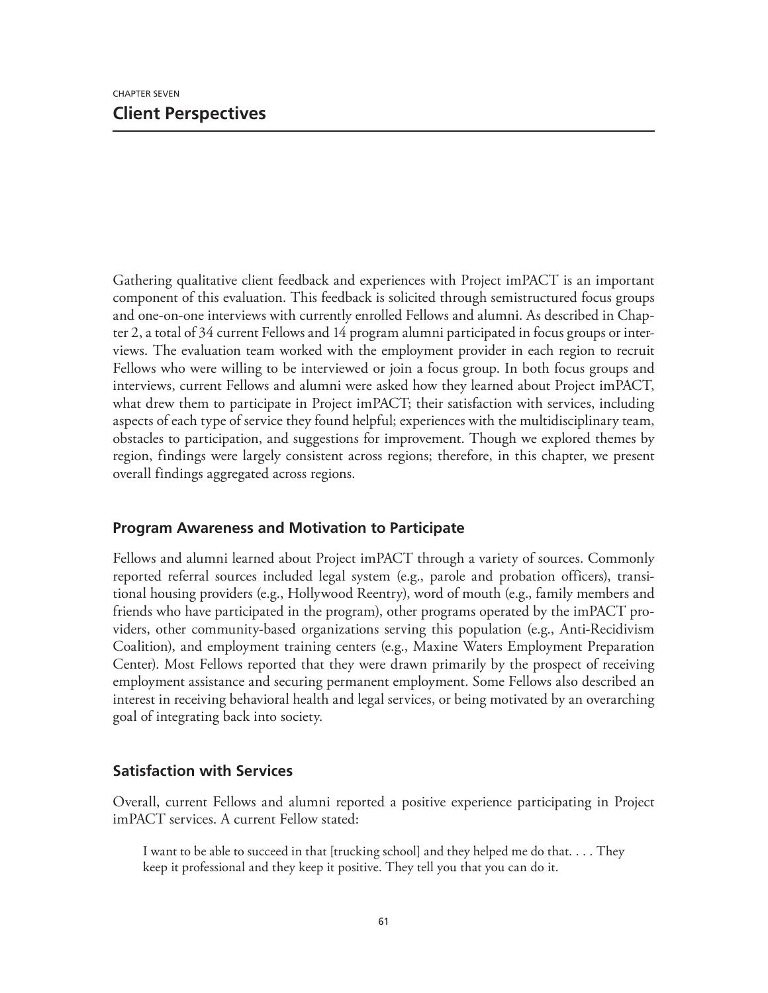Gathering qualitative client feedback and experiences with Project imPACT is an important component of this evaluation. This feedback is solicited through semistructured focus groups and one-on-one interviews with currently enrolled Fellows and alumni. As described in Chapter 2, a total of 34 current Fellows and 14 program alumni participated in focus groups or interviews. The evaluation team worked with the employment provider in each region to recruit Fellows who were willing to be interviewed or join a focus group. In both focus groups and interviews, current Fellows and alumni were asked how they learned about Project imPACT, what drew them to participate in Project imPACT; their satisfaction with services, including aspects of each type of service they found helpful; experiences with the multidisciplinary team, obstacles to participation, and suggestions for improvement. Though we explored themes by region, findings were largely consistent across regions; therefore, in this chapter, we present overall findings aggregated across regions.

# **Program Awareness and Motivation to Participate**

Fellows and alumni learned about Project imPACT through a variety of sources. Commonly reported referral sources included legal system (e.g., parole and probation officers), transitional housing providers (e.g., Hollywood Reentry), word of mouth (e.g., family members and friends who have participated in the program), other programs operated by the imPACT providers, other community-based organizations serving this population (e.g., Anti-Recidivism Coalition), and employment training centers (e.g., Maxine Waters Employment Preparation Center). Most Fellows reported that they were drawn primarily by the prospect of receiving employment assistance and securing permanent employment. Some Fellows also described an interest in receiving behavioral health and legal services, or being motivated by an overarching goal of integrating back into society.

## **Satisfaction with Services**

Overall, current Fellows and alumni reported a positive experience participating in Project imPACT services. A current Fellow stated:

I want to be able to succeed in that [trucking school] and they helped me do that. . . . They keep it professional and they keep it positive. They tell you that you can do it.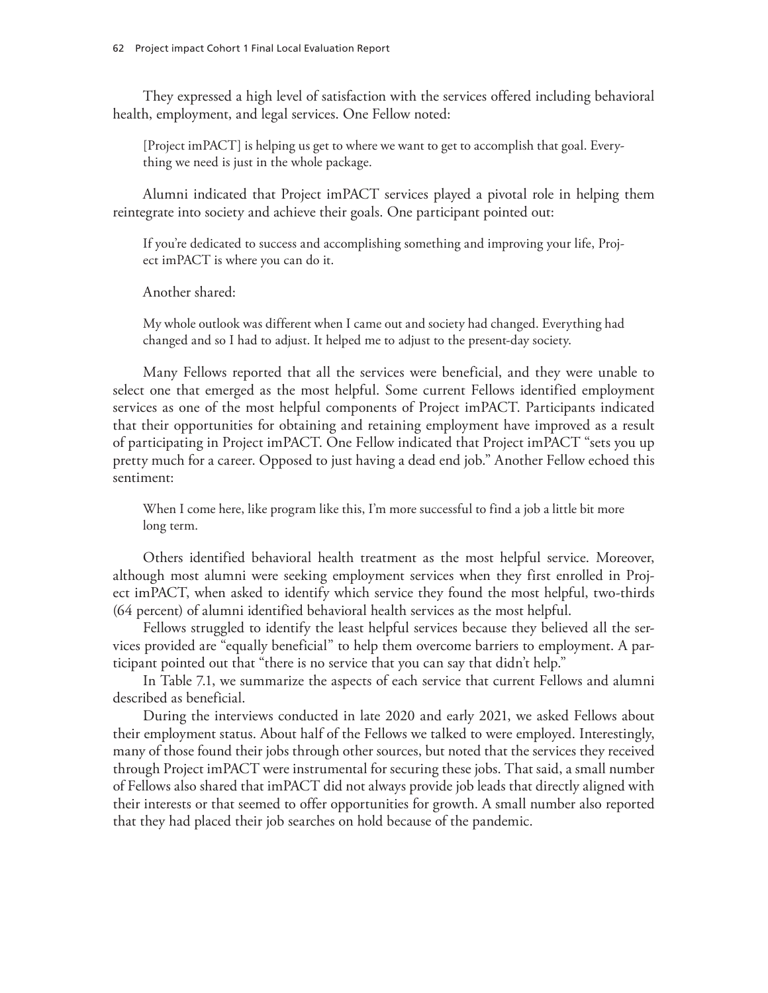They expressed a high level of satisfaction with the services offered including behavioral health, employment, and legal services. One Fellow noted:

[Project imPACT] is helping us get to where we want to get to accomplish that goal. Everything we need is just in the whole package.

Alumni indicated that Project imPACT services played a pivotal role in helping them reintegrate into society and achieve their goals. One participant pointed out:

If you're dedicated to success and accomplishing something and improving your life, Project imPACT is where you can do it.

Another shared:

My whole outlook was different when I came out and society had changed. Everything had changed and so I had to adjust. It helped me to adjust to the present-day society.

Many Fellows reported that all the services were beneficial, and they were unable to select one that emerged as the most helpful. Some current Fellows identified employment services as one of the most helpful components of Project imPACT. Participants indicated that their opportunities for obtaining and retaining employment have improved as a result of participating in Project imPACT. One Fellow indicated that Project imPACT "sets you up pretty much for a career. Opposed to just having a dead end job." Another Fellow echoed this sentiment:

When I come here, like program like this, I'm more successful to find a job a little bit more long term.

Others identified behavioral health treatment as the most helpful service. Moreover, although most alumni were seeking employment services when they first enrolled in Project imPACT, when asked to identify which service they found the most helpful, two-thirds (64 percent) of alumni identified behavioral health services as the most helpful.

Fellows struggled to identify the least helpful services because they believed all the services provided are "equally beneficial" to help them overcome barriers to employment. A participant pointed out that "there is no service that you can say that didn't help."

In Table 7.1, we summarize the aspects of each service that current Fellows and alumni described as beneficial.

During the interviews conducted in late 2020 and early 2021, we asked Fellows about their employment status. About half of the Fellows we talked to were employed. Interestingly, many of those found their jobs through other sources, but noted that the services they received through Project imPACT were instrumental for securing these jobs. That said, a small number of Fellows also shared that imPACT did not always provide job leads that directly aligned with their interests or that seemed to offer opportunities for growth. A small number also reported that they had placed their job searches on hold because of the pandemic.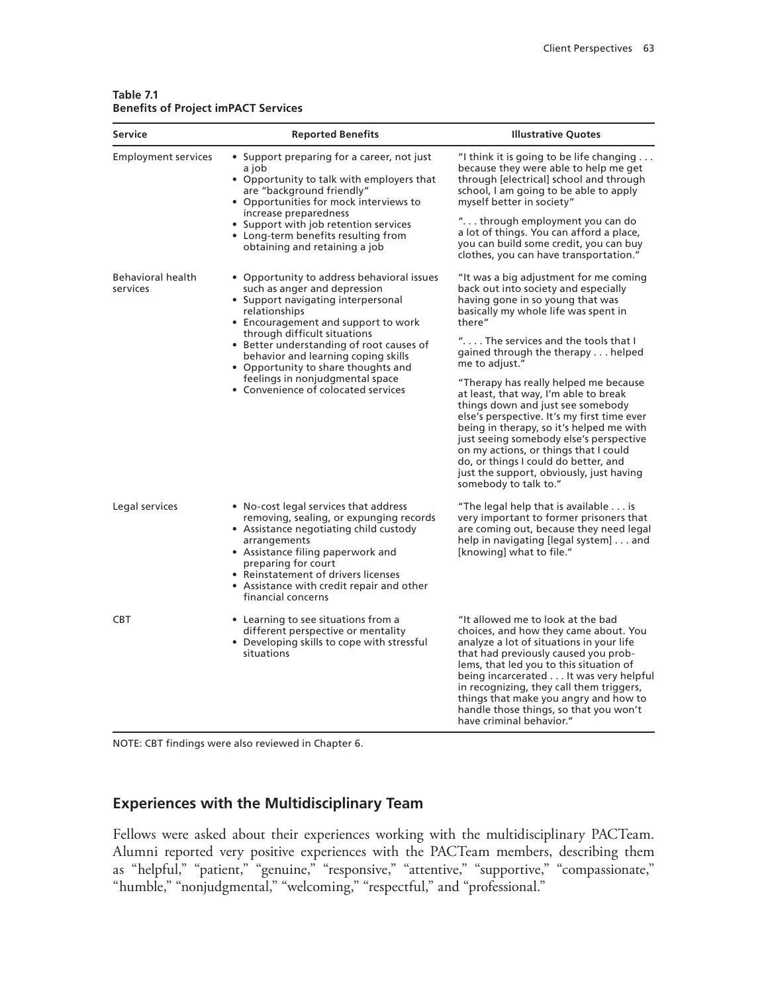| Table 7.1                                  |  |  |
|--------------------------------------------|--|--|
| <b>Benefits of Project imPACT Services</b> |  |  |

| <b>Service</b>                       | <b>Reported Benefits</b>                                                                                                                                                                                                                                                                                                                                                                                     | <b>Illustrative Quotes</b>                                                                                                                                                                                                                                                                                                                                                                                                                                                                                                                                                                                                                                                            |
|--------------------------------------|--------------------------------------------------------------------------------------------------------------------------------------------------------------------------------------------------------------------------------------------------------------------------------------------------------------------------------------------------------------------------------------------------------------|---------------------------------------------------------------------------------------------------------------------------------------------------------------------------------------------------------------------------------------------------------------------------------------------------------------------------------------------------------------------------------------------------------------------------------------------------------------------------------------------------------------------------------------------------------------------------------------------------------------------------------------------------------------------------------------|
| <b>Employment services</b>           | • Support preparing for a career, not just<br>a job<br>• Opportunity to talk with employers that<br>are "background friendly"<br>• Opportunities for mock interviews to<br>increase preparedness<br>• Support with job retention services<br>• Long-term benefits resulting from<br>obtaining and retaining a job                                                                                            | "I think it is going to be life changing $\dots$<br>because they were able to help me get<br>through [electrical] school and through<br>school, I am going to be able to apply<br>myself better in society"<br>" through employment you can do<br>a lot of things. You can afford a place,<br>you can build some credit, you can buy<br>clothes, you can have transportation."                                                                                                                                                                                                                                                                                                        |
| <b>Behavioral health</b><br>services | • Opportunity to address behavioral issues<br>such as anger and depression<br>• Support navigating interpersonal<br>relationships<br>• Encouragement and support to work<br>through difficult situations<br>• Better understanding of root causes of<br>behavior and learning coping skills<br>• Opportunity to share thoughts and<br>feelings in nonjudgmental space<br>• Convenience of colocated services | "It was a big adjustment for me coming<br>back out into society and especially<br>having gone in so young that was<br>basically my whole life was spent in<br>there"<br>" The services and the tools that I<br>gained through the therapy helped<br>me to adjust."<br>"Therapy has really helped me because<br>at least, that way, I'm able to break<br>things down and just see somebody<br>else's perspective. It's my first time ever<br>being in therapy, so it's helped me with<br>just seeing somebody else's perspective<br>on my actions, or things that I could<br>do, or things I could do better, and<br>just the support, obviously, just having<br>somebody to talk to." |
| Legal services                       | • No-cost legal services that address<br>removing, sealing, or expunging records<br>• Assistance negotiating child custody<br>arrangements<br>• Assistance filing paperwork and<br>preparing for court<br>• Reinstatement of drivers licenses<br>• Assistance with credit repair and other<br>financial concerns                                                                                             | "The legal help that is available is<br>very important to former prisoners that<br>are coming out, because they need legal<br>help in navigating [legal system] and<br>[knowing] what to file."                                                                                                                                                                                                                                                                                                                                                                                                                                                                                       |
| <b>CBT</b>                           | • Learning to see situations from a<br>different perspective or mentality<br>• Developing skills to cope with stressful<br>situations                                                                                                                                                                                                                                                                        | "It allowed me to look at the bad<br>choices, and how they came about. You<br>analyze a lot of situations in your life<br>that had previously caused you prob-<br>lems, that led you to this situation of<br>being incarcerated It was very helpful<br>in recognizing, they call them triggers,<br>things that make you angry and how to<br>handle those things, so that you won't<br>have criminal behavior."                                                                                                                                                                                                                                                                        |

NOTE: CBT findings were also reviewed in Chapter 6.

## **Experiences with the Multidisciplinary Team**

Fellows were asked about their experiences working with the multidisciplinary PACTeam. Alumni reported very positive experiences with the PACTeam members, describing them as "helpful," "patient," "genuine," "responsive," "attentive," "supportive," "compassionate," "humble," "nonjudgmental," "welcoming," "respectful," and "professional."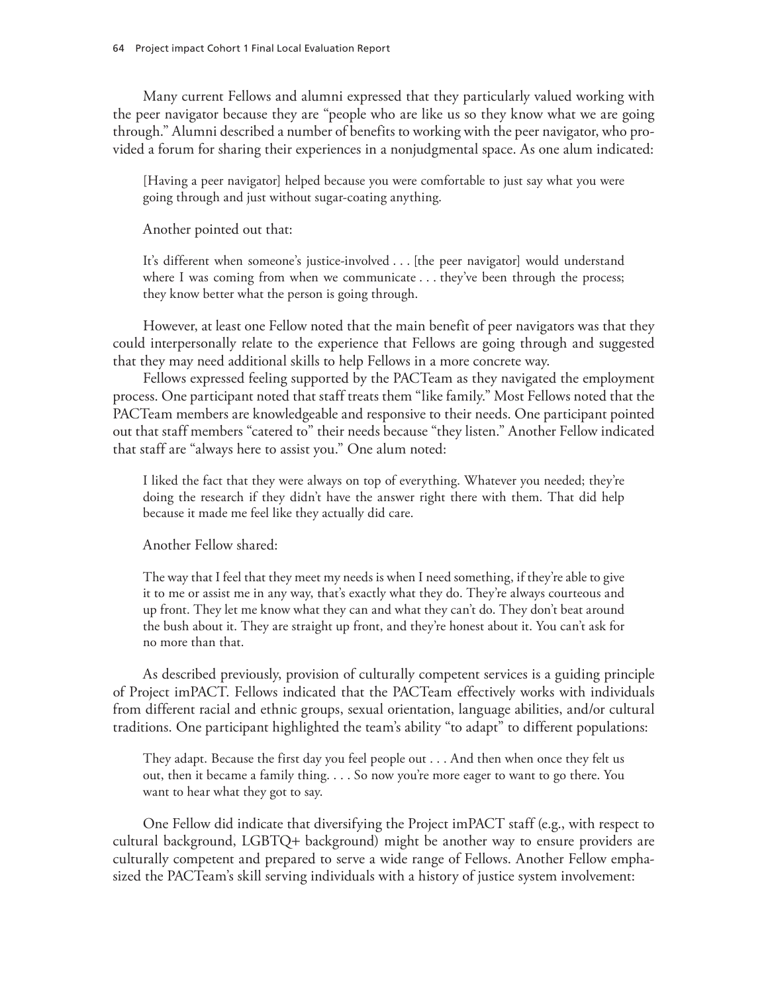Many current Fellows and alumni expressed that they particularly valued working with the peer navigator because they are "people who are like us so they know what we are going through." Alumni described a number of benefits to working with the peer navigator, who provided a forum for sharing their experiences in a nonjudgmental space. As one alum indicated:

[Having a peer navigator] helped because you were comfortable to just say what you were going through and just without sugar-coating anything.

Another pointed out that:

It's different when someone's justice-involved . . . [the peer navigator] would understand where I was coming from when we communicate . . . they've been through the process; they know better what the person is going through.

However, at least one Fellow noted that the main benefit of peer navigators was that they could interpersonally relate to the experience that Fellows are going through and suggested that they may need additional skills to help Fellows in a more concrete way.

Fellows expressed feeling supported by the PACTeam as they navigated the employment process. One participant noted that staff treats them "like family." Most Fellows noted that the PACTeam members are knowledgeable and responsive to their needs. One participant pointed out that staff members "catered to" their needs because "they listen." Another Fellow indicated that staff are "always here to assist you." One alum noted:

I liked the fact that they were always on top of everything. Whatever you needed; they're doing the research if they didn't have the answer right there with them. That did help because it made me feel like they actually did care.

Another Fellow shared:

The way that I feel that they meet my needs is when I need something, if they're able to give it to me or assist me in any way, that's exactly what they do. They're always courteous and up front. They let me know what they can and what they can't do. They don't beat around the bush about it. They are straight up front, and they're honest about it. You can't ask for no more than that.

As described previously, provision of culturally competent services is a guiding principle of Project imPACT. Fellows indicated that the PACTeam effectively works with individuals from different racial and ethnic groups, sexual orientation, language abilities, and/or cultural traditions. One participant highlighted the team's ability "to adapt" to different populations:

They adapt. Because the first day you feel people out . . . And then when once they felt us out, then it became a family thing. . . . So now you're more eager to want to go there. You want to hear what they got to say.

One Fellow did indicate that diversifying the Project imPACT staff (e.g., with respect to cultural background, LGBTQ+ background) might be another way to ensure providers are culturally competent and prepared to serve a wide range of Fellows. Another Fellow emphasized the PACTeam's skill serving individuals with a history of justice system involvement: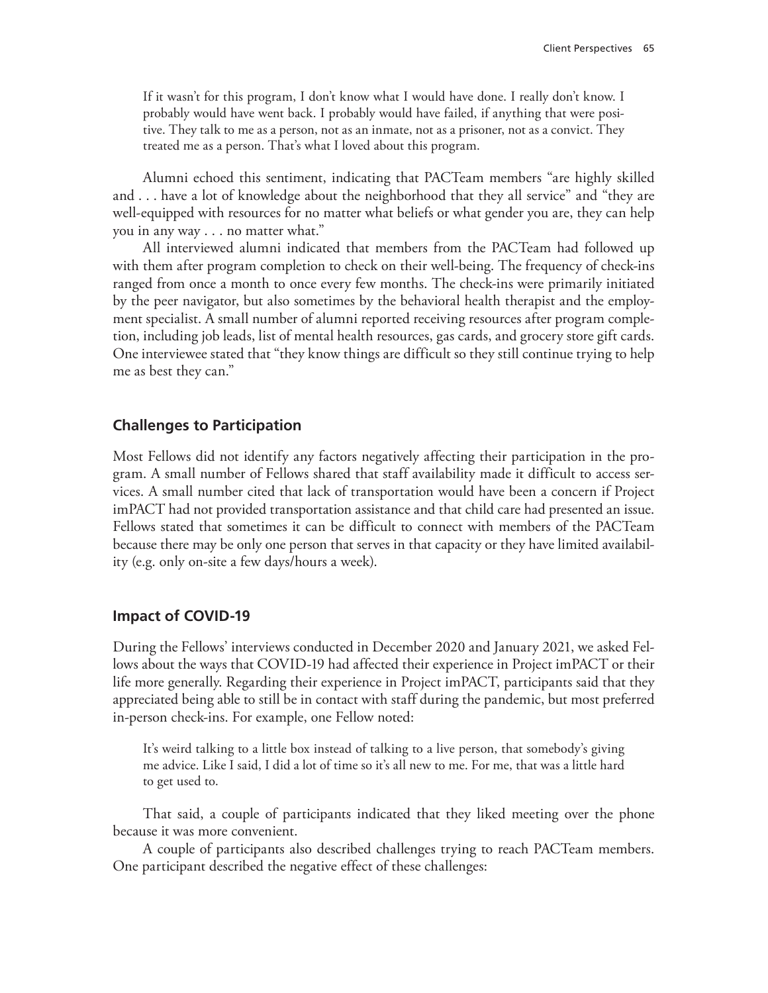If it wasn't for this program, I don't know what I would have done. I really don't know. I probably would have went back. I probably would have failed, if anything that were positive. They talk to me as a person, not as an inmate, not as a prisoner, not as a convict. They treated me as a person. That's what I loved about this program.

Alumni echoed this sentiment, indicating that PACTeam members "are highly skilled and . . . have a lot of knowledge about the neighborhood that they all service" and "they are well-equipped with resources for no matter what beliefs or what gender you are, they can help you in any way . . . no matter what."

All interviewed alumni indicated that members from the PACTeam had followed up with them after program completion to check on their well-being. The frequency of check-ins ranged from once a month to once every few months. The check-ins were primarily initiated by the peer navigator, but also sometimes by the behavioral health therapist and the employment specialist. A small number of alumni reported receiving resources after program completion, including job leads, list of mental health resources, gas cards, and grocery store gift cards. One interviewee stated that "they know things are difficult so they still continue trying to help me as best they can."

## **Challenges to Participation**

Most Fellows did not identify any factors negatively affecting their participation in the program. A small number of Fellows shared that staff availability made it difficult to access services. A small number cited that lack of transportation would have been a concern if Project imPACT had not provided transportation assistance and that child care had presented an issue. Fellows stated that sometimes it can be difficult to connect with members of the PACTeam because there may be only one person that serves in that capacity or they have limited availability (e.g. only on-site a few days/hours a week).

## **Impact of COVID-19**

During the Fellows' interviews conducted in December 2020 and January 2021, we asked Fellows about the ways that COVID-19 had affected their experience in Project imPACT or their life more generally. Regarding their experience in Project imPACT, participants said that they appreciated being able to still be in contact with staff during the pandemic, but most preferred in-person check-ins. For example, one Fellow noted:

It's weird talking to a little box instead of talking to a live person, that somebody's giving me advice. Like I said, I did a lot of time so it's all new to me. For me, that was a little hard to get used to.

That said, a couple of participants indicated that they liked meeting over the phone because it was more convenient.

A couple of participants also described challenges trying to reach PACTeam members. One participant described the negative effect of these challenges: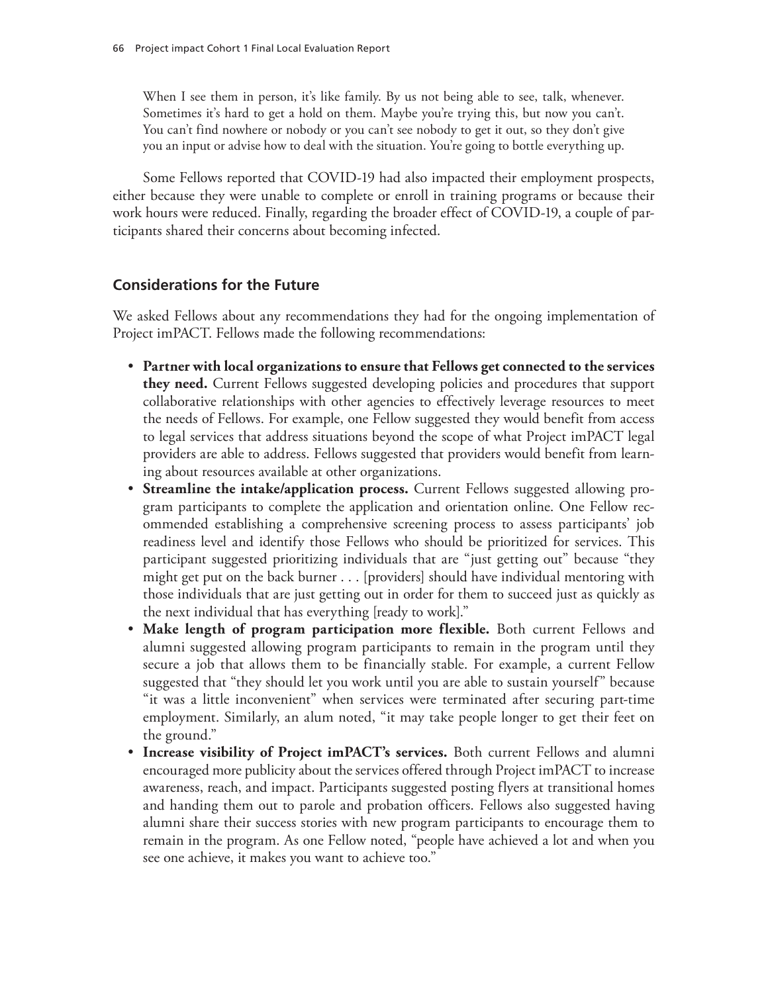When I see them in person, it's like family. By us not being able to see, talk, whenever. Sometimes it's hard to get a hold on them. Maybe you're trying this, but now you can't. You can't find nowhere or nobody or you can't see nobody to get it out, so they don't give you an input or advise how to deal with the situation. You're going to bottle everything up.

Some Fellows reported that COVID-19 had also impacted their employment prospects, either because they were unable to complete or enroll in training programs or because their work hours were reduced. Finally, regarding the broader effect of COVID-19, a couple of participants shared their concerns about becoming infected.

## **Considerations for the Future**

We asked Fellows about any recommendations they had for the ongoing implementation of Project imPACT. Fellows made the following recommendations:

- **Partner with local organizations to ensure that Fellows get connected to the services they need.** Current Fellows suggested developing policies and procedures that support collaborative relationships with other agencies to effectively leverage resources to meet the needs of Fellows. For example, one Fellow suggested they would benefit from access to legal services that address situations beyond the scope of what Project imPACT legal providers are able to address. Fellows suggested that providers would benefit from learning about resources available at other organizations.
- **Streamline the intake/application process.** Current Fellows suggested allowing program participants to complete the application and orientation online. One Fellow recommended establishing a comprehensive screening process to assess participants' job readiness level and identify those Fellows who should be prioritized for services. This participant suggested prioritizing individuals that are "just getting out" because "they might get put on the back burner . . . [providers] should have individual mentoring with those individuals that are just getting out in order for them to succeed just as quickly as the next individual that has everything [ready to work]."
- **Make length of program participation more flexible.** Both current Fellows and alumni suggested allowing program participants to remain in the program until they secure a job that allows them to be financially stable. For example, a current Fellow suggested that "they should let you work until you are able to sustain yourself" because "it was a little inconvenient" when services were terminated after securing part-time employment. Similarly, an alum noted, "it may take people longer to get their feet on the ground."
- **Increase visibility of Project imPACT's services.** Both current Fellows and alumni encouraged more publicity about the services offered through Project imPACT to increase awareness, reach, and impact. Participants suggested posting flyers at transitional homes and handing them out to parole and probation officers. Fellows also suggested having alumni share their success stories with new program participants to encourage them to remain in the program. As one Fellow noted, "people have achieved a lot and when you see one achieve, it makes you want to achieve too."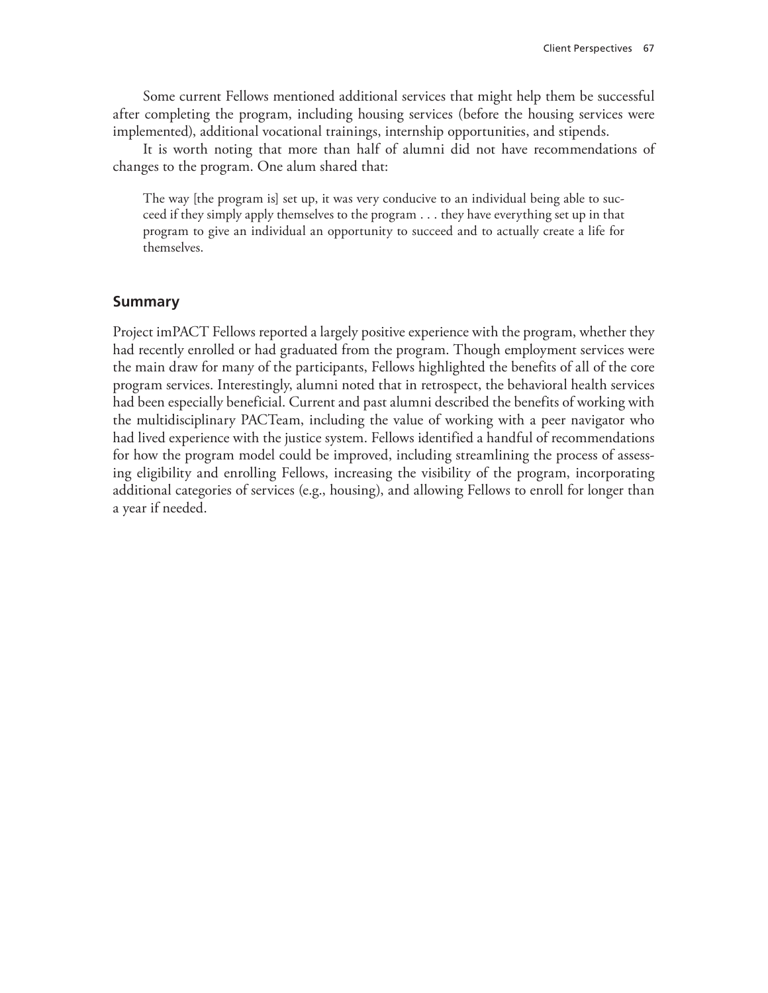Some current Fellows mentioned additional services that might help them be successful after completing the program, including housing services (before the housing services were implemented), additional vocational trainings, internship opportunities, and stipends.

It is worth noting that more than half of alumni did not have recommendations of changes to the program. One alum shared that:

The way [the program is] set up, it was very conducive to an individual being able to succeed if they simply apply themselves to the program . . . they have everything set up in that program to give an individual an opportunity to succeed and to actually create a life for themselves.

## **Summary**

Project imPACT Fellows reported a largely positive experience with the program, whether they had recently enrolled or had graduated from the program. Though employment services were the main draw for many of the participants, Fellows highlighted the benefits of all of the core program services. Interestingly, alumni noted that in retrospect, the behavioral health services had been especially beneficial. Current and past alumni described the benefits of working with the multidisciplinary PACTeam, including the value of working with a peer navigator who had lived experience with the justice system. Fellows identified a handful of recommendations for how the program model could be improved, including streamlining the process of assessing eligibility and enrolling Fellows, increasing the visibility of the program, incorporating additional categories of services (e.g., housing), and allowing Fellows to enroll for longer than a year if needed.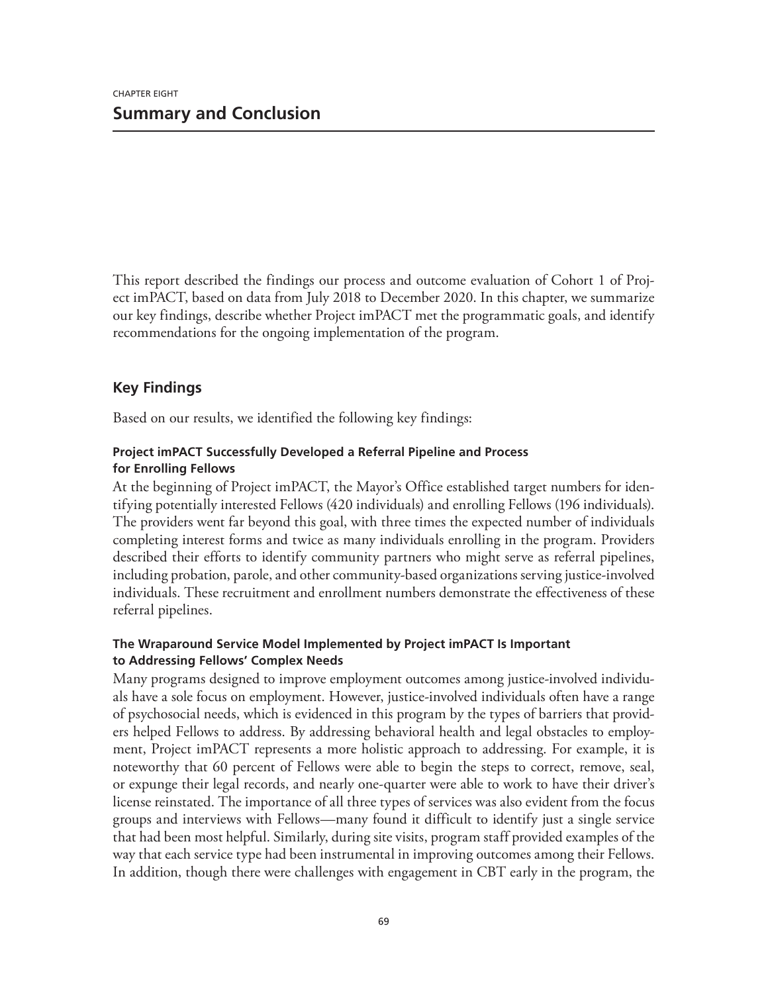This report described the findings our process and outcome evaluation of Cohort 1 of Project imPACT, based on data from July 2018 to December 2020. In this chapter, we summarize our key findings, describe whether Project imPACT met the programmatic goals, and identify recommendations for the ongoing implementation of the program.

# **Key Findings**

Based on our results, we identified the following key findings:

## **Project imPACT Successfully Developed a Referral Pipeline and Process for Enrolling Fellows**

At the beginning of Project imPACT, the Mayor's Office established target numbers for identifying potentially interested Fellows (420 individuals) and enrolling Fellows (196 individuals). The providers went far beyond this goal, with three times the expected number of individuals completing interest forms and twice as many individuals enrolling in the program. Providers described their efforts to identify community partners who might serve as referral pipelines, including probation, parole, and other community-based organizations serving justice-involved individuals. These recruitment and enrollment numbers demonstrate the effectiveness of these referral pipelines.

## **The Wraparound Service Model Implemented by Project imPACT Is Important to Addressing Fellows' Complex Needs**

Many programs designed to improve employment outcomes among justice-involved individuals have a sole focus on employment. However, justice-involved individuals often have a range of psychosocial needs, which is evidenced in this program by the types of barriers that providers helped Fellows to address. By addressing behavioral health and legal obstacles to employment, Project imPACT represents a more holistic approach to addressing. For example, it is noteworthy that 60 percent of Fellows were able to begin the steps to correct, remove, seal, or expunge their legal records, and nearly one-quarter were able to work to have their driver's license reinstated. The importance of all three types of services was also evident from the focus groups and interviews with Fellows—many found it difficult to identify just a single service that had been most helpful. Similarly, during site visits, program staff provided examples of the way that each service type had been instrumental in improving outcomes among their Fellows. In addition, though there were challenges with engagement in CBT early in the program, the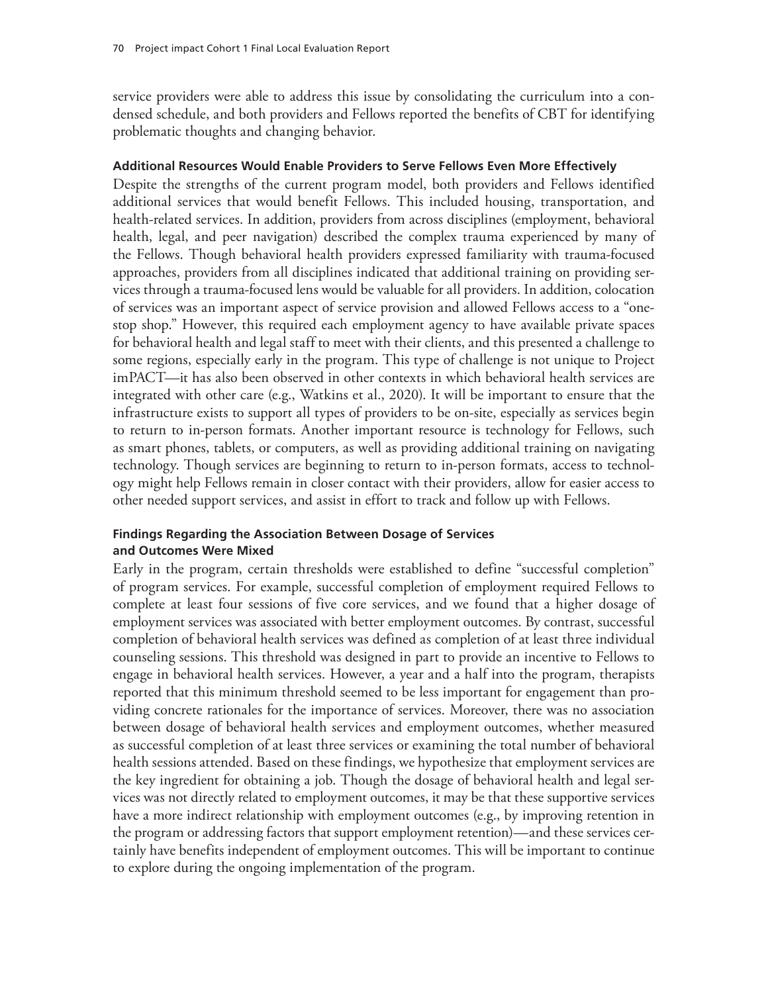service providers were able to address this issue by consolidating the curriculum into a condensed schedule, and both providers and Fellows reported the benefits of CBT for identifying problematic thoughts and changing behavior.

## **Additional Resources Would Enable Providers to Serve Fellows Even More Effectively**

Despite the strengths of the current program model, both providers and Fellows identified additional services that would benefit Fellows. This included housing, transportation, and health-related services. In addition, providers from across disciplines (employment, behavioral health, legal, and peer navigation) described the complex trauma experienced by many of the Fellows. Though behavioral health providers expressed familiarity with trauma-focused approaches, providers from all disciplines indicated that additional training on providing services through a trauma-focused lens would be valuable for all providers. In addition, colocation of services was an important aspect of service provision and allowed Fellows access to a "one-stop shop." However, this required each employment agency to have available private spaces for behavioral health and legal staff to meet with their clients, and this presented a challenge to some regions, especially early in the program. This type of challenge is not unique to Project imPACT—it has also been observed in other contexts in which behavioral health services are integrated with other care (e.g., Watkins et al., 2020). It will be important to ensure that the infrastructure exists to support all types of providers to be on-site, especially as services begin to return to in-person formats. Another important resource is technology for Fellows, such as smart phones, tablets, or computers, as well as providing additional training on navigating technology. Though services are beginning to return to in-person formats, access to technology might help Fellows remain in closer contact with their providers, allow for easier access to other needed support services, and assist in effort to track and follow up with Fellows.

## **Findings Regarding the Association Between Dosage of Services and Outcomes Were Mixed**

Early in the program, certain thresholds were established to define "successful completion" of program services. For example, successful completion of employment required Fellows to complete at least four sessions of five core services, and we found that a higher dosage of employment services was associated with better employment outcomes. By contrast, successful completion of behavioral health services was defined as completion of at least three individual counseling sessions. This threshold was designed in part to provide an incentive to Fellows to engage in behavioral health services. However, a year and a half into the program, therapists reported that this minimum threshold seemed to be less important for engagement than providing concrete rationales for the importance of services. Moreover, there was no association between dosage of behavioral health services and employment outcomes, whether measured as successful completion of at least three services or examining the total number of behavioral health sessions attended. Based on these findings, we hypothesize that employment services are the key ingredient for obtaining a job. Though the dosage of behavioral health and legal services was not directly related to employment outcomes, it may be that these supportive services have a more indirect relationship with employment outcomes (e.g., by improving retention in the program or addressing factors that support employment retention)—and these services certainly have benefits independent of employment outcomes. This will be important to continue to explore during the ongoing implementation of the program.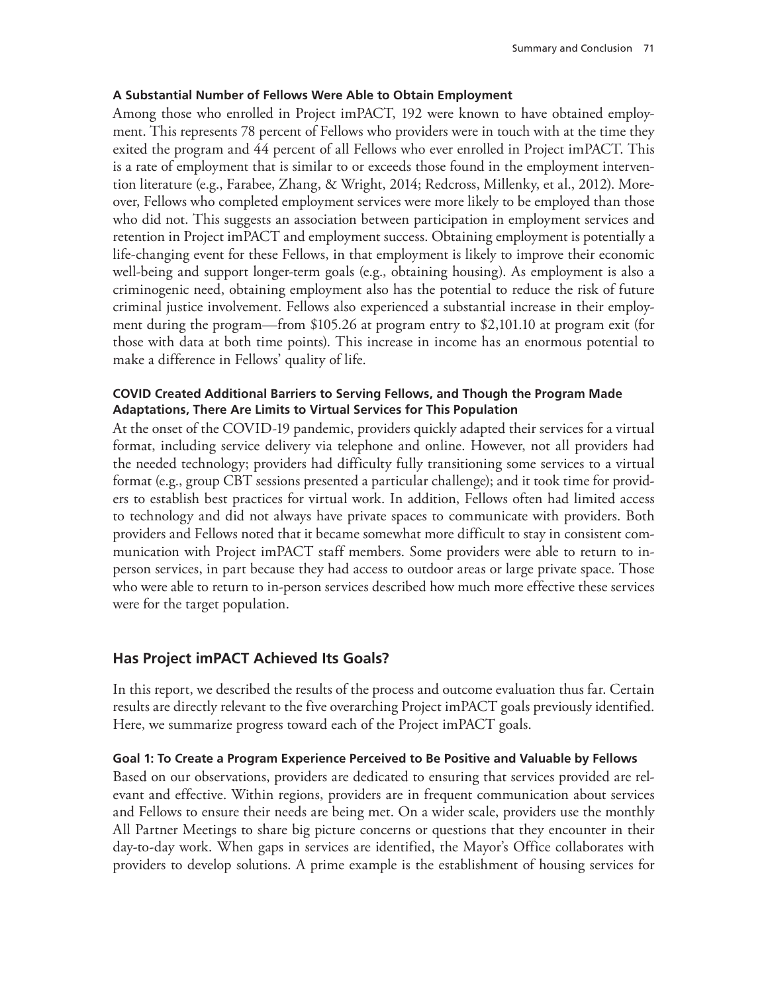### **A Substantial Number of Fellows Were Able to Obtain Employment**

Among those who enrolled in Project imPACT, 192 were known to have obtained employment. This represents 78 percent of Fellows who providers were in touch with at the time they exited the program and 44 percent of all Fellows who ever enrolled in Project imPACT. This is a rate of employment that is similar to or exceeds those found in the employment intervention literature (e.g., Farabee, Zhang, & Wright, 2014; Redcross, Millenky, et al., 2012). Moreover, Fellows who completed employment services were more likely to be employed than those who did not. This suggests an association between participation in employment services and retention in Project imPACT and employment success. Obtaining employment is potentially a life-changing event for these Fellows, in that employment is likely to improve their economic well-being and support longer-term goals (e.g., obtaining housing). As employment is also a criminogenic need, obtaining employment also has the potential to reduce the risk of future criminal justice involvement. Fellows also experienced a substantial increase in their employment during the program—from \$105.26 at program entry to \$2,101.10 at program exit (for those with data at both time points). This increase in income has an enormous potential to make a difference in Fellows' quality of life.

## **COVID Created Additional Barriers to Serving Fellows, and Though the Program Made Adaptations, There Are Limits to Virtual Services for This Population**

At the onset of the COVID-19 pandemic, providers quickly adapted their services for a virtual format, including service delivery via telephone and online. However, not all providers had the needed technology; providers had difficulty fully transitioning some services to a virtual format (e.g., group CBT sessions presented a particular challenge); and it took time for providers to establish best practices for virtual work. In addition, Fellows often had limited access to technology and did not always have private spaces to communicate with providers. Both providers and Fellows noted that it became somewhat more difficult to stay in consistent communication with Project imPACT staff members. Some providers were able to return to in-person services, in part because they had access to outdoor areas or large private space. Those who were able to return to in-person services described how much more effective these services were for the target population.

## **Has Project imPACT Achieved Its Goals?**

In this report, we described the results of the process and outcome evaluation thus far. Certain results are directly relevant to the five overarching Project imPACT goals previously identified. Here, we summarize progress toward each of the Project imPACT goals.

### **Goal 1: To Create a Program Experience Perceived to Be Positive and Valuable by Fellows**

Based on our observations, providers are dedicated to ensuring that services provided are relevant and effective. Within regions, providers are in frequent communication about services and Fellows to ensure their needs are being met. On a wider scale, providers use the monthly All Partner Meetings to share big picture concerns or questions that they encounter in their day-to-day work. When gaps in services are identified, the Mayor's Office collaborates with providers to develop solutions. A prime example is the establishment of housing services for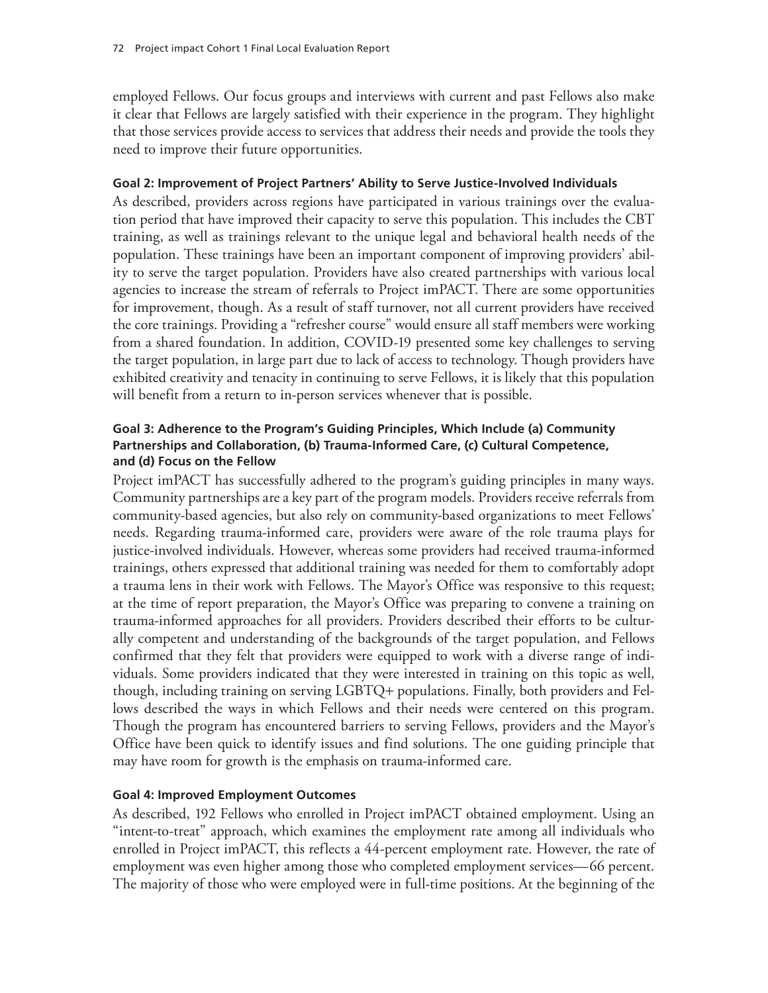employed Fellows. Our focus groups and interviews with current and past Fellows also make it clear that Fellows are largely satisfied with their experience in the program. They highlight that those services provide access to services that address their needs and provide the tools they need to improve their future opportunities.

## **Goal 2: Improvement of Project Partners' Ability to Serve Justice-Involved Individuals**

As described, providers across regions have participated in various trainings over the evaluation period that have improved their capacity to serve this population. This includes the CBT training, as well as trainings relevant to the unique legal and behavioral health needs of the population. These trainings have been an important component of improving providers' ability to serve the target population. Providers have also created partnerships with various local agencies to increase the stream of referrals to Project imPACT. There are some opportunities for improvement, though. As a result of staff turnover, not all current providers have received the core trainings. Providing a "refresher course" would ensure all staff members were working from a shared foundation. In addition, COVID-19 presented some key challenges to serving the target population, in large part due to lack of access to technology. Though providers have exhibited creativity and tenacity in continuing to serve Fellows, it is likely that this population will benefit from a return to in-person services whenever that is possible.

## **Goal 3: Adherence to the Program's Guiding Principles, Which Include (a) Community Partnerships and Collaboration, (b) Trauma-Informed Care, (c) Cultural Competence, and (d) Focus on the Fellow**

Project imPACT has successfully adhered to the program's guiding principles in many ways. Community partnerships are a key part of the program models. Providers receive referrals from community-based agencies, but also rely on community-based organizations to meet Fellows' needs. Regarding trauma-informed care, providers were aware of the role trauma plays for justice-involved individuals. However, whereas some providers had received trauma-informed trainings, others expressed that additional training was needed for them to comfortably adopt a trauma lens in their work with Fellows. The Mayor's Office was responsive to this request; at the time of report preparation, the Mayor's Office was preparing to convene a training on trauma-informed approaches for all providers. Providers described their efforts to be culturally competent and understanding of the backgrounds of the target population, and Fellows confirmed that they felt that providers were equipped to work with a diverse range of individuals. Some providers indicated that they were interested in training on this topic as well, though, including training on serving LGBTQ+ populations. Finally, both providers and Fellows described the ways in which Fellows and their needs were centered on this program. Though the program has encountered barriers to serving Fellows, providers and the Mayor's Office have been quick to identify issues and find solutions. The one guiding principle that may have room for growth is the emphasis on trauma-informed care.

## **Goal 4: Improved Employment Outcomes**

As described, 192 Fellows who enrolled in Project imPACT obtained employment. Using an "intent-to-treat" approach, which examines the employment rate among all individuals who enrolled in Project imPACT, this reflects a 44-percent employment rate. However, the rate of employment was even higher among those who completed employment services—66 percent. The majority of those who were employed were in full-time positions. At the beginning of the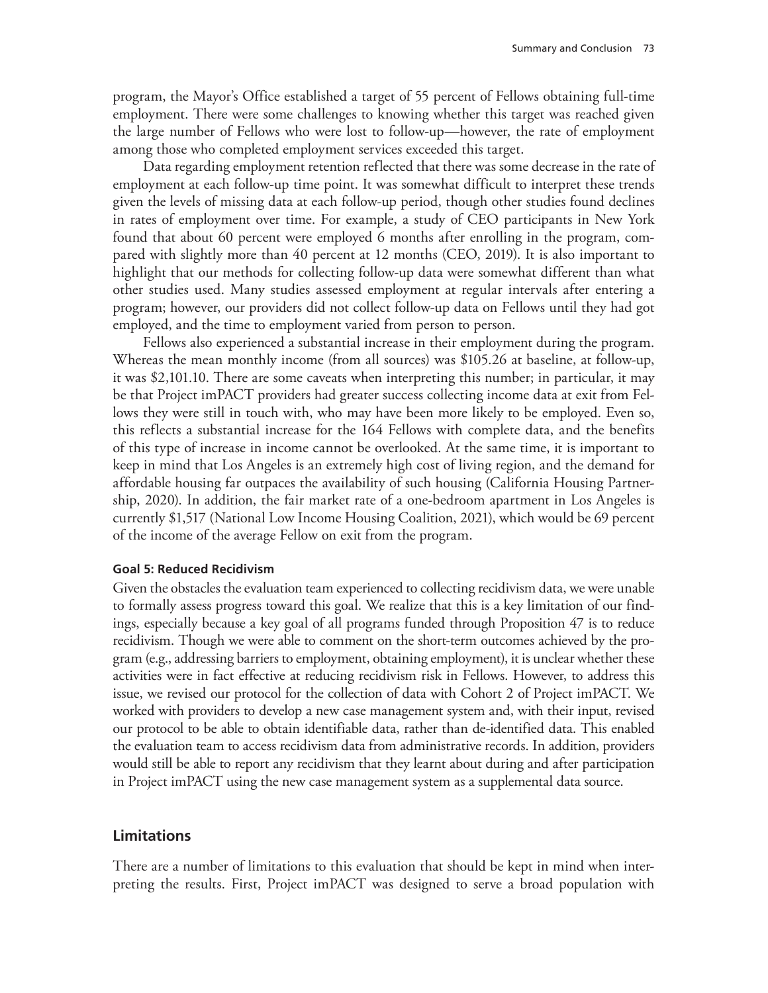program, the Mayor's Office established a target of 55 percent of Fellows obtaining full-time employment. There were some challenges to knowing whether this target was reached given the large number of Fellows who were lost to follow-up—however, the rate of employment among those who completed employment services exceeded this target.

Data regarding employment retention reflected that there was some decrease in the rate of employment at each follow-up time point. It was somewhat difficult to interpret these trends given the levels of missing data at each follow-up period, though other studies found declines in rates of employment over time. For example, a study of CEO participants in New York found that about 60 percent were employed 6 months after enrolling in the program, compared with slightly more than 40 percent at 12 months (CEO, 2019). It is also important to highlight that our methods for collecting follow-up data were somewhat different than what other studies used. Many studies assessed employment at regular intervals after entering a program; however, our providers did not collect follow-up data on Fellows until they had got employed, and the time to employment varied from person to person.

Fellows also experienced a substantial increase in their employment during the program. Whereas the mean monthly income (from all sources) was \$105.26 at baseline, at follow-up, it was \$2,101.10. There are some caveats when interpreting this number; in particular, it may be that Project imPACT providers had greater success collecting income data at exit from Fellows they were still in touch with, who may have been more likely to be employed. Even so, this reflects a substantial increase for the 164 Fellows with complete data, and the benefits of this type of increase in income cannot be overlooked. At the same time, it is important to keep in mind that Los Angeles is an extremely high cost of living region, and the demand for affordable housing far outpaces the availability of such housing (California Housing Partnership, 2020). In addition, the fair market rate of a one-bedroom apartment in Los Angeles is currently \$1,517 (National Low Income Housing Coalition, 2021), which would be 69 percent of the income of the average Fellow on exit from the program.

#### **Goal 5: Reduced Recidivism**

Given the obstacles the evaluation team experienced to collecting recidivism data, we were unable to formally assess progress toward this goal. We realize that this is a key limitation of our findings, especially because a key goal of all programs funded through Proposition 47 is to reduce recidivism. Though we were able to comment on the short-term outcomes achieved by the program (e.g., addressing barriers to employment, obtaining employment), it is unclear whether these activities were in fact effective at reducing recidivism risk in Fellows. However, to address this issue, we revised our protocol for the collection of data with Cohort 2 of Project imPACT. We worked with providers to develop a new case management system and, with their input, revised our protocol to be able to obtain identifiable data, rather than de-identified data. This enabled the evaluation team to access recidivism data from administrative records. In addition, providers would still be able to report any recidivism that they learnt about during and after participation in Project imPACT using the new case management system as a supplemental data source.

## **Limitations**

There are a number of limitations to this evaluation that should be kept in mind when interpreting the results. First, Project imPACT was designed to serve a broad population with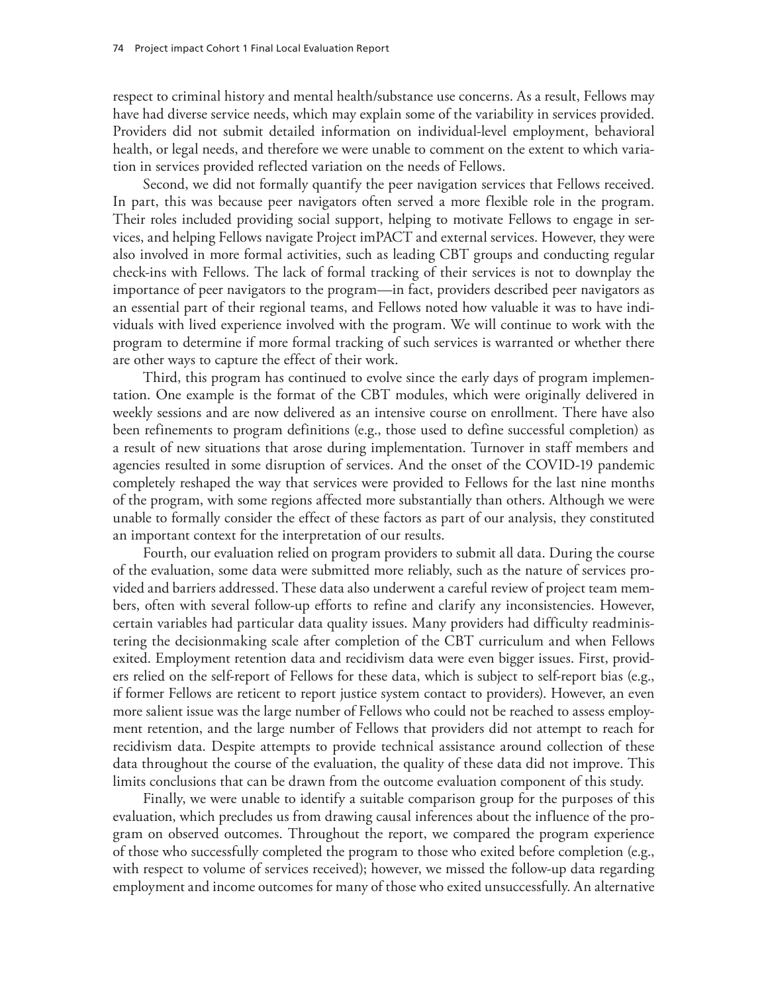respect to criminal history and mental health/substance use concerns. As a result, Fellows may have had diverse service needs, which may explain some of the variability in services provided. Providers did not submit detailed information on individual-level employment, behavioral health, or legal needs, and therefore we were unable to comment on the extent to which variation in services provided reflected variation on the needs of Fellows.

Second, we did not formally quantify the peer navigation services that Fellows received. In part, this was because peer navigators often served a more flexible role in the program. Their roles included providing social support, helping to motivate Fellows to engage in services, and helping Fellows navigate Project imPACT and external services. However, they were also involved in more formal activities, such as leading CBT groups and conducting regular check-ins with Fellows. The lack of formal tracking of their services is not to downplay the importance of peer navigators to the program—in fact, providers described peer navigators as an essential part of their regional teams, and Fellows noted how valuable it was to have individuals with lived experience involved with the program. We will continue to work with the program to determine if more formal tracking of such services is warranted or whether there are other ways to capture the effect of their work.

Third, this program has continued to evolve since the early days of program implementation. One example is the format of the CBT modules, which were originally delivered in weekly sessions and are now delivered as an intensive course on enrollment. There have also been refinements to program definitions (e.g., those used to define successful completion) as a result of new situations that arose during implementation. Turnover in staff members and agencies resulted in some disruption of services. And the onset of the COVID-19 pandemic completely reshaped the way that services were provided to Fellows for the last nine months of the program, with some regions affected more substantially than others. Although we were unable to formally consider the effect of these factors as part of our analysis, they constituted an important context for the interpretation of our results.

Fourth, our evaluation relied on program providers to submit all data. During the course of the evaluation, some data were submitted more reliably, such as the nature of services provided and barriers addressed. These data also underwent a careful review of project team members, often with several follow-up efforts to refine and clarify any inconsistencies. However, certain variables had particular data quality issues. Many providers had difficulty readministering the decisionmaking scale after completion of the CBT curriculum and when Fellows exited. Employment retention data and recidivism data were even bigger issues. First, providers relied on the self-report of Fellows for these data, which is subject to self-report bias (e.g., if former Fellows are reticent to report justice system contact to providers). However, an even more salient issue was the large number of Fellows who could not be reached to assess employment retention, and the large number of Fellows that providers did not attempt to reach for recidivism data. Despite attempts to provide technical assistance around collection of these data throughout the course of the evaluation, the quality of these data did not improve. This limits conclusions that can be drawn from the outcome evaluation component of this study.

Finally, we were unable to identify a suitable comparison group for the purposes of this evaluation, which precludes us from drawing causal inferences about the influence of the program on observed outcomes. Throughout the report, we compared the program experience of those who successfully completed the program to those who exited before completion (e.g., with respect to volume of services received); however, we missed the follow-up data regarding employment and income outcomes for many of those who exited unsuccessfully. An alternative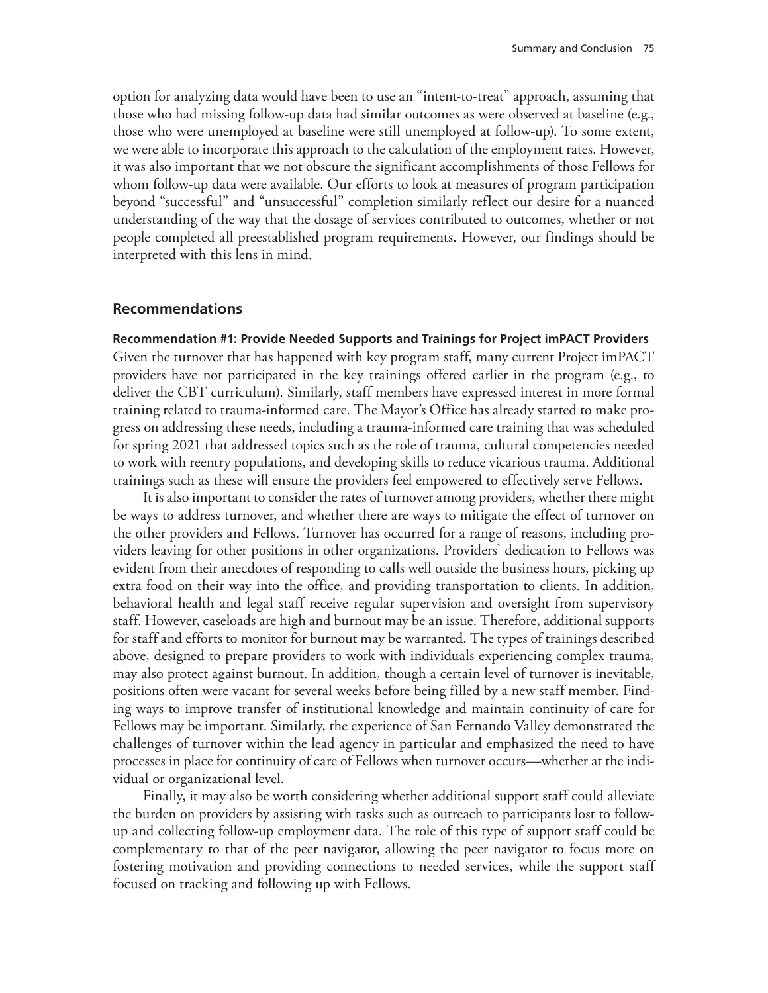option for analyzing data would have been to use an "intent-to-treat" approach, assuming that those who had missing follow-up data had similar outcomes as were observed at baseline (e.g., those who were unemployed at baseline were still unemployed at follow-up). To some extent, we were able to incorporate this approach to the calculation of the employment rates. However, it was also important that we not obscure the significant accomplishments of those Fellows for whom follow-up data were available. Our efforts to look at measures of program participation beyond "successful" and "unsuccessful" completion similarly reflect our desire for a nuanced understanding of the way that the dosage of services contributed to outcomes, whether or not people completed all preestablished program requirements. However, our findings should be interpreted with this lens in mind.

### **Recommendations**

**Recommendation #1: Provide Needed Supports and Trainings for Project imPACT Providers** Given the turnover that has happened with key program staff, many current Project imPACT providers have not participated in the key trainings offered earlier in the program (e.g., to deliver the CBT curriculum). Similarly, staff members have expressed interest in more formal training related to trauma-informed care. The Mayor's Office has already started to make progress on addressing these needs, including a trauma-informed care training that was scheduled for spring 2021 that addressed topics such as the role of trauma, cultural competencies needed to work with reentry populations, and developing skills to reduce vicarious trauma. Additional trainings such as these will ensure the providers feel empowered to effectively serve Fellows.

It is also important to consider the rates of turnover among providers, whether there might be ways to address turnover, and whether there are ways to mitigate the effect of turnover on the other providers and Fellows. Turnover has occurred for a range of reasons, including providers leaving for other positions in other organizations. Providers' dedication to Fellows was evident from their anecdotes of responding to calls well outside the business hours, picking up extra food on their way into the office, and providing transportation to clients. In addition, behavioral health and legal staff receive regular supervision and oversight from supervisory staff. However, caseloads are high and burnout may be an issue. Therefore, additional supports for staff and efforts to monitor for burnout may be warranted. The types of trainings described above, designed to prepare providers to work with individuals experiencing complex trauma, may also protect against burnout. In addition, though a certain level of turnover is inevitable, positions often were vacant for several weeks before being filled by a new staff member. Finding ways to improve transfer of institutional knowledge and maintain continuity of care for Fellows may be important. Similarly, the experience of San Fernando Valley demonstrated the challenges of turnover within the lead agency in particular and emphasized the need to have processes in place for continuity of care of Fellows when turnover occurs—whether at the individual or organizational level.

Finally, it may also be worth considering whether additional support staff could alleviate the burden on providers by assisting with tasks such as outreach to participants lost to followup and collecting follow-up employment data. The role of this type of support staff could be complementary to that of the peer navigator, allowing the peer navigator to focus more on fostering motivation and providing connections to needed services, while the support staff focused on tracking and following up with Fellows.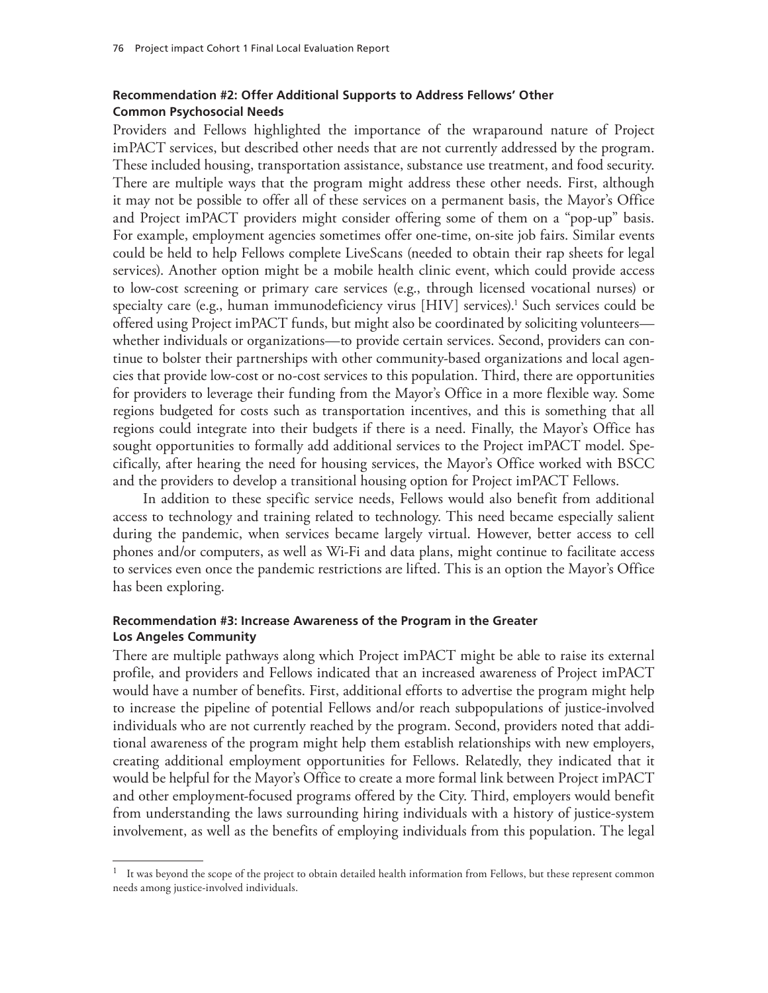## **Recommendation #2: Offer Additional Supports to Address Fellows' Other Common Psychosocial Needs**

Providers and Fellows highlighted the importance of the wraparound nature of Project imPACT services, but described other needs that are not currently addressed by the program. These included housing, transportation assistance, substance use treatment, and food security. There are multiple ways that the program might address these other needs. First, although it may not be possible to offer all of these services on a permanent basis, the Mayor's Office and Project imPACT providers might consider offering some of them on a "pop-up" basis. For example, employment agencies sometimes offer one-time, on-site job fairs. Similar events could be held to help Fellows complete LiveScans (needed to obtain their rap sheets for legal services). Another option might be a mobile health clinic event, which could provide access to low-cost screening or primary care services (e.g., through licensed vocational nurses) or specialty care (e.g., human immunodeficiency virus [HIV] services).1 Such services could be offered using Project imPACT funds, but might also be coordinated by soliciting volunteers whether individuals or organizations—to provide certain services. Second, providers can continue to bolster their partnerships with other community-based organizations and local agencies that provide low-cost or no-cost services to this population. Third, there are opportunities for providers to leverage their funding from the Mayor's Office in a more flexible way. Some regions budgeted for costs such as transportation incentives, and this is something that all regions could integrate into their budgets if there is a need. Finally, the Mayor's Office has sought opportunities to formally add additional services to the Project imPACT model. Specifically, after hearing the need for housing services, the Mayor's Office worked with BSCC and the providers to develop a transitional housing option for Project imPACT Fellows.

In addition to these specific service needs, Fellows would also benefit from additional access to technology and training related to technology. This need became especially salient during the pandemic, when services became largely virtual. However, better access to cell phones and/or computers, as well as Wi-Fi and data plans, might continue to facilitate access to services even once the pandemic restrictions are lifted. This is an option the Mayor's Office has been exploring.

## **Recommendation #3: Increase Awareness of the Program in the Greater Los Angeles Community**

There are multiple pathways along which Project imPACT might be able to raise its external profile, and providers and Fellows indicated that an increased awareness of Project imPACT would have a number of benefits. First, additional efforts to advertise the program might help to increase the pipeline of potential Fellows and/or reach subpopulations of justice-involved individuals who are not currently reached by the program. Second, providers noted that additional awareness of the program might help them establish relationships with new employers, creating additional employment opportunities for Fellows. Relatedly, they indicated that it would be helpful for the Mayor's Office to create a more formal link between Project imPACT and other employment-focused programs offered by the City. Third, employers would benefit from understanding the laws surrounding hiring individuals with a history of justice-system involvement, as well as the benefits of employing individuals from this population. The legal

<sup>&</sup>lt;sup>1</sup> It was beyond the scope of the project to obtain detailed health information from Fellows, but these represent common needs among justice-involved individuals.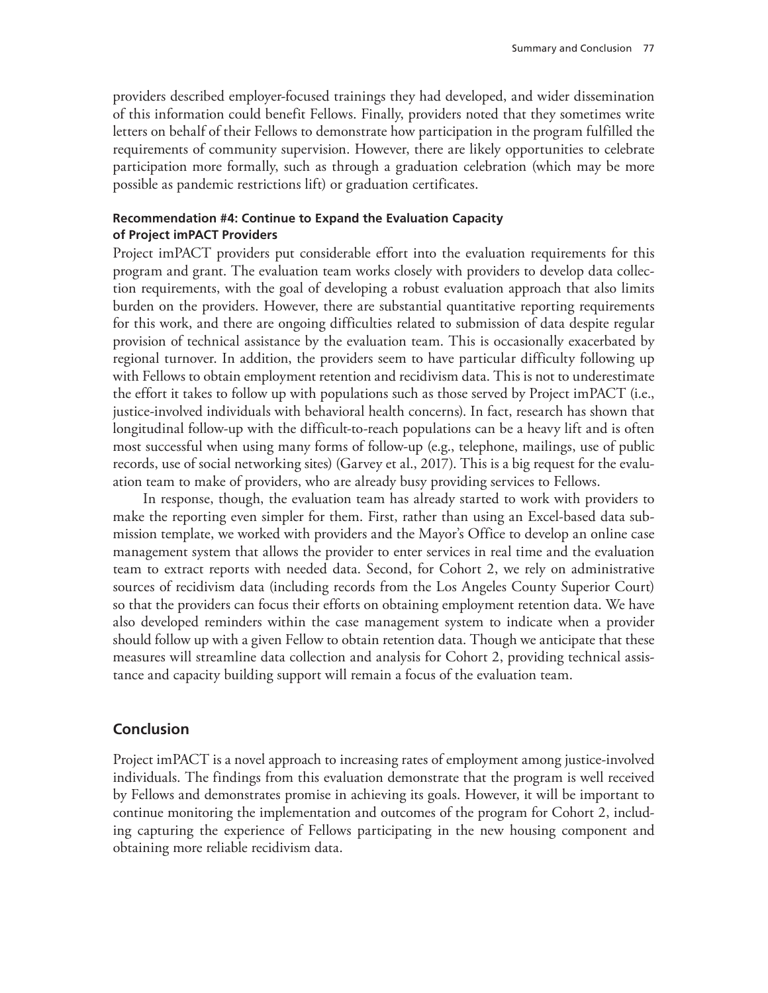providers described employer-focused trainings they had developed, and wider dissemination of this information could benefit Fellows. Finally, providers noted that they sometimes write letters on behalf of their Fellows to demonstrate how participation in the program fulfilled the requirements of community supervision. However, there are likely opportunities to celebrate participation more formally, such as through a graduation celebration (which may be more possible as pandemic restrictions lift) or graduation certificates.

### **Recommendation #4: Continue to Expand the Evaluation Capacity of Project imPACT Providers**

Project imPACT providers put considerable effort into the evaluation requirements for this program and grant. The evaluation team works closely with providers to develop data collection requirements, with the goal of developing a robust evaluation approach that also limits burden on the providers. However, there are substantial quantitative reporting requirements for this work, and there are ongoing difficulties related to submission of data despite regular provision of technical assistance by the evaluation team. This is occasionally exacerbated by regional turnover. In addition, the providers seem to have particular difficulty following up with Fellows to obtain employment retention and recidivism data. This is not to underestimate the effort it takes to follow up with populations such as those served by Project imPACT (i.e., justice-involved individuals with behavioral health concerns). In fact, research has shown that longitudinal follow-up with the difficult-to-reach populations can be a heavy lift and is often most successful when using many forms of follow-up (e.g., telephone, mailings, use of public records, use of social networking sites) (Garvey et al., 2017). This is a big request for the evaluation team to make of providers, who are already busy providing services to Fellows.

In response, though, the evaluation team has already started to work with providers to make the reporting even simpler for them. First, rather than using an Excel-based data submission template, we worked with providers and the Mayor's Office to develop an online case management system that allows the provider to enter services in real time and the evaluation team to extract reports with needed data. Second, for Cohort 2, we rely on administrative sources of recidivism data (including records from the Los Angeles County Superior Court) so that the providers can focus their efforts on obtaining employment retention data. We have also developed reminders within the case management system to indicate when a provider should follow up with a given Fellow to obtain retention data. Though we anticipate that these measures will streamline data collection and analysis for Cohort 2, providing technical assistance and capacity building support will remain a focus of the evaluation team.

## **Conclusion**

Project imPACT is a novel approach to increasing rates of employment among justice-involved individuals. The findings from this evaluation demonstrate that the program is well received by Fellows and demonstrates promise in achieving its goals. However, it will be important to continue monitoring the implementation and outcomes of the program for Cohort 2, including capturing the experience of Fellows participating in the new housing component and obtaining more reliable recidivism data.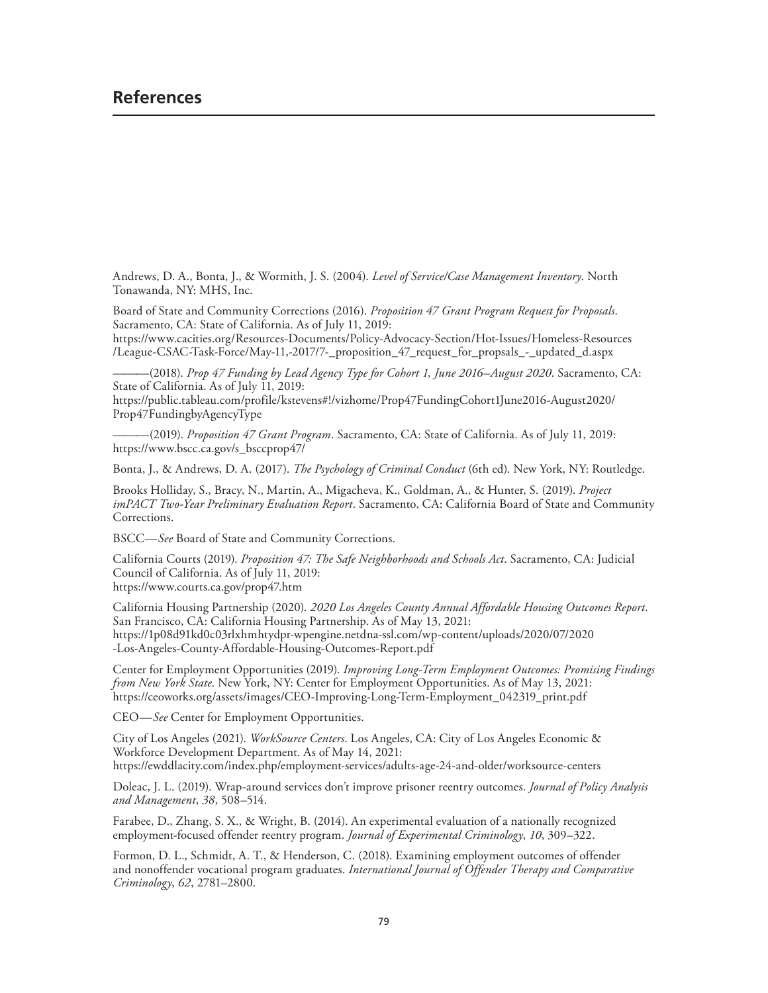Andrews, D. A., Bonta, J., & Wormith, J. S. (2004). *Level of Service/Case Management Inventory*. North Tonawanda, NY: MHS, Inc.

Board of State and Community Corrections (2016). *Proposition 47 Grant Program Request for Proposals*. Sacramento, CA: State of California. As of July 11, 2019:

[https://www.cacities.org/Resources-Documents/Policy-Advocacy-Section/Hot-Issues/Homeless-Resources](https://www.cacities.org/Resources-Documents/Policy-Advocacy-Section/Hot-Issues/Homeless-Resources/League-CSAC-Task-Force/May-11,-2017/7-_proposition_47_request_for_propsals_-_updated_d.aspx) /League-CSAC-Task-Force/May-11,-2017/7-\_proposition\_47\_request\_for\_propsals\_-\_updated\_d.aspx

———(2018). *Prop 47 Funding by Lead Agency Type for Cohort 1, June 2016–August 2020*. Sacramento, CA: State of California. As of July 11, 2019:

[https://public.tableau.com/profile/kstevens#!/vizhome/Prop47FundingCohort1June2016-August2020/](https://public.tableau.com/profile/kstevens#!/vizhome/Prop47FundingCohort1June2016-August2020/Prop47FundingbyAgencyType) Prop47FundingbyAgencyType

———(2019). *Proposition 47 Grant Program*. Sacramento, CA: State of California. As of July 11, 2019: [https://www.bscc.ca.gov/s\\_bsccprop47/](https://www.bscc.ca.gov/s_bsccprop47/)

Bonta, J., & Andrews, D. A. (2017). *The Psychology of Criminal Conduct* (6th ed). New York, NY: Routledge.

Brooks Holliday, S., Bracy, N., Martin, A., Migacheva, K., Goldman, A., & Hunter, S. (2019). *Project imPACT Two-Year Preliminary Evaluation Report*. Sacramento, CA: California Board of State and Community Corrections.

BSCC—*See* Board of State and Community Corrections.

California Courts (2019). *Proposition 47: The Safe Neighborhoods and Schools Act*. Sacramento, CA: Judicial Council of California. As of July 11, 2019: <https://www.courts.ca.gov/prop47.htm>

California Housing Partnership (2020). *2020 Los Angeles County Annual Affordable Housing Outcomes Report*. San Francisco, CA: California Housing Partnership. As of May 13, 2021: [https://1p08d91kd0c03rlxhmhtydpr-wpengine.netdna-ssl.com/wp-content/uploads/2020/07/2020](https://1p08d91kd0c03rlxhmhtydpr-wpengine.netdna-ssl.com/wp-content/uploads/2020/07/2020-Los-Angeles-County-Affordable-Housing-Outcomes-Report.pdf) -Los-Angeles-County-Affordable-Housing-Outcomes-Report.pdf

Center for Employment Opportunities (2019). *Improving Long-Term Employment Outcomes: Promising Findings from New York State*. New York, NY: Center for Employment Opportunities. As of May 13, 2021: [https://ceoworks.org/assets/images/CEO-Improving-Long-Term-Employment\\_042319\\_print.pdf](https://ceoworks.org/assets/images/CEO-Improving-Long-Term-Employment_042319_print.pdf)

CEO—*See* Center for Employment Opportunities.

City of Los Angeles (2021). *WorkSource Centers*. Los Angeles, CA: City of Los Angeles Economic & Workforce Development Department. As of May 14, 2021: <https://ewddlacity.com/index.php/employment-services/adults-age-24-and-older/worksource-centers>

Doleac, J. L. (2019). Wrap-around services don't improve prisoner reentry outcomes. *Journal of Policy Analysis and Management*, *38*, 508–514.

Farabee, D., Zhang, S. X., & Wright, B. (2014). An experimental evaluation of a nationally recognized employment-focused offender reentry program. *Journal of Experimental Criminology*, *10*, 309–322.

Formon, D. L., Schmidt, A. T., & Henderson, C. (2018). Examining employment outcomes of offender and nonoffender vocational program graduates. *International Journal of Offender Therapy and Comparative Criminology*, *62*, 2781–2800.